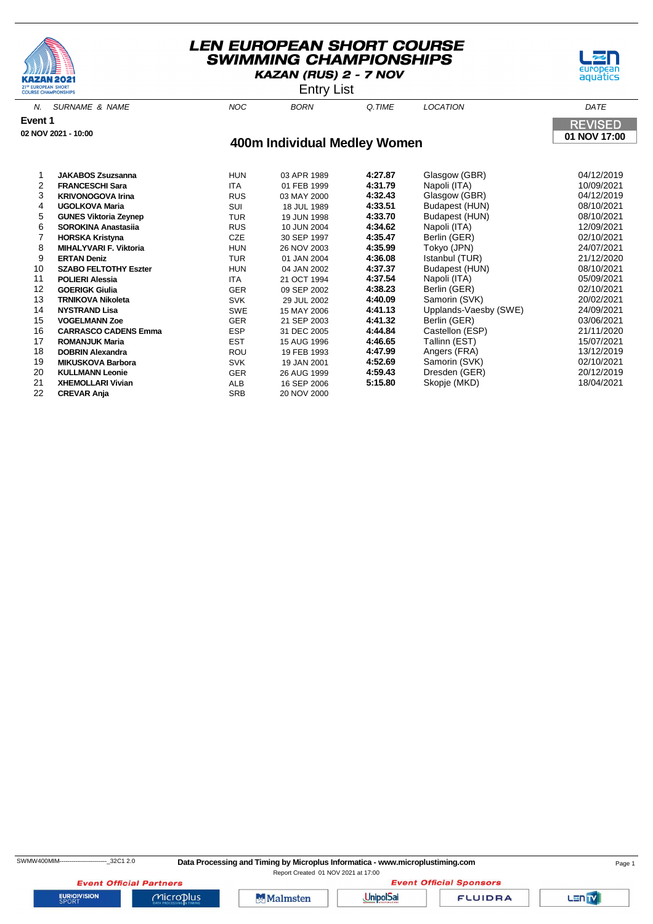



Entry List

| Ν.      | <b>SURNAME &amp; NAME</b>     | <b>NOC</b> | <b>BORN</b>                  | Q.TIME  | <b>LOCATION</b>       | DATE                           |
|---------|-------------------------------|------------|------------------------------|---------|-----------------------|--------------------------------|
| Event 1 | 02 NOV 2021 - 10:00           |            |                              |         |                       | <b>REVISED</b><br>01 NOV 17:00 |
|         |                               |            | 400m Individual Medley Women |         |                       |                                |
|         | <b>JAKABOS Zsuzsanna</b>      | <b>HUN</b> | 03 APR 1989                  | 4:27.87 | Glasgow (GBR)         | 04/12/2019                     |
| 2       | <b>FRANCESCHI Sara</b>        | <b>ITA</b> | 01 FEB 1999                  | 4:31.79 | Napoli (ITA)          | 10/09/2021                     |
| 3       | <b>KRIVONOGOVA Irina</b>      | <b>RUS</b> | 03 MAY 2000                  | 4:32.43 | Glasgow (GBR)         | 04/12/2019                     |
| 4       | <b>UGOLKOVA Maria</b>         | SUI        | 18 JUL 1989                  | 4:33.51 | Budapest (HUN)        | 08/10/2021                     |
| 5       | <b>GUNES Viktoria Zeynep</b>  | <b>TUR</b> | 19 JUN 1998                  | 4:33.70 | Budapest (HUN)        | 08/10/2021                     |
| 6       | <b>SOROKINA Anastasija</b>    | <b>RUS</b> | 10 JUN 2004                  | 4:34.62 | Napoli (ITA)          | 12/09/2021                     |
|         | <b>HORSKA Kristyna</b>        | <b>CZE</b> | 30 SEP 1997                  | 4:35.47 | Berlin (GER)          | 02/10/2021                     |
| 8       | <b>MIHALYVARI F. Viktoria</b> | <b>HUN</b> | 26 NOV 2003                  | 4:35.99 | Tokyo (JPN)           | 24/07/2021                     |
| 9       | <b>ERTAN Deniz</b>            | <b>TUR</b> | 01 JAN 2004                  | 4:36.08 | Istanbul (TUR)        | 21/12/2020                     |
| 10      | <b>SZABO FELTOTHY Eszter</b>  | <b>HUN</b> | 04 JAN 2002                  | 4:37.37 | Budapest (HUN)        | 08/10/2021                     |
| 11      | <b>POLIERI Alessia</b>        | <b>ITA</b> | 21 OCT 1994                  | 4:37.54 | Napoli (ITA)          | 05/09/2021                     |
| 12      | <b>GOERIGK Giulia</b>         | <b>GER</b> | 09 SEP 2002                  | 4:38.23 | Berlin (GER)          | 02/10/2021                     |
| 13      | <b>TRNIKOVA Nikoleta</b>      | <b>SVK</b> | 29 JUL 2002                  | 4:40.09 | Samorin (SVK)         | 20/02/2021                     |
| 14      | <b>NYSTRAND Lisa</b>          | <b>SWE</b> | 15 MAY 2006                  | 4:41.13 | Upplands-Vaesby (SWE) | 24/09/2021                     |
| 15      | <b>VOGELMANN Zoe</b>          | <b>GER</b> | 21 SEP 2003                  | 4:41.32 | Berlin (GER)          | 03/06/2021                     |
| 16      | <b>CARRASCO CADENS Emma</b>   | <b>ESP</b> | 31 DEC 2005                  | 4:44.84 | Castellon (ESP)       | 21/11/2020                     |
| 17      | <b>ROMANJUK Maria</b>         | <b>EST</b> | 15 AUG 1996                  | 4:46.65 | Tallinn (EST)         | 15/07/2021                     |
| 18      | <b>DOBRIN Alexandra</b>       | ROU        | 19 FEB 1993                  | 4:47.99 | Angers (FRA)          | 13/12/2019                     |
| 19      | <b>MIKUSKOVA Barbora</b>      | <b>SVK</b> | 19 JAN 2001                  | 4:52.69 | Samorin (SVK)         | 02/10/2021                     |
| 20      | <b>KULLMANN Leonie</b>        | <b>GER</b> | 26 AUG 1999                  | 4:59.43 | Dresden (GER)         | 20/12/2019                     |

20 **KULLMANN Leonie** GER 26 AUG 1999 **4:59.43** Dresden (GER) 20/12/2019

21 **XHEMOLLARI Vivian ALB** 16 SEP 2006<br>22 **CREVAR Anja 5:15.80** SRB 20 NOV 2000

**CREVAR Anja** SRB

**EURIOVISION** 

**Event Official Partners** 

 $MicroD<sub>lus</sub>$ 





**FLUIDRA** 

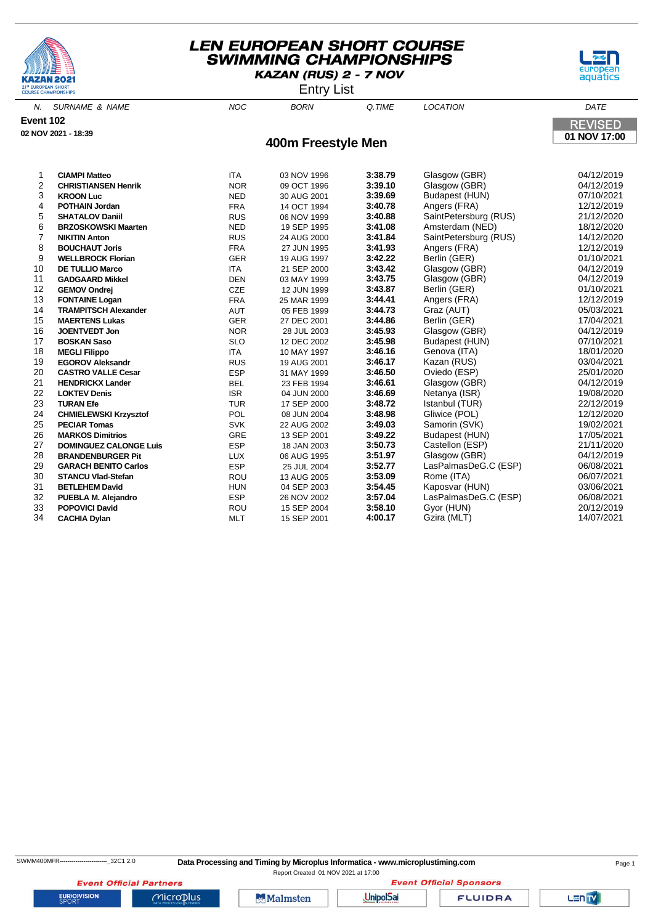





|                |                               |            | -, -               |         |                       |                |
|----------------|-------------------------------|------------|--------------------|---------|-----------------------|----------------|
| N.             | <b>SURNAME &amp; NAME</b>     | <b>NOC</b> | <b>BORN</b>        | Q.TIME  | <b>LOCATION</b>       | DATE           |
| Event 102      |                               |            |                    |         |                       | <b>REVISED</b> |
|                | 02 NOV 2021 - 18:39           |            |                    |         |                       | 01 NOV 17:00   |
|                |                               |            | 400m Freestyle Men |         |                       |                |
|                |                               |            |                    |         |                       |                |
| 1              | <b>CIAMPI Matteo</b>          | <b>ITA</b> | 03 NOV 1996        | 3:38.79 | Glasgow (GBR)         | 04/12/2019     |
| $\overline{c}$ | <b>CHRISTIANSEN Henrik</b>    | <b>NOR</b> | 09 OCT 1996        | 3:39.10 | Glasgow (GBR)         | 04/12/2019     |
| 3              | <b>KROON Luc</b>              | <b>NED</b> | 30 AUG 2001        | 3:39.69 | Budapest (HUN)        | 07/10/2021     |
| 4              | <b>POTHAIN Jordan</b>         | <b>FRA</b> | 14 OCT 1994        | 3:40.78 | Angers (FRA)          | 12/12/2019     |
| 5              | <b>SHATALOV Daniil</b>        | <b>RUS</b> | 06 NOV 1999        | 3:40.88 | SaintPetersburg (RUS) | 21/12/2020     |
| 6              | <b>BRZOSKOWSKI Maarten</b>    | <b>NED</b> | 19 SEP 1995        | 3:41.08 | Amsterdam (NED)       | 18/12/2020     |
| $\overline{7}$ | <b>NIKITIN Anton</b>          | <b>RUS</b> | 24 AUG 2000        | 3:41.84 | SaintPetersburg (RUS) | 14/12/2020     |
| 8              | <b>BOUCHAUT Joris</b>         | <b>FRA</b> | 27 JUN 1995        | 3:41.93 | Angers (FRA)          | 12/12/2019     |
| 9              | <b>WELLBROCK Florian</b>      | <b>GER</b> | 19 AUG 1997        | 3:42.22 | Berlin (GER)          | 01/10/2021     |
| 10             | <b>DE TULLIO Marco</b>        | <b>ITA</b> | 21 SEP 2000        | 3:43.42 | Glasgow (GBR)         | 04/12/2019     |
| 11             | <b>GADGAARD Mikkel</b>        | <b>DEN</b> | 03 MAY 1999        | 3:43.75 | Glasgow (GBR)         | 04/12/2019     |
| 12             | <b>GEMOV Ondrej</b>           | CZE        | 12 JUN 1999        | 3:43.87 | Berlin (GER)          | 01/10/2021     |
| 13             | <b>FONTAINE Logan</b>         | <b>FRA</b> | 25 MAR 1999        | 3:44.41 | Angers (FRA)          | 12/12/2019     |
| 14             | <b>TRAMPITSCH Alexander</b>   | AUT        | 05 FEB 1999        | 3:44.73 | Graz (AUT)            | 05/03/2021     |
| 15             | <b>MAERTENS Lukas</b>         | <b>GER</b> | 27 DEC 2001        | 3:44.86 | Berlin (GER)          | 17/04/2021     |
| 16             | <b>JOENTVEDT Jon</b>          | <b>NOR</b> | 28 JUL 2003        | 3:45.93 | Glasgow (GBR)         | 04/12/2019     |
| 17             | <b>BOSKAN Saso</b>            | <b>SLO</b> | 12 DEC 2002        | 3:45.98 | Budapest (HUN)        | 07/10/2021     |
| 18             | <b>MEGLI Filippo</b>          | ITA        | 10 MAY 1997        | 3:46.16 | Genova (ITA)          | 18/01/2020     |
| 19             | <b>EGOROV Aleksandr</b>       | <b>RUS</b> | 19 AUG 2001        | 3:46.17 | Kazan (RUS)           | 03/04/2021     |
| 20             | <b>CASTRO VALLE Cesar</b>     | <b>ESP</b> | 31 MAY 1999        | 3:46.50 | Oviedo (ESP)          | 25/01/2020     |
| 21             | <b>HENDRICKX Lander</b>       | <b>BEL</b> | 23 FEB 1994        | 3:46.61 | Glasgow (GBR)         | 04/12/2019     |
| 22             | <b>LOKTEV Denis</b>           | <b>ISR</b> | 04 JUN 2000        | 3:46.69 | Netanya (ISR)         | 19/08/2020     |
| 23             | <b>TURAN Efe</b>              | <b>TUR</b> | 17 SEP 2000        | 3:48.72 | Istanbul (TUR)        | 22/12/2019     |
| 24             | <b>CHMIELEWSKI Krzysztof</b>  | POL        | 08 JUN 2004        | 3:48.98 | Gliwice (POL)         | 12/12/2020     |
| 25             | <b>PECIAR Tomas</b>           | <b>SVK</b> | 22 AUG 2002        | 3:49.03 | Samorin (SVK)         | 19/02/2021     |
| 26             | <b>MARKOS Dimitrios</b>       | GRE        | 13 SEP 2001        | 3:49.22 | Budapest (HUN)        | 17/05/2021     |
| 27             | <b>DOMINGUEZ CALONGE Luis</b> | <b>ESP</b> | 18 JAN 2003        | 3:50.73 | Castellon (ESP)       | 21/11/2020     |
| 28             | <b>BRANDENBURGER Pit</b>      | <b>LUX</b> | 06 AUG 1995        | 3:51.97 | Glasgow (GBR)         | 04/12/2019     |
| 29             | <b>GARACH BENITO Carlos</b>   | <b>ESP</b> | 25 JUL 2004        | 3:52.77 | LasPalmasDeG.C (ESP)  | 06/08/2021     |
| 30             | <b>STANCU Vlad-Stefan</b>     | ROU        | 13 AUG 2005        | 3:53.09 | Rome (ITA)            | 06/07/2021     |
| 31             | <b>BETLEHEM David</b>         | <b>HUN</b> | 04 SEP 2003        | 3:54.45 | Kaposvar (HUN)        | 03/06/2021     |
| 32             | PUEBLA M. Alejandro           | <b>ESP</b> | 26 NOV 2002        | 3:57.04 | LasPalmasDeG.C (ESP)  | 06/08/2021     |
| 33             | <b>POPOVICI David</b>         | ROU        | 15 SEP 2004        | 3:58.10 | Gyor (HUN)            | 20/12/2019     |
| 34             | <b>CACHIA Dylan</b>           | <b>MLT</b> | 15 SEP 2001        | 4:00.17 | Gzira (MLT)           | 14/07/2021     |

SWMM400MFR----------------------------32C1 2.0 **Data Processing and Timing by Microplus Informatica - www.microplustiming.com** Page 1

Report Created 01 NOV 2021 at 17:00**Event Official Sponsors** 

**Event Official Partners EURIOVISION** 

 $Microplus$ 

Malmsten

**UnipolSai** 

**FLUIDRA** 

Lan<sub>TV</sub>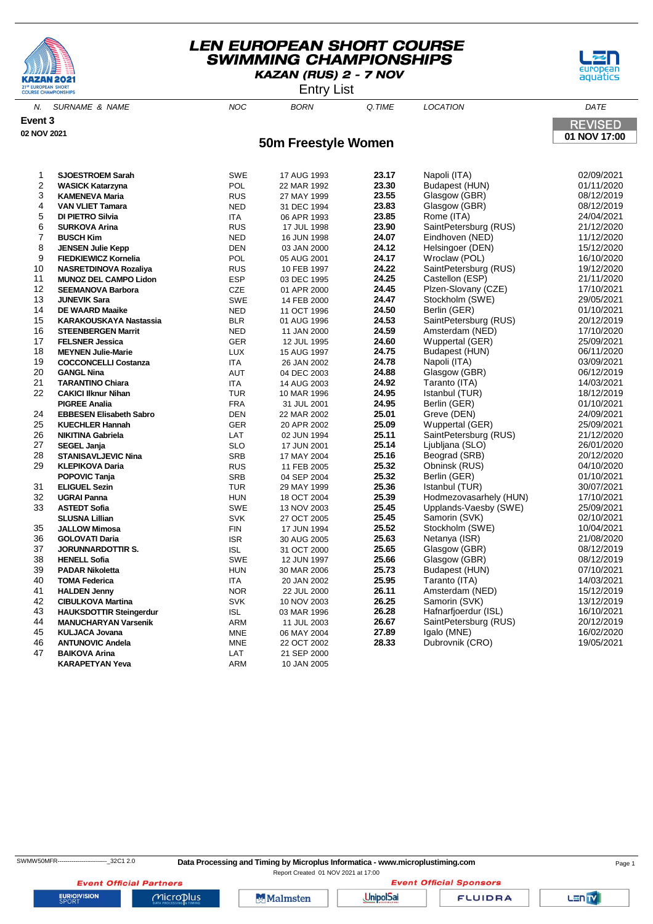





N. SURNAME & NAME  $A = 0.000$  and  $A = 0.000$  born  $A = 0.000$  batter and  $A = 0.0000$  batter  $A = 0.0000$  batter and  $A = 0.0000$  batter  $A = 0.0000$  batter and  $A = 0.0000$  batter and  $A = 0.0000$  batter and  $A = 0.0000$  batter an **Event 3 REVISED 02 NOV 2021 01 NOV 17:00 50m Freestyle Women SJOESTROEM Sarah** SWE 17 AUG 1993 **23.17** Napoli (ITA) 02/09/2021 **22 MASICK Katarzyna POL 22 MAR 1992 23.30**<br>**23.55** BUS 27 MAY 1999 **23.55 KAMENEVA Maria** RUS 27 MAY 1999 **23.55** Glasgow (GBR) 08/12/2019 **VAN VLIET Tamara** NED 31 DEC 1994 **23.83** Glasgow (GBR) 08/12/2019 **DI PIETRO Silvia** ITA 06 APR 1993 **23.85** Rome (ITA) 24/04/2021 **SURKOVA Arina** RUS 17 JUL 1998 **23.90** SaintPetersburg (RUS) 21/12/2020 **BUSCH Kim** NED 16 JUN 1998 **24.07** Eindhoven (NED) 11/12/2020 **JENSEN Julie Kepp** DEN 03 JAN 2000 **24.12** Helsingoer (DEN) 15/12/2020 **FIEDKIEWICZ Kornelia** POL 05 AUG 2001 **24.17** Wroclaw (POL) 16/10/2020 **NASRETDINOVA Rozaliva MUNOZ DEL CAMPO Lidon** ESP 03 DEC 1995 **24.25** Castellon (ESP) 21/11/2020 **SEEMANOVA Barbora** CZE 01 APR 2000 **24.45** Plzen-Slovany (CZE) 17/10/2021 **JUNEVIK Sara** SWE 14 FEB 2000 **24.47** Stockholm (SWE) 29/05/2021 **DE WAARD Maaike** NED 11 OCT 1996 **24.50** Berlin (GER) 01/10/2021 **KARAKOUSKAYA Nastassia** BLR 01 AUG 1996 **24.53** SaintPetersburg (RUS) 20/12/2019 **STEENBERGEN Marrit** NED 11 JAN 2000 **24.59** Amsterdam (NED) 17/10/2020 **FELSNER Jessica** GER 12 JUL 1995 **24.60** Wuppertal (GER) **MEYNEN Julie-Marie** LUX 15 AUG 1997 **24.75** Budapest (HUN) 06/11/2020 **COCCONCELLI Costanza** ITA 26 JAN 2002 **24.78** Napoli (ITA) 03/09/2021 **GANGL Nina** AUT 04 DEC 2003 **24.88** Glasgow (GBR) 06/12/2019 **TARANTINO Chiara** ITA 14 AUG 2003 **24.92** Taranto (ITA) 14/03/2021 **CAKICI Ilknur Nihan** TUR 10 MAR 1996 **24.95** Istanbul (TUR) 18/12/2019 **PIGREE Analia** FRA 31 JUL 2001 **24.95** Berlin (GER) 01/10/2021 **EBBESEN Elisabeth Sabro** DEN 22 MAR 2002 **25.01** Greve (DEN) 24/09/2021 **KUECHLER Hannah** GER 20 APR 2002 **25.09** Wuppertal (GER) 25/09/2021 **NIKITINA Gabriela** LAT 02 JUN 1994 **25.11** SaintPetersburg (RUS) 21/12/2020 **SEGEL Janja** SLO 17 JUN 2001 **25.14** Ljubljana (SLO) 26/01/2020 **STANISAVLJEVIC Nina** SRB 17 MAY 2004 **25.16** Beograd (SRB) 20/12/2020 **KLEPIKOVA Daria** RUS 11 FEB 2005 **25.32** Obninsk (RUS) 04/10/2020 **POPOVIC Tanja** SRB 04 SEP 2004 **25.32** Berlin (GER) 01/10/2021 **ELIGUEL Sezin** TUR 29 MAY 1999 **25.36** Istanbul (TUR) 30/07/2021 **UGRAI Panna** HUN 18 OCT 2004 **25.39** Hodmezovasarhely (HUN) 17/10/2021 **ASTEDT Sofia** SWE 13 NOV 2003 **25.45** Upplands-Vaesby (SWE) 25/09/2021 **SLUSNA Lillian** SVK 27 OCT 2005 **25.45** Samorin (SVK) 02/10/2021 **JALLOW Mimosa** FIN 17 JUN 1994 **25.52** Stockholm (SWE) 10/04/2021 **GOLOVATI Daria** ISR 30 AUG 2005 **25.63** Netanya (ISR) 21/08/2020 **JORUNNARDOTTIR S.** ISL 31 OCT 2000 **25.65** Glasgow (GBR) 08/12/2019 **HENELL Sofia** SWE 12 JUN 1997 **25.66** Glasgow (GBR) 08/12/2019 **PADAR Nikoletta** HUN 30 MAR 2006 **25.73** Budapest (HUN) 07/10/2021 **TOMA Federica** ITA 20 JAN 2002 **25.95** Taranto (ITA) 14/03/2021

 **HALDEN Jenny** NOR 22 JUL 2000 **26.11** Amsterdam (NED) 15/12/2019 **CIBULKOVA Martina** SVK 10 NOV 2003 **26.25** Samorin (SVK) 13/12/2019 **HAUKSDOTTIR Steingerdur** ISL 03 MAR 1996 **26.28** Hafnarfjoerdur (ISL) 16/10/2021 **MANUCHARYAN Varsenik** ARM 11 JUL 2003 **26.67** SaintPetersburg (RUS) 20/12/2019 **KULJACA Jovana** MNE 06 MAY 2004 **27.89** Igalo (MNE) 16/02/2020 **ANTUNOVIC Andela** MNE 22 OCT 2002 **28.33** Dubrovnik (CRO) 19/05/2021

**EURIOVISION** 

**BAIKOVA Arina** 

Report Created 01 NOV 2021 at 17:00

**Event Official Sponsors** 

Lenty

Microplus

**Event Official Partners** 

**KARAPETYAN Yeva** ARM 40 JAN 2005

**Malmsten** 

**UnipolSai** 

**FLUIDRA**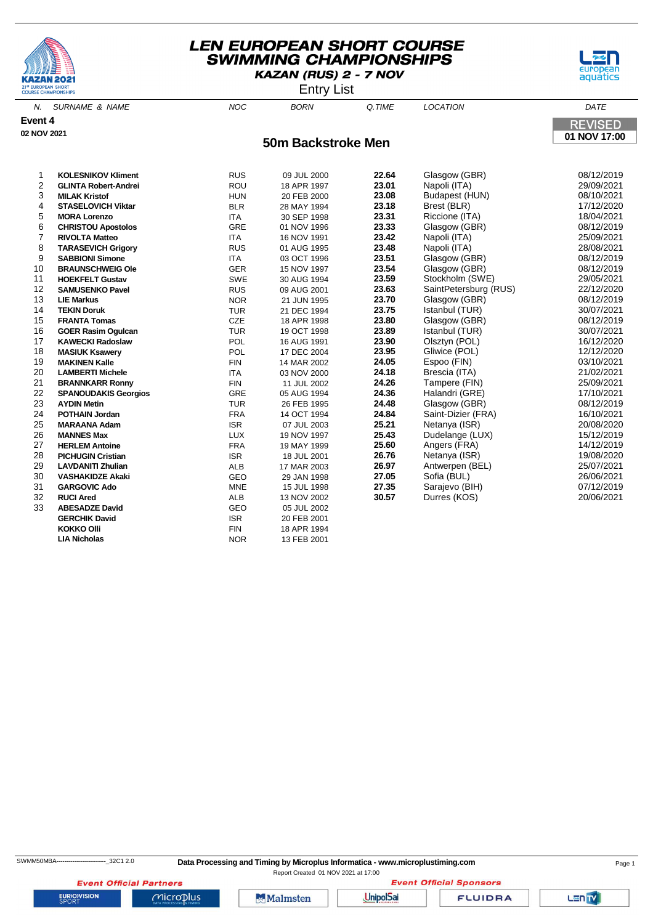





N. SURNAME & NAME  $N$  and  $N$  and  $N$  born  $\alpha$  time  $N$  location  $\alpha$  dates the  $N$ **Event 4 REVISED 02 NOV 2021 01 NOV 17:00 50m Backstroke Men KOLESNIKOV Kliment** RUS 09 JUL 2000 **22.64** Glasgow (GBR) 08/12/2019 **2 GLINTA Robert-Andrei 2009/2021 18 APR 1997 MILAK Kristof** HUN 20 FEB 2000 **23.08** Budapest (HUN) 08/10/2021 **STASELOVICH Viktar** BLR 28 MAY 1994 **23.18** Brest (BLR) 17/12/2020 **MORA Lorenzo** ITA 30 SEP 1998 **23.31** Riccione (ITA) 18/04/2021 **CHRISTOU Apostolos** GRE 01 NOV 1996 **23.33** Glasgow (GBR) 08/12/2019 **RIVOLTA Matteo** ITA 16 NOV 1991 **23.42** Napoli (ITA) 25/09/2021 **TARASEVICH Grigory** RUS 01 AUG 1995 **23.48** Napoli (ITA) 28/08/2021 **SABBIONI Simone** ITA 03 OCT 1996 **23.51** Glasgow (GBR) 08/12/2019 **10 BRAUNSCHWEIG Ole** 15 NOV 1997 GER **HOEKFELT Gustav** SWE 30 AUG 1994 **23.59** Stockholm (SWE) 29/05/2021 **SAMUSENKO Pavel** RUS 09 AUG 2001 **23.63** SaintPetersburg (RUS) 22/12/2020 **LIE Markus** NOR 21 JUN 1995 **23.70** Glasgow (GBR) 08/12/2019 **TEKIN Doruk** TUR 21 DEC 1994 **23.75** Istanbul (TUR) 30/07/2021 **FRANTA Tomas** CZE 18 APR 1998 **23.80** Glasgow (GBR) 08/12/2019 **GOER Rasim Ogulcan** TUR 19 OCT 1998 **23.89** Istanbul (TUR) 30/07/2021 **17 KAWECKI Radoslaw POL MASIUK Ksawery** POL 17 DEC 2004 **23.95** Gliwice (POL) 12/12/2020 **MAKINEN Kalle** FIN 14 MAR 2002 **24.05** Espoo (FIN) 03/10/2021 **LAMBERTI Michele** ITA 03 NOV 2000 **24.18** Brescia (ITA) 21/02/2021 **BRANNKARR Ronny** FIN 11 JUL 2002 **24.26** Tampere (FIN) 25/09/2021 **SPANOUDAKIS Georgios** GRE 05 AUG 1994 **24.36** Halandri (GRE) 17/10/2021 **AYDIN Metin** TUR 26 FEB 1995 **24.48** Glasgow (GBR) 08/12/2019 **POTHAIN Jordan** FRA 14 OCT 1994 **24.84** Saint-Dizier (FRA) 16/10/2021 **MARAANA Adam MANNES Max** LUX 19 NOV 1997 **25.43** Dudelange (LUX) 15/12/2019 **HERLEM Antoine** FRA 19 MAY 1999 **25.60** Angers (FRA) 14/12/2019 **PICHUGIN Cristian** ISR 18 JUL 2001 **26.76** Netanya (ISR) 19/08/2020 **LAVDANITI Zhulian** ALB 17 MAR 2003 **26.97** Antwerpen (BEL) 25/07/2021 **VASHAKIDZE Akaki** GEO 29 JAN 1998 **27.05** Sofia (BUL) 26/06/2021 **GARGOVIC Ado** MNE 15 JUL 1998 **27.35** Sarajevo (BIH) 07/12/2019 **RUCI Ared** ALB 13 NOV 2002 **30.57** Durres (KOS) 20/06/2021 **ABESADZE David** GEO 05 JUL 2002 **GERCHIK David ISR** 20 FEB 2001 **KOKKO Olli EIN** 18 APR 1994 **LIA Nicholas** NOR 13 FEB 2001

Report Created 01 NOV 2021 at 17:00

**Event Official Partners EURIOVISION** 

Microplus

**Malmsten** 

**UnipolSai** 

**FLUIDRA** 

**Event Official Sponsors**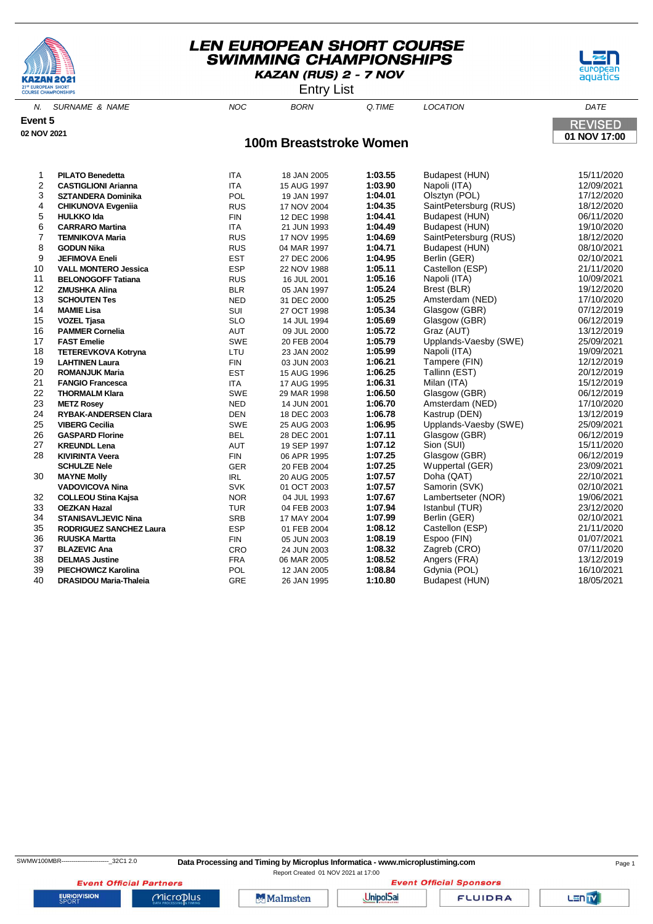





N. SURNAME & NAME NOC BORN Q.TIME LOCATION DATE **Event 5 REVISED 02 NOV 2021 01 NOV 17:00 100m Breaststroke Women** 1 **PILATO Benedetta** ITA 18 JAN 2005 **1:03.55** Budapest (HUN) 15/11/2020 **2 CASTIGLIONI Arianna** 12 1114 15 AUG 1997 1:03.90<br> **22 SZTANDERA Dominika** 1204.01 POL 19 JAN 1997 1:04.01 3 **SZTANDERA Dominika** POL 19 JAN 1997 **1:04.01** Olsztyn (POL) 17/12/2020 4 **CHIKUNOVA Evgeniia** RUS 17 NOV 2004 **1:04.35** SaintPetersburg (RUS) 18/12/2020 **1:04.41** Budapest (HUN)<br>**1:04.49** Budapest (HUN) 6 **CARRARO Martina** ITA 21 JUN 1993 **1:04.49** Budapest (HUN) 19/10/2020 7 **TEMNIKOVA Maria** RUS 17 NOV 1995 **1:04.69** SaintPetersburg (RUS) 18/12/2020 8 **GODUN Nika** RUS 04 MAR 1997 **1:04.71** Budapest (HUN) 08/10/2021 **JEFIMOVA Eneli** 10 **VALL MONTERO Jessica** ESP 22 NOV 1988 **1:05.11** Castellon (ESP) 21/11/2020 11 **BELONOGOFF Tatiana** RUS 16 JUL 2001 **1:05.16** Napoli (ITA) 10/09/2021 12 **ZMUSHKA Alina** BLR 05 JAN 1997 **1:05.24** Brest (BLR) 19/12/2020

| 10 | <b>VALL MONTERO Jessica</b>    | <b>ESP</b> | 22 NOV 1988 | 1:05.11 | Castellon (ESP)       | 21/11/2020 |
|----|--------------------------------|------------|-------------|---------|-----------------------|------------|
| 11 | <b>BELONOGOFF Tatiana</b>      | <b>RUS</b> | 16 JUL 2001 | 1:05.16 | Napoli (ITA)          | 10/09/2021 |
| 12 | <b>ZMUSHKA Alina</b>           | <b>BLR</b> | 05 JAN 1997 | 1:05.24 | Brest (BLR)           | 19/12/2020 |
| 13 | <b>SCHOUTEN Tes</b>            | <b>NED</b> | 31 DEC 2000 | 1:05.25 | Amsterdam (NED)       | 17/10/2020 |
| 14 | <b>MAMIE Lisa</b>              | SUI        | 27 OCT 1998 | 1:05.34 | Glasgow (GBR)         | 07/12/2019 |
| 15 | <b>VOZEL Tjasa</b>             | <b>SLO</b> | 14 JUL 1994 | 1:05.69 | Glasgow (GBR)         | 06/12/2019 |
| 16 | <b>PAMMER Cornelia</b>         | <b>AUT</b> | 09 JUL 2000 | 1:05.72 | Graz (AUT)            | 13/12/2019 |
| 17 | <b>FAST Emelie</b>             | <b>SWE</b> | 20 FEB 2004 | 1:05.79 | Upplands-Vaesby (SWE) | 25/09/2021 |
| 18 | <b>TETEREVKOVA Kotryna</b>     | LTU        | 23 JAN 2002 | 1:05.99 | Napoli (ITA)          | 19/09/2021 |
| 19 | <b>LAHTINEN Laura</b>          | <b>FIN</b> | 03 JUN 2003 | 1:06.21 | Tampere (FIN)         | 12/12/2019 |
| 20 | <b>ROMANJUK Maria</b>          | <b>EST</b> | 15 AUG 1996 | 1:06.25 | Tallinn (EST)         | 20/12/2019 |
| 21 | <b>FANGIO Francesca</b>        | <b>ITA</b> | 17 AUG 1995 | 1:06.31 | Milan (ITA)           | 15/12/2019 |
| 22 | <b>THORMALM Klara</b>          | <b>SWE</b> | 29 MAR 1998 | 1:06.50 | Glasgow (GBR)         | 06/12/2019 |
| 23 | <b>METZ Rosey</b>              | <b>NED</b> | 14 JUN 2001 | 1:06.70 | Amsterdam (NED)       | 17/10/2020 |
| 24 | <b>RYBAK-ANDERSEN Clara</b>    | <b>DEN</b> | 18 DEC 2003 | 1:06.78 | Kastrup (DEN)         | 13/12/2019 |
| 25 | <b>VIBERG Cecilia</b>          | <b>SWE</b> | 25 AUG 2003 | 1:06.95 | Upplands-Vaesby (SWE) | 25/09/2021 |
| 26 | <b>GASPARD Florine</b>         | <b>BEL</b> | 28 DEC 2001 | 1:07.11 | Glasgow (GBR)         | 06/12/2019 |
| 27 | <b>KREUNDL Lena</b>            | <b>AUT</b> | 19 SEP 1997 | 1:07.12 | Sion (SUI)            | 15/11/2020 |
| 28 | <b>KIVIRINTA Veera</b>         | <b>FIN</b> | 06 APR 1995 | 1:07.25 | Glasgow (GBR)         | 06/12/2019 |
|    | <b>SCHULZE Nele</b>            | GER        | 20 FEB 2004 | 1:07.25 | Wuppertal (GER)       | 23/09/2021 |
| 30 | <b>MAYNE Molly</b>             | IRL        | 20 AUG 2005 | 1:07.57 | Doha (QAT)            | 22/10/2021 |
|    | <b>VADOVICOVA Nina</b>         | <b>SVK</b> | 01 OCT 2003 | 1:07.57 | Samorin (SVK)         | 02/10/2021 |
| 32 | <b>COLLEOU Stina Kajsa</b>     | <b>NOR</b> | 04 JUL 1993 | 1:07.67 | Lambertseter (NOR)    | 19/06/2021 |
| 33 | <b>OEZKAN Hazal</b>            | <b>TUR</b> | 04 FEB 2003 | 1:07.94 | Istanbul (TUR)        | 23/12/2020 |
| 34 | <b>STANISAVLJEVIC Nina</b>     | <b>SRB</b> | 17 MAY 2004 | 1:07.99 | Berlin (GER)          | 02/10/2021 |
| 35 | <b>RODRIGUEZ SANCHEZ Laura</b> | <b>ESP</b> | 01 FEB 2004 | 1:08.12 | Castellon (ESP)       | 21/11/2020 |
| 36 | <b>RUUSKA Martta</b>           | <b>FIN</b> | 05 JUN 2003 | 1:08.19 | Espoo (FIN)           | 01/07/2021 |
| 37 | <b>BLAZEVIC Ana</b>            | CRO        | 24 JUN 2003 | 1:08.32 | Zagreb (CRO)          | 07/11/2020 |
| 38 | <b>DELMAS Justine</b>          | <b>FRA</b> | 06 MAR 2005 | 1:08.52 | Angers (FRA)          | 13/12/2019 |
| 39 | <b>PIECHOWICZ Karolina</b>     | <b>POL</b> | 12 JAN 2005 | 1:08.84 | Gdynia (POL)          | 16/10/2021 |
| 40 | <b>DRASIDOU Maria-Thaleia</b>  | <b>GRE</b> | 26 JAN 1995 | 1:10.80 | Budapest (HUN)        | 18/05/2021 |

**EURIOVISION** 

Report Created 01 NOV 2021 at 17:00

**Event Official Sponsors** 

**FLUIDRA** 

Lenty

**Event Official Partners** Microplus

**Malmsten** 

**UnipolSai**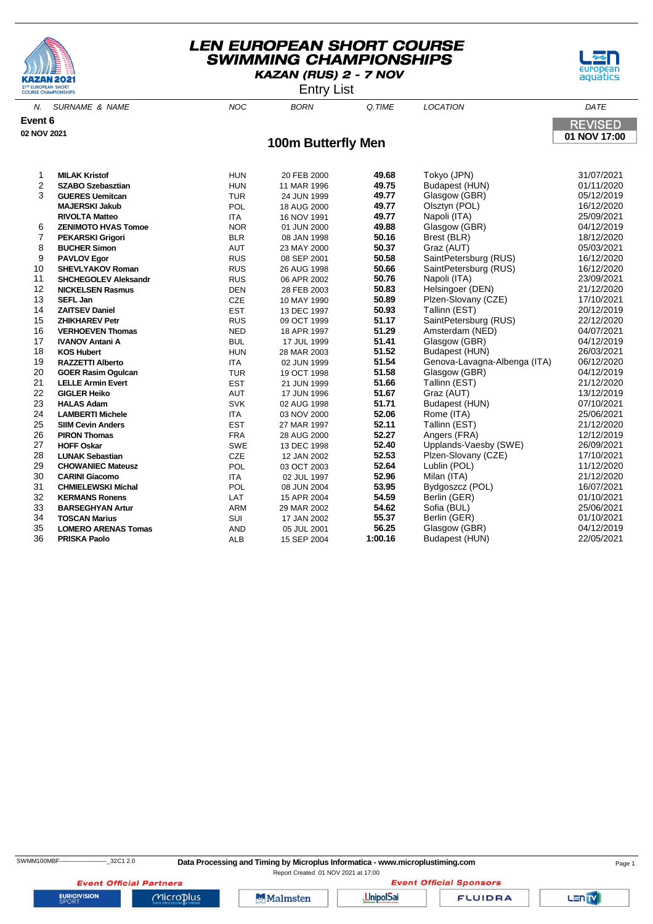





| 21st EUROPEAN SHORT<br><b>COURSE CHAMPIONSHIPS</b> |                             |            | <b>Entry List</b>         |        |                              |                |  |
|----------------------------------------------------|-----------------------------|------------|---------------------------|--------|------------------------------|----------------|--|
| N.                                                 | <b>SURNAME &amp; NAME</b>   | <b>NOC</b> | <b>BORN</b>               | Q.TIME | <b>LOCATION</b>              | DATE           |  |
| Event 6                                            |                             |            |                           |        |                              | <b>REVISED</b> |  |
| 02 NOV 2021                                        |                             |            |                           |        |                              | 01 NOV 17:00   |  |
|                                                    |                             |            | <b>100m Butterfly Men</b> |        |                              |                |  |
| 1                                                  | <b>MILAK Kristof</b>        | <b>HUN</b> | 20 FEB 2000               | 49.68  | Tokyo (JPN)                  | 31/07/2021     |  |
| 2                                                  | <b>SZABO Szebasztian</b>    | <b>HUN</b> | 11 MAR 1996               | 49.75  | Budapest (HUN)               | 01/11/2020     |  |
| 3                                                  | <b>GUERES Uemitcan</b>      | <b>TUR</b> | 24 JUN 1999               | 49.77  | Glasgow (GBR)                | 05/12/2019     |  |
|                                                    | <b>MAJERSKI Jakub</b>       | POL        | 18 AUG 2000               | 49.77  | Olsztyn (POL)                | 16/12/2020     |  |
|                                                    | <b>RIVOLTA Matteo</b>       | <b>ITA</b> | 16 NOV 1991               | 49.77  | Napoli (ITA)                 | 25/09/2021     |  |
| 6                                                  | <b>ZENIMOTO HVAS Tomoe</b>  | <b>NOR</b> | 01 JUN 2000               | 49.88  | Glasgow (GBR)                | 04/12/2019     |  |
| 7                                                  | <b>PEKARSKI Grigori</b>     | <b>BLR</b> | 08 JAN 1998               | 50.16  | Brest (BLR)                  | 18/12/2020     |  |
| 8                                                  | <b>BUCHER Simon</b>         | <b>AUT</b> | 23 MAY 2000               | 50.37  | Graz (AUT)                   | 05/03/2021     |  |
| 9                                                  | <b>PAVLOV Egor</b>          | <b>RUS</b> | 08 SEP 2001               | 50.58  | SaintPetersburg (RUS)        | 16/12/2020     |  |
| 10                                                 | <b>SHEVLYAKOV Roman</b>     | <b>RUS</b> | 26 AUG 1998               | 50.66  | SaintPetersburg (RUS)        | 16/12/2020     |  |
| 11                                                 | <b>SHCHEGOLEV Aleksandr</b> | <b>RUS</b> | 06 APR 2002               | 50.76  | Napoli (ITA)                 | 23/09/2021     |  |
| 12                                                 | <b>NICKELSEN Rasmus</b>     | <b>DEN</b> | 28 FEB 2003               | 50.83  | Helsingoer (DEN)             | 21/12/2020     |  |
| 13                                                 | <b>SEFL Jan</b>             | <b>CZE</b> | 10 MAY 1990               | 50.89  | Plzen-Slovany (CZE)          | 17/10/2021     |  |
| 14                                                 | <b>ZAITSEV Daniel</b>       | <b>EST</b> | 13 DEC 1997               | 50.93  | Tallinn (EST)                | 20/12/2019     |  |
| 15                                                 | <b>ZHIKHAREV Petr</b>       | <b>RUS</b> | 09 OCT 1999               | 51.17  | SaintPetersburg (RUS)        | 22/12/2020     |  |
| 16                                                 | <b>VERHOEVEN Thomas</b>     | <b>NED</b> | 18 APR 1997               | 51.29  | Amsterdam (NED)              | 04/07/2021     |  |
| 17                                                 | <b>IVANOV Antani A</b>      | <b>BUL</b> | 17 JUL 1999               | 51.41  | Glasgow (GBR)                | 04/12/2019     |  |
| 18                                                 | <b>KOS Hubert</b>           | <b>HUN</b> | 28 MAR 2003               | 51.52  | Budapest (HUN)               | 26/03/2021     |  |
| 19                                                 | <b>RAZZETTI Alberto</b>     | <b>ITA</b> | 02 JUN 1999               | 51.54  | Genova-Lavagna-Albenga (ITA) | 06/12/2020     |  |
| 20                                                 | <b>GOER Rasim Ogulcan</b>   | <b>TUR</b> | 19 OCT 1998               | 51.58  | Glasgow (GBR)                | 04/12/2019     |  |
| 21                                                 | <b>LELLE Armin Evert</b>    | <b>EST</b> | 21 JUN 1999               | 51.66  | Tallinn (EST)                | 21/12/2020     |  |
| 22                                                 | <b>GIGLER Heiko</b>         | <b>AUT</b> | 17 JUN 1996               | 51.67  | Graz (AUT)                   | 13/12/2019     |  |
| 23                                                 | <b>HALAS Adam</b>           | <b>SVK</b> | 02 AUG 1998               | 51.71  | Budapest (HUN)               | 07/10/2021     |  |
| 24                                                 | <b>LAMBERTI Michele</b>     | <b>ITA</b> | 03 NOV 2000               | 52.06  | Rome (ITA)                   | 25/06/2021     |  |
| 25                                                 | <b>SIIM Cevin Anders</b>    | <b>EST</b> | 27 MAR 1997               | 52.11  | Tallinn (EST)                | 21/12/2020     |  |
| 26                                                 | <b>PIRON Thomas</b>         | <b>FRA</b> | 28 AUG 2000               | 52.27  | Angers (FRA)                 | 12/12/2019     |  |
| 27                                                 | <b>HOFF Oskar</b>           | <b>SWE</b> | 13 DEC 1998               | 52.40  | Upplands-Vaesby (SWE)        | 26/09/2021     |  |
| 28                                                 | <b>LUNAK Sebastian</b>      | <b>CZE</b> | 12 JAN 2002               | 52.53  | Plzen-Slovany (CZE)          | 17/10/2021     |  |
| 29                                                 | <b>CHOWANIEC Mateusz</b>    | POL        | 03 OCT 2003               | 52.64  | Lublin (POL)                 | 11/12/2020     |  |

29 **CHOWANIEC Mateusz** POL 03 OCT 2003 **52.64** Lublin (POL) 11/12/2020 30 **CARINI Giacomo** ITA 02 JUL 1997 **52.96** Milan (ITA) 21/12/2020 31 **CHMIELEWSKI Michal** POL 08 JUN 2004 **53.95** Bydgoszcz (POL) 16/07/2021

33 **BARSEGHYAN Artur** ARM 29 MAR 2002 **54.62** Sofia (BUL) 25/06/2021 34 **TOSCAN Marius** SUI 17 JAN 2002 **55.37** Berlin (GER) 01/10/2021 35 **LOMERO ARENAS Tomas** AND 05 JUL 2001 **56.25** Glasgow (GBR) 04/12/2019

**EURIOVISION** 

**Event Official Partners** 

Microplus

**XERMANS Ronens** LAT

**Malmsten** 

**Event Official Sponsors UnipolSai** 

**FLUIDRA** 

**Budapest (HUN)**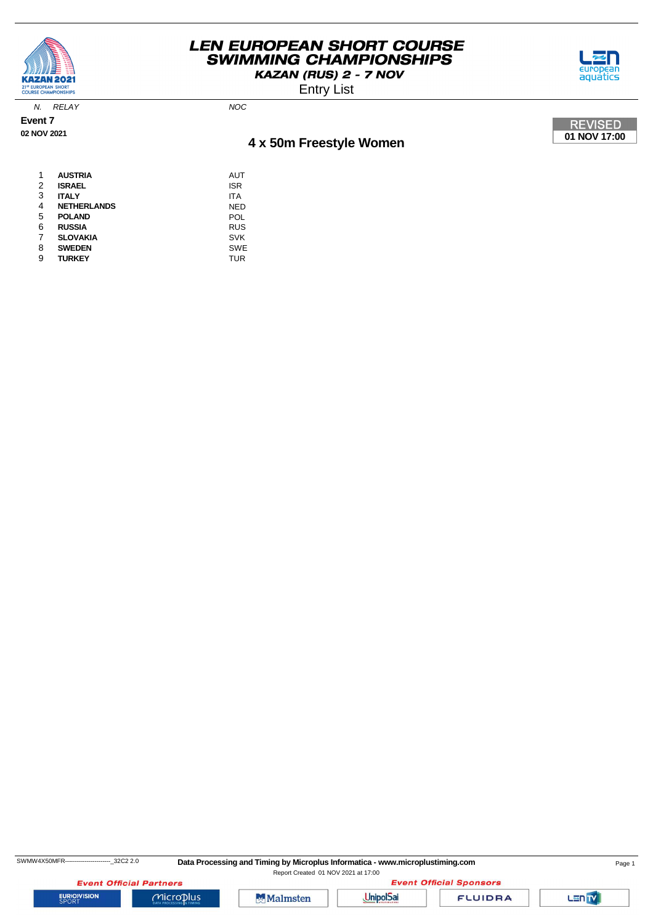

Entry List



N. RELAY NOC

**Event 7 02 NOV 2021**

# **4 x 50m Freestyle Women**



| 1 | <b>AUSTRIA</b>     | AUT        |
|---|--------------------|------------|
| 2 | <b>ISRAEL</b>      | <b>ISR</b> |
| 3 | <b>ITALY</b>       | <b>ITA</b> |
| 4 | <b>NETHERLANDS</b> | <b>NED</b> |
| 5 | <b>POLAND</b>      | POL        |
| 6 | <b>RUSSIA</b>      | <b>RUS</b> |
| 7 | <b>SLOVAKIA</b>    | <b>SVK</b> |
| 8 | <b>SWEDEN</b>      | <b>SWE</b> |
| 9 | <b>TURKEY</b>      | TUR        |

SWMW4X50MFR-----------------------\_32C2 2.0 **Data Processing and Timing by Microplus Informatica - www.microplustiming.com** Page 1

Report Created 01 NOV 2021 at 17:00

**Event Official Partners** 

 $Microplus$ 





**FLUIDRA** 

Lan<sub>TV</sub>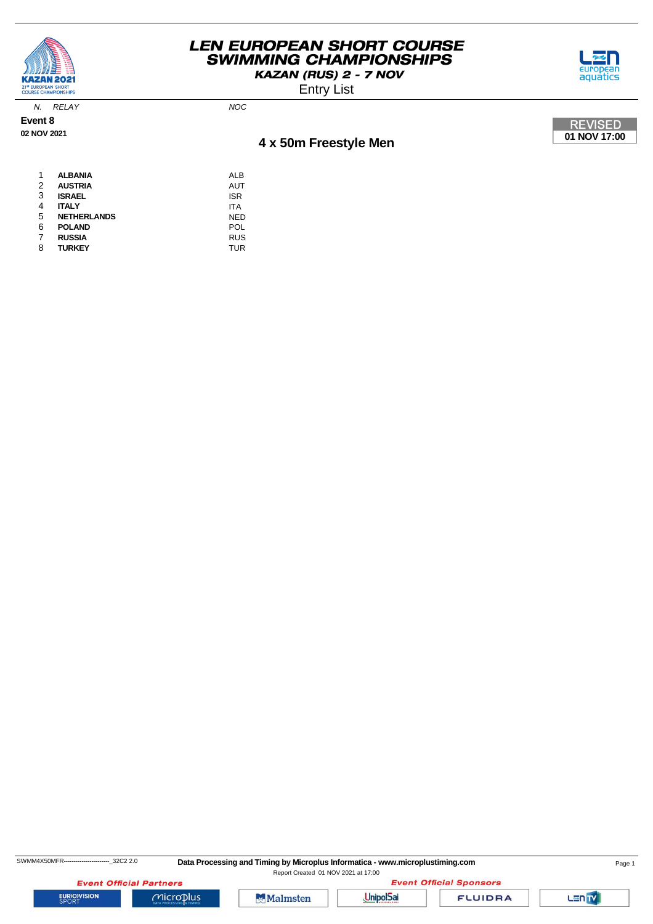

Entry List



N. RELAY NOC

**Event 8 02 NOV 2021**

# **4 x 50m Freestyle Men**



| 1 | <b>ALBANIA</b>     | ALB        |
|---|--------------------|------------|
| 2 | <b>AUSTRIA</b>     | AUT        |
| 3 | <b>ISRAEL</b>      | <b>ISR</b> |
| 4 | <b>ITALY</b>       | <b>ITA</b> |
| 5 | <b>NETHERLANDS</b> | <b>NED</b> |
| 6 | <b>POLAND</b>      | POL        |
| 7 | <b>RUSSIA</b>      | <b>RUS</b> |
| 8 | <b>TURKEY</b>      | <b>TUR</b> |

SWMM4X50MFR-----------------------------32C2 2.0 Data Processing and Timing by Microplus Informatica - www.microplustiming.com Page 1 Report Created 01 NOV 2021 at 17:00

**Event Official Partners** 

 $Microplus$ 

**EURIOVISION** 





**FLUIDRA** 

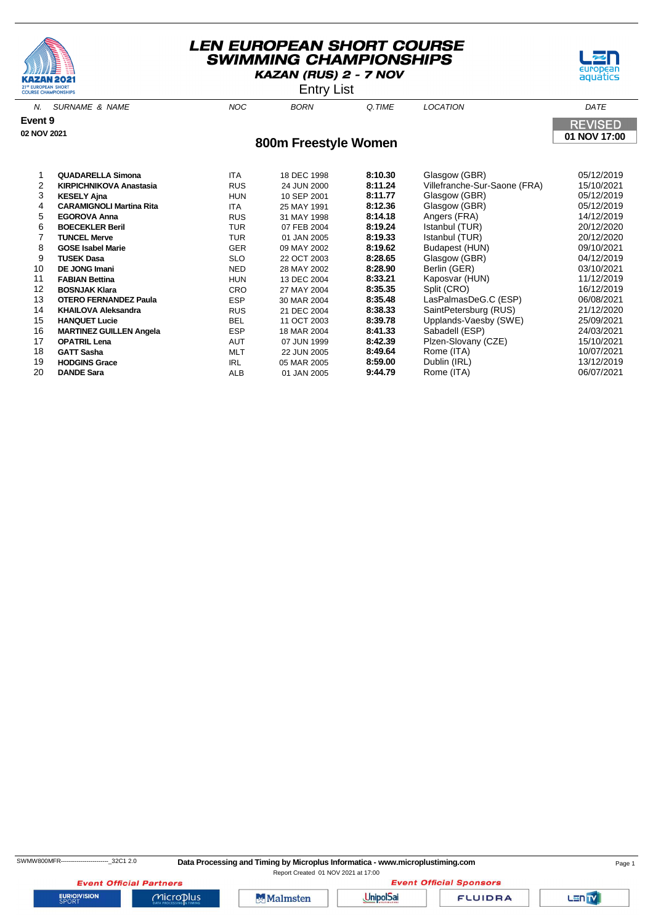



Entry List

| N.          | <b>SURNAME &amp; NAME</b>       | <b>NOC</b> | <b>BORN</b>          | Q.TIME  | <b>LOCATION</b>              | DATE           |
|-------------|---------------------------------|------------|----------------------|---------|------------------------------|----------------|
| Event 9     |                                 |            |                      |         |                              | <b>REVISED</b> |
| 02 NOV 2021 |                                 |            | 800m Freestyle Women |         |                              | 01 NOV 17:00   |
|             |                                 |            |                      |         |                              |                |
|             |                                 |            |                      |         |                              |                |
|             | <b>QUADARELLA Simona</b>        | <b>ITA</b> | 18 DEC 1998          | 8:10.30 | Glasgow (GBR)                | 05/12/2019     |
| 2           | <b>KIRPICHNIKOVA Anastasia</b>  | <b>RUS</b> | 24 JUN 2000          | 8:11.24 | Villefranche-Sur-Saone (FRA) | 15/10/2021     |
| 3           | <b>KESELY Ajna</b>              | <b>HUN</b> | 10 SEP 2001          | 8:11.77 | Glasgow (GBR)                | 05/12/2019     |
| 4           | <b>CARAMIGNOLI Martina Rita</b> | <b>ITA</b> | 25 MAY 1991          | 8:12.36 | Glasgow (GBR)                | 05/12/2019     |
| 5           | <b>EGOROVA Anna</b>             | <b>RUS</b> | 31 MAY 1998          | 8:14.18 | Angers (FRA)                 | 14/12/2019     |
| 6           | <b>BOECEKLER Beril</b>          | <b>TUR</b> | 07 FEB 2004          | 8:19.24 | Istanbul (TUR)               | 20/12/2020     |
|             | <b>TUNCEL Merve</b>             | <b>TUR</b> | 01 JAN 2005          | 8:19.33 | Istanbul (TUR)               | 20/12/2020     |
| 8           | <b>GOSE Isabel Marie</b>        | <b>GER</b> | 09 MAY 2002          | 8:19.62 | Budapest (HUN)               | 09/10/2021     |
| 9           | <b>TUSEK Dasa</b>               | <b>SLO</b> | 22 OCT 2003          | 8:28.65 | Glasgow (GBR)                | 04/12/2019     |
| 10          | DE JONG Imani                   | <b>NED</b> | 28 MAY 2002          | 8:28.90 | Berlin (GER)                 | 03/10/2021     |
| 11          | <b>FABIAN Bettina</b>           | <b>HUN</b> | 13 DEC 2004          | 8:33.21 | Kaposvar (HUN)               | 11/12/2019     |
| 12          | <b>BOSNJAK Klara</b>            | <b>CRO</b> | 27 MAY 2004          | 8:35.35 | Split (CRO)                  | 16/12/2019     |
| 13          | <b>OTERO FERNANDEZ Paula</b>    | <b>ESP</b> | 30 MAR 2004          | 8:35.48 | LasPalmasDeG.C (ESP)         | 06/08/2021     |
| 14          | <b>KHAILOVA Aleksandra</b>      | <b>RUS</b> | 21 DEC 2004          | 8:38.33 | SaintPetersburg (RUS)        | 21/12/2020     |
| 15          | <b>HANQUET Lucie</b>            | <b>BEL</b> | 11 OCT 2003          | 8:39.78 | Upplands-Vaesby (SWE)        | 25/09/2021     |
| 16          | <b>MARTINEZ GUILLEN Angela</b>  | <b>ESP</b> | 18 MAR 2004          | 8:41.33 | Sabadell (ESP)               | 24/03/2021     |

 **MARTINEZ GUILLEN Angela** ESP 18 MAR 2004 **8:41.33** Sabadell (ESP) 24/03/2021 **OPATRIL Lena** 19/10/2021<br>18 **GATT Sasha** 1999 **15/10/2021** 18 **CATT Sasha** 10/07/2021<br>18 **GATT Sasha** 10/07/2021 **GATT Sasha** MLT 22 JUN 2005 **8:49.64** Rome (ITA) 10/07/2021 **HODGINS Grace** IRL 05 MAR 2005 **8:59.00** Dublin (IRL) 13/12/2019 **DANDE Sara** ALB 01 JAN 2005 **9:44.79** Rome (ITA) 06/07/2021

**EURIOVISION** 

**Event Official Partners** 

Microplus



**Event Official Sponsors UnipolSai** 

**FLUIDRA** 

Lanty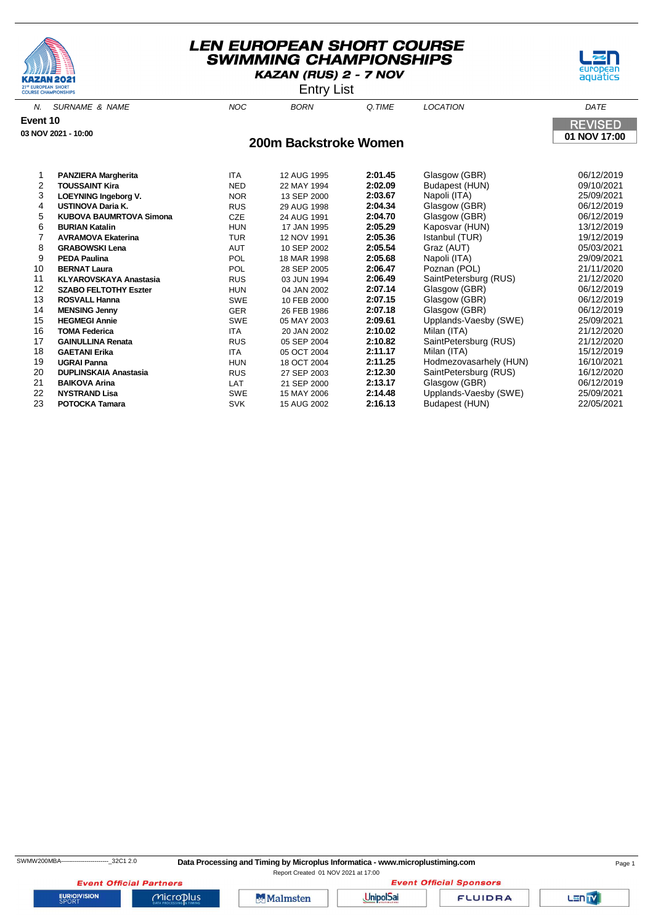



Entry List

| N.       | <b>SURNAME &amp; NAME</b>      | <b>NOC</b> | <b>BORN</b>           | Q.TIME             | LOCATION              | DATE                     |
|----------|--------------------------------|------------|-----------------------|--------------------|-----------------------|--------------------------|
| Event 10 |                                |            |                       |                    |                       | <b>REVISED</b>           |
|          | 03 NOV 2021 - 10:00            |            |                       |                    |                       | 01 NOV 17:00             |
|          |                                |            | 200m Backstroke Women |                    |                       |                          |
|          |                                |            |                       |                    |                       |                          |
| 2        | <b>PANZIERA Margherita</b>     | <b>ITA</b> | 12 AUG 1995           | 2:01.45<br>2:02.09 | Glasgow (GBR)         | 06/12/2019<br>09/10/2021 |
| 3        | <b>TOUSSAINT Kira</b>          | <b>NED</b> | 22 MAY 1994           |                    | Budapest (HUN)        |                          |
|          | <b>LOEYNING Ingeborg V.</b>    | <b>NOR</b> | 13 SEP 2000           | 2:03.67            | Napoli (ITA)          | 25/09/2021               |
| 4        | <b>USTINOVA Daria K.</b>       | <b>RUS</b> | 29 AUG 1998           | 2:04.34            | Glasgow (GBR)         | 06/12/2019               |
| 5        | <b>KUBOVA BAUMRTOVA Simona</b> | CZE        | 24 AUG 1991           | 2:04.70            | Glasgow (GBR)         | 06/12/2019               |
| 6        | <b>BURIAN Katalin</b>          | <b>HUN</b> | 17 JAN 1995           | 2:05.29            | Kaposvar (HUN)        | 13/12/2019               |
|          | <b>AVRAMOVA Ekaterina</b>      | <b>TUR</b> | 12 NOV 1991           | 2:05.36            | Istanbul (TUR)        | 19/12/2019               |
| 8        | <b>GRABOWSKI Lena</b>          | AUT        | 10 SEP 2002           | 2:05.54            | Graz (AUT)            | 05/03/2021               |
| 9        | <b>PEDA Paulina</b>            | <b>POL</b> | 18 MAR 1998           | 2:05.68            | Napoli (ITA)          | 29/09/2021               |
| 10       | <b>BERNAT Laura</b>            | <b>POL</b> | 28 SEP 2005           | 2:06.47            | Poznan (POL)          | 21/11/2020               |
| 11       | <b>KLYAROVSKAYA Anastasia</b>  | <b>RUS</b> | 03 JUN 1994           | 2:06.49            | SaintPetersburg (RUS) | 21/12/2020               |
| 12       | <b>SZABO FELTOTHY Eszter</b>   | <b>HUN</b> | 04 JAN 2002           | 2:07.14            | Glasgow (GBR)         | 06/12/2019               |
| 13       | <b>ROSVALL Hanna</b>           | <b>SWE</b> | 10 FEB 2000           | 2:07.15            | Glasgow (GBR)         | 06/12/2019               |
| 14       | <b>MENSING Jenny</b>           | <b>GER</b> | 26 FEB 1986           | 2:07.18            | Glasgow (GBR)         | 06/12/2019               |
| 15       | <b>HEGMEGI Annie</b>           | <b>SWE</b> | 05 MAY 2003           | 2:09.61            | Upplands-Vaesby (SWE) | 25/09/2021               |
| 16       | TOMA Federica                  | <b>ITA</b> | 20 JAN 2002           | 2:10.02            | Milan (ITA)           | 21/12/2020               |
| 17       | <b>GAINULLINA Renata</b>       | <b>RUS</b> | 05 SEP 2004           | 2:10.82            | SaintPetersburg (RUS) | 21/12/2020               |

 **GAETANI Erika** ITA 05 OCT 2004 **2:11.17** Milan (ITA) 15/12/2019 **UGRAI Panna** HUN 18 OCT 2004 **2:11.25** Hodmezovasarhely (HUN) 16/10/2021 **DUPLINSKAIA Anastasia** RUS 27 SEP 2003 **2:12.30** SaintPetersburg (RUS) 16/12/2020 **BAIKOVA Arina** LAT 21 SEP 2000 **2:13.17** Glasgow (GBR) 06/12/2019 **NYSTRAND Lisa** SWE 15 MAY 2006 **2:14.48** Upplands-Vaesby (SWE) 25/09/2021

**PORTOCKA TAMARA PORTOCKA TAMARA 2:16.13** Budapest (HUN)

SWMW200MBA------------------------\_32C1 2.0 **Data Processing and Timing by Microplus Informatica - www.microplustiming.com** Page 1

Report Created 01 NOV 2021 at 17:00**Event Official Sponsors** 



**Event Official Partners** 

Microplus

**Malmsten** 

**UnipolSai** 

**FLUIDRA** 

Lanty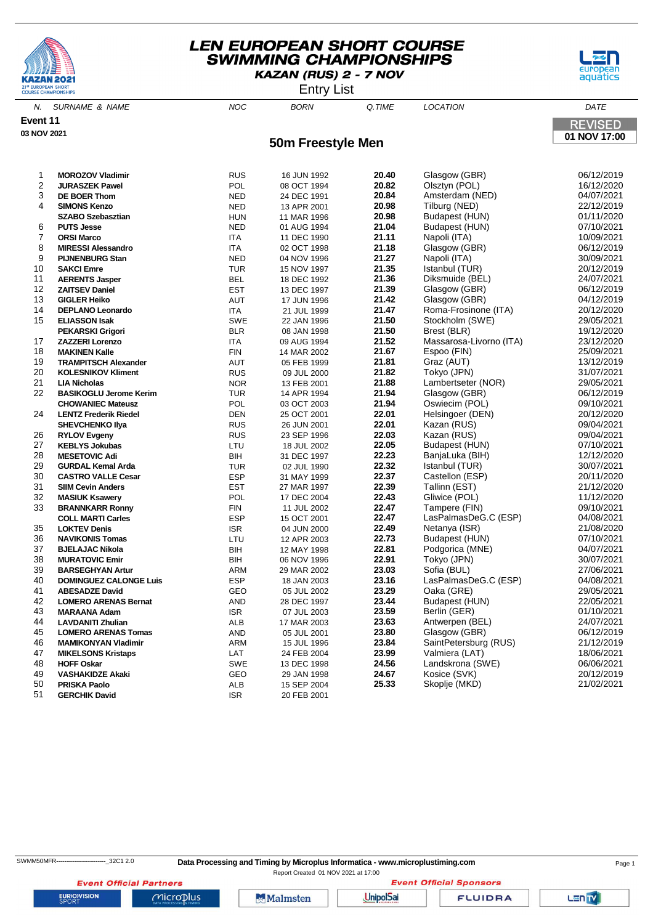





N. SURNAME & NAME  $NOC$  BORN Q.TIME LOCATION DATE **Event 11 REVISED 03 NOV 2021 01 NOV 17:00 50m Freestyle Men MOROZOV Vladimir** RUS 16 JUN 1992 **20.40** Glasgow (GBR) 06/12/2019 **20.82 JURASZEK Pawel 20.82**<br>
20.84 **DE BOER Thom**<br>
20.84 **DED** 24 DEC 1991 20.84 **DE BOER Thom** NED 24 DEC 1991 **20.84** Amsterdam (NED) 04/07/2021 **SIMONS Kenzo** NED 13 APR 2001 **20.98** Tilburg (NED) 22/12/2019

|    |                               | .          | 10 7 11 11 200 1 | -     | 11001.911127            | ---------  |
|----|-------------------------------|------------|------------------|-------|-------------------------|------------|
|    | <b>SZABO Szebasztian</b>      | <b>HUN</b> | 11 MAR 1996      | 20.98 | Budapest (HUN)          | 01/11/2020 |
| 6  | <b>PUTS Jesse</b>             | <b>NED</b> | 01 AUG 1994      | 21.04 | Budapest (HUN)          | 07/10/2021 |
| 7  | <b>ORSI Marco</b>             | ITA        | 11 DEC 1990      | 21.11 | Napoli (ITA)            | 10/09/2021 |
| 8  | <b>MIRESSI Alessandro</b>     | <b>ITA</b> | 02 OCT 1998      | 21.18 | Glasgow (GBR)           | 06/12/2019 |
| 9  | <b>PIJNENBURG Stan</b>        | <b>NED</b> | 04 NOV 1996      | 21.27 | Napoli (ITA)            | 30/09/2021 |
| 10 | <b>SAKCI Emre</b>             | <b>TUR</b> | 15 NOV 1997      | 21.35 | Istanbul (TUR)          | 20/12/2019 |
| 11 | <b>AERENTS Jasper</b>         | <b>BEL</b> | 18 DEC 1992      | 21.36 | Diksmuide (BEL)         | 24/07/2021 |
| 12 | <b>ZAITSEV Daniel</b>         | <b>EST</b> | 13 DEC 1997      | 21.39 | Glasgow (GBR)           | 06/12/2019 |
| 13 | <b>GIGLER Heiko</b>           | AUT        | 17 JUN 1996      | 21.42 | Glasgow (GBR)           | 04/12/2019 |
| 14 | <b>DEPLANO Leonardo</b>       | ITA        | 21 JUL 1999      | 21.47 | Roma-Frosinone (ITA)    | 20/12/2020 |
| 15 | <b>ELIASSON Isak</b>          | SWE        | 22 JAN 1996      | 21.50 | Stockholm (SWE)         | 29/05/2021 |
|    | <b>PEKARSKI Grigori</b>       | <b>BLR</b> | 08 JAN 1998      | 21.50 | Brest (BLR)             | 19/12/2020 |
| 17 | <b>ZAZZERI Lorenzo</b>        | ITA        | 09 AUG 1994      | 21.52 | Massarosa-Livorno (ITA) | 23/12/2020 |
| 18 | <b>MAKINEN Kalle</b>          | FIN        | 14 MAR 2002      | 21.67 | Espoo (FIN)             | 25/09/2021 |
| 19 | <b>TRAMPITSCH Alexander</b>   | AUT        | 05 FEB 1999      | 21.81 | Graz (AUT)              | 13/12/2019 |
| 20 | <b>KOLESNIKOV Kliment</b>     | <b>RUS</b> | 09 JUL 2000      | 21.82 | Tokyo (JPN)             | 31/07/2021 |
| 21 | <b>LIA Nicholas</b>           | <b>NOR</b> | 13 FEB 2001      | 21.88 | Lambertseter (NOR)      | 29/05/2021 |
| 22 | <b>BASIKOGLU Jerome Kerim</b> | <b>TUR</b> | 14 APR 1994      | 21.94 | Glasgow (GBR)           | 06/12/2019 |
|    | <b>CHOWANIEC Mateusz</b>      | POL        | 03 OCT 2003      | 21.94 | Oswiecim (POL)          | 09/10/2021 |
| 24 | <b>LENTZ Frederik Riedel</b>  | <b>DEN</b> | 25 OCT 2001      | 22.01 | Helsingoer (DEN)        | 20/12/2020 |
|    | <b>SHEVCHENKO IIya</b>        | <b>RUS</b> | 26 JUN 2001      | 22.01 | Kazan (RUS)             | 09/04/2021 |
| 26 | <b>RYLOV Evgeny</b>           | <b>RUS</b> | 23 SEP 1996      | 22.03 | Kazan (RUS)             | 09/04/2021 |
| 27 | <b>KEBLYS Jokubas</b>         | LTU        | 18 JUL 2002      | 22.05 | Budapest (HUN)          | 07/10/2021 |
| 28 | <b>MESETOVIC Adi</b>          | BIH        | 31 DEC 1997      | 22.23 | BanjaLuka (BIH)         | 12/12/2020 |
| 29 | <b>GURDAL Kemal Arda</b>      | <b>TUR</b> | 02 JUL 1990      | 22.32 | Istanbul (TUR)          | 30/07/2021 |
| 30 | <b>CASTRO VALLE Cesar</b>     | <b>ESP</b> | 31 MAY 1999      | 22.37 | Castellon (ESP)         | 20/11/2020 |
| 31 | <b>SIIM Cevin Anders</b>      | <b>EST</b> | 27 MAR 1997      | 22.39 | Tallinn (EST)           | 21/12/2020 |
| 32 | <b>MASIUK Ksawery</b>         | POL        | 17 DEC 2004      | 22.43 | Gliwice (POL)           | 11/12/2020 |
| 33 | <b>BRANNKARR Ronny</b>        | <b>FIN</b> | 11 JUL 2002      | 22.47 | Tampere (FIN)           | 09/10/2021 |
|    | <b>COLL MARTI Carles</b>      | <b>ESP</b> | 15 OCT 2001      | 22.47 | LasPalmasDeG.C (ESP)    | 04/08/2021 |
| 35 | <b>LOKTEV Denis</b>           | <b>ISR</b> | 04 JUN 2000      | 22.49 | Netanya (ISR)           | 21/08/2020 |
| 36 | <b>NAVIKONIS Tomas</b>        | LTU        | 12 APR 2003      | 22.73 | Budapest (HUN)          | 07/10/2021 |
| 37 | <b>BJELAJAC Nikola</b>        | <b>BIH</b> | 12 MAY 1998      | 22.81 | Podgorica (MNE)         | 04/07/2021 |
| 38 | <b>MURATOVIC Emir</b>         | BIH        | 06 NOV 1996      | 22.91 | Tokyo (JPN)             | 30/07/2021 |
| 39 | <b>BARSEGHYAN Artur</b>       | <b>ARM</b> | 29 MAR 2002      | 23.03 | Sofia (BUL)             | 27/06/2021 |
| 40 | <b>DOMINGUEZ CALONGE Luis</b> | <b>ESP</b> | 18 JAN 2003      | 23.16 | LasPalmasDeG.C (ESP)    | 04/08/2021 |
| 41 | <b>ABESADZE David</b>         | GEO        | 05 JUL 2002      | 23.29 | Oaka (GRE)              | 29/05/2021 |
| 42 | <b>LOMERO ARENAS Bernat</b>   | AND        | 28 DEC 1997      | 23.44 | Budapest (HUN)          | 22/05/2021 |
| 43 | <b>MARAANA Adam</b>           | <b>ISR</b> | 07 JUL 2003      | 23.59 | Berlin (GER)            | 01/10/2021 |
| 44 | <b>LAVDANITI Zhulian</b>      | ALB        | 17 MAR 2003      | 23.63 | Antwerpen (BEL)         | 24/07/2021 |
| 45 | <b>LOMERO ARENAS Tomas</b>    | AND        | 05 JUL 2001      | 23.80 | Glasgow (GBR)           | 06/12/2019 |
| 46 | <b>MAMIKONYAN Vladimir</b>    | ARM        | 15 JUL 1996      | 23.84 | SaintPetersburg (RUS)   | 21/12/2019 |
| 47 | <b>MIKELSONS Kristaps</b>     | LAT        | 24 FEB 2004      | 23.99 | Valmiera (LAT)          | 18/06/2021 |
| 48 | <b>HOFF Oskar</b>             | <b>SWE</b> | 13 DEC 1998      | 24.56 | Landskrona (SWE)        | 06/06/2021 |
| 49 | <b>VASHAKIDZE Akaki</b>       | GEO        | 29 JAN 1998      | 24.67 | Kosice (SVK)            | 20/12/2019 |
| 50 | <b>PRISKA Paolo</b>           | ALB        | 15 SEP 2004      | 25.33 | Skoplje (MKD)           | 21/02/2021 |
| 51 | <b>GERCHIK David</b>          | <b>ISR</b> | 20 FEB 2001      |       |                         |            |
|    |                               |            |                  |       |                         |            |

Report Created 01 NOV 2021 at 17:00

**Event Official Sponsors** 

LENTY

**EURIOVISION** 

**Event Official Partners** 

Microplus

Malmsten

**UnipolSai** 

**FLUIDRA**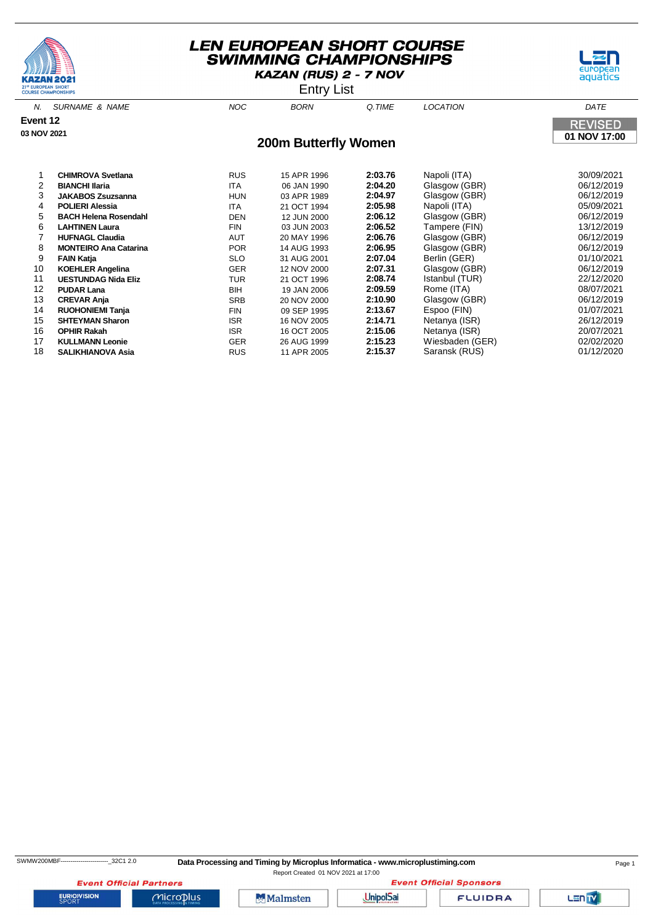





N. SURNAME & NAME  $N$  and  $N$  and  $N$  born  $\alpha$  time  $N$  location  $\alpha$  dates the  $N$ **Event 12 REVISED 03 NOV 2021 01 NOV 17:00 200m Butterfly Women CHIMROVA Svetlana** RUS 15 APR 1996 **2:03.76** Napoli (ITA) 30/09/2021 **BIANCHI Ilaria** ITA 06 JAN 1990 **2:04.20** Glasgow (GBR) 06/12/2019 **JAKABOS Zsuzsanna** HUN 03 APR 1989 **2:04.97** Glasgow (GBR) 06/12/2019 **POLIERI Alessia** ITA 21 OCT 1994 **2:05.98** Napoli (ITA) 05/09/2021 **BACH Helena Rosendahl DEN** DEN 12 JUN 2000 **LAHTINEN Laura** FIN 03 JUN 2003 **2:06.52** Tampere (FIN) 13/12/2019 **HUFNAGL Claudia** AUT 20 MAY 1996 **2:06.76** Glasgow (GBR) 06/12/2019 **MONTEIRO Ana Catarina** POR 14 AUG 1993 **2:06.95** Glasgow (GBR) 06/12/2019 **FAIN Katja** SLO 31 AUG 2001 **2:07.04** Berlin (GER) 01/10/2021 **KOEHLER Angelina** GER 12 NOV 2000 **2:07.31** Glasgow (GBR) 06/12/2019 **UESTUNDAG Nida Eliz** TUR 21 OCT 1996 **2:08.74** Istanbul (TUR) 22/12/2020 **PUDAR Lana** BIH 19 JAN 2006 **2:09.59** Rome (ITA) 08/07/2021 **CREVAR Anja** SRB 20 NOV 2000 **2:10.90** Glasgow (GBR) 06/12/2019 **RUOHONIEMI Tanja** FIN 09 SEP 1995 **2:13.67** Espoo (FIN) 01/07/2021 **15 SHTEYMAN Sharon** 15 NOV 2005 2:14.71<br>16 OCT 2005 2:15.06 **OPHIR Rakah** ISR 16 OCT 2005 **2:15.06** Netanya (ISR) 20/07/2021

17 **KULLMANN Leonie** GER 26 AUG 1999 **2:15.23** Wiesbaden (GER) 02/02/2020 18 **SALIKHIANOVA Asia** RUS 11 APR 2005 **2:15.37** Saransk (RUS) 01/12/2020

SWMW200MBF------------------------\_32C1 2.0 **Data Processing and Timing by Microplus Informatica - www.microplustiming.com** Page 1

Report Created 01 NOV 2021 at 17:00

**Event Official Partners EURIOVISION** 

 $Microplus$ 



**Event Official Sponsors UnipolSai** 

**FLUIDRA**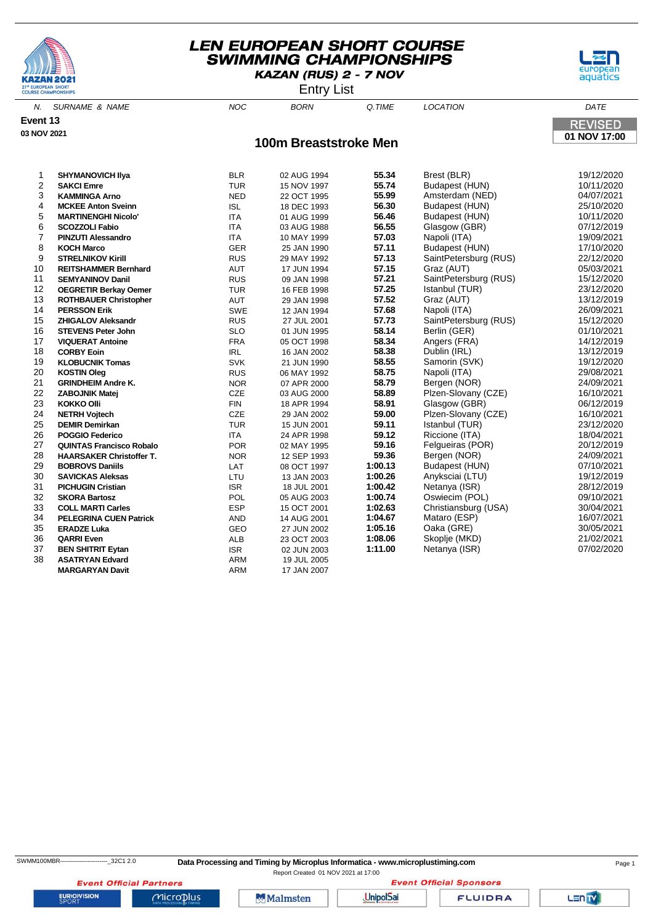





N. SURNAME & NAME  $NOC$  BORN Q.TIME LOCATION DATE **Event 13 REVISED 03 NOV 2021 01 NOV 17:00 100m Breaststroke Men SHYMANOVICH Ilya** BLR 02 AUG 1994 **55.34** Brest (BLR) 19/12/2020 <sup>2</sup> **SACCI EMPLE 15 NOV 1997 55.74** Budapest (HUN)<br>
22 OCT 1995 **55.99** Amsterdam (NEI **KAMMINGA Arno** NED 22 OCT 1995 **55.99** Amsterdam (NED) 04/07/2021 **MCKEE Anton Sveinn** ISL 18 DEC 1993 **56.30** Budapest (HUN) 25/10/2020 **MARTINENGHI Nicolo'** ITA 01 AUG 1999 **56.46** Budapest (HUN) 10/11/2020 **SCOZZOLI Fabio** ITA 03 AUG 1988 **56.55** Glasgow (GBR) 07/12/2019 **PINZUTI Alessandro** ITA 10 MAY 1999 **57.03** Napoli (ITA) 19/09/2021 **KOCH Marco** GER 25 JAN 1990 **57.11** Budapest (HUN) 17/10/2020

| 7  | <b>PINZUTI Alessandro</b>       | ITA        | 10 MAY 1999 | 57.03   | Napoli (ITA)          | 19/09/2021 |
|----|---------------------------------|------------|-------------|---------|-----------------------|------------|
| 8  | <b>KOCH Marco</b>               | <b>GER</b> | 25 JAN 1990 | 57.11   | Budapest (HUN)        | 17/10/2020 |
| 9  | <b>STRELNIKOV Kirill</b>        | <b>RUS</b> | 29 MAY 1992 | 57.13   | SaintPetersburg (RUS) | 22/12/2020 |
| 10 | <b>REITSHAMMER Bernhard</b>     | <b>AUT</b> | 17 JUN 1994 | 57.15   | Graz (AUT)            | 05/03/2021 |
| 11 | <b>SEMYANINOV Danil</b>         | <b>RUS</b> | 09 JAN 1998 | 57.21   | SaintPetersburg (RUS) | 15/12/2020 |
| 12 | <b>OEGRETIR Berkay Oemer</b>    | <b>TUR</b> | 16 FEB 1998 | 57.25   | Istanbul (TUR)        | 23/12/2020 |
| 13 | <b>ROTHBAUER Christopher</b>    | <b>AUT</b> | 29 JAN 1998 | 57.52   | Graz (AUT)            | 13/12/2019 |
| 14 | <b>PERSSON Erik</b>             | <b>SWE</b> | 12 JAN 1994 | 57.68   | Napoli (ITA)          | 26/09/2021 |
| 15 | <b>ZHIGALOV Aleksandr</b>       | <b>RUS</b> | 27 JUL 2001 | 57.73   | SaintPetersburg (RUS) | 15/12/2020 |
| 16 | <b>STEVENS Peter John</b>       | <b>SLO</b> | 01 JUN 1995 | 58.14   | Berlin (GER)          | 01/10/2021 |
| 17 | <b>VIQUERAT Antoine</b>         | <b>FRA</b> | 05 OCT 1998 | 58.34   | Angers (FRA)          | 14/12/2019 |
| 18 | <b>CORBY Eoin</b>               | <b>IRL</b> | 16 JAN 2002 | 58.38   | Dublin (IRL)          | 13/12/2019 |
| 19 | <b>KLOBUCNIK Tomas</b>          | <b>SVK</b> | 21 JUN 1990 | 58.55   | Samorin (SVK)         | 19/12/2020 |
| 20 | <b>KOSTIN Oleg</b>              | <b>RUS</b> | 06 MAY 1992 | 58.75   | Napoli (ITA)          | 29/08/2021 |
| 21 | <b>GRINDHEIM Andre K.</b>       | <b>NOR</b> | 07 APR 2000 | 58.79   | Bergen (NOR)          | 24/09/2021 |
| 22 | <b>ZABOJNIK Matej</b>           | <b>CZE</b> | 03 AUG 2000 | 58.89   | Plzen-Slovany (CZE)   | 16/10/2021 |
| 23 | <b>KOKKO Olli</b>               | <b>FIN</b> | 18 APR 1994 | 58.91   | Glasgow (GBR)         | 06/12/2019 |
| 24 | <b>NETRH Vojtech</b>            | <b>CZE</b> | 29 JAN 2002 | 59.00   | Plzen-Slovany (CZE)   | 16/10/2021 |
| 25 | <b>DEMIR Demirkan</b>           | <b>TUR</b> | 15 JUN 2001 | 59.11   | Istanbul (TUR)        | 23/12/2020 |
| 26 | <b>POGGIO Federico</b>          | <b>ITA</b> | 24 APR 1998 | 59.12   | Riccione (ITA)        | 18/04/2021 |
| 27 | <b>QUINTAS Francisco Robalo</b> | <b>POR</b> | 02 MAY 1995 | 59.16   | Felgueiras (POR)      | 20/12/2019 |
| 28 | <b>HAARSAKER Christoffer T.</b> | <b>NOR</b> | 12 SEP 1993 | 59.36   | Bergen (NOR)          | 24/09/2021 |
| 29 | <b>BOBROVS Daniils</b>          | LAT        | 08 OCT 1997 | 1:00.13 | Budapest (HUN)        | 07/10/2021 |
| 30 | <b>SAVICKAS Aleksas</b>         | <b>LTU</b> | 13 JAN 2003 | 1:00.26 | Anyksciai (LTU)       | 19/12/2019 |
| 31 | <b>PICHUGIN Cristian</b>        | <b>ISR</b> | 18 JUL 2001 | 1:00.42 | Netanya (ISR)         | 28/12/2019 |
| 32 | <b>SKORA Bartosz</b>            | <b>POL</b> | 05 AUG 2003 | 1:00.74 | Oswiecim (POL)        | 09/10/2021 |
| 33 | <b>COLL MARTI Carles</b>        | <b>ESP</b> | 15 OCT 2001 | 1:02.63 | Christiansburg (USA)  | 30/04/2021 |
| 34 | <b>PELEGRINA CUEN Patrick</b>   | <b>AND</b> | 14 AUG 2001 | 1:04.67 | Mataro (ESP)          | 16/07/2021 |
| 35 | <b>ERADZE Luka</b>              | GEO        | 27 JUN 2002 | 1:05.16 | Oaka (GRE)            | 30/05/2021 |
| 36 | <b>QARRI Even</b>               | ALB        | 23 OCT 2003 | 1:08.06 | Skoplje (MKD)         | 21/02/2021 |
| 37 | <b>BEN SHITRIT Eytan</b>        | <b>ISR</b> | 02 JUN 2003 | 1:11.00 | Netanya (ISR)         | 07/02/2020 |
| 38 | <b>ASATRYAN Edvard</b>          | <b>ARM</b> | 19 JUL 2005 |         |                       |            |
|    | <b>MARGARYAN Davit</b>          | <b>ARM</b> | 17 JAN 2007 |         |                       |            |

SWMM100MBR------------------------\_32C1 2.0 **Data Processing and Timing by Microplus Informatica - www.microplustiming.com** Page 1

Report Created 01 NOV 2021 at 17:00**Event Official Sponsors** 

**Event Official Partners EURIOVISION** 

**Malmsten** 

Microplus

**UnipolSai** 

**FLUIDRA**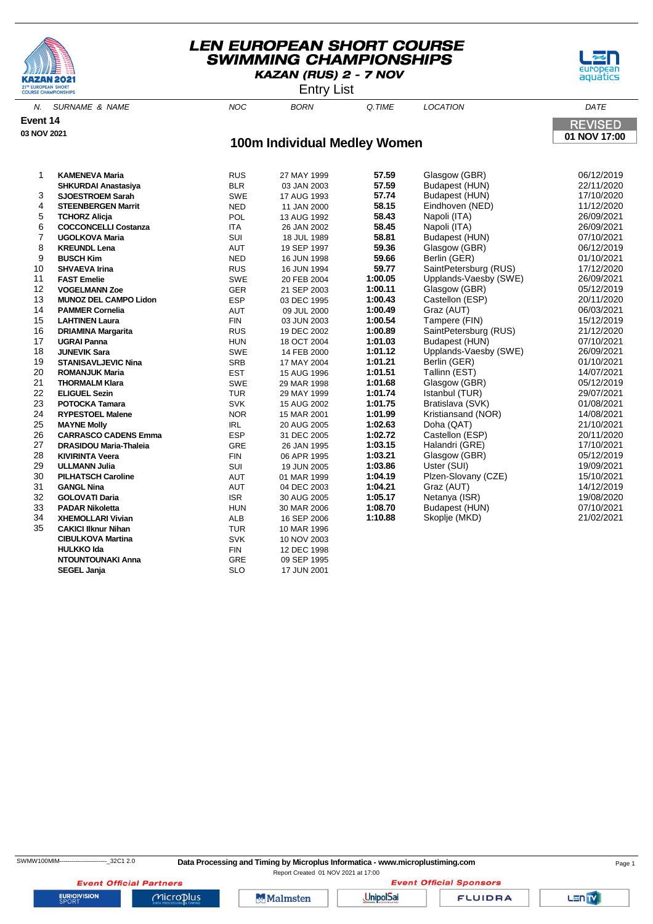





N. SURNAME & NAME  $N$  and  $N$  and  $N$  born  $\alpha$  time  $N$  location  $\alpha$  dates the  $N$ **Event 14 REVISED 03 NOV 2021 01 NOV 17:00 100m Individual Medley Women** 1 **KAMENEVA Maria** RUS 27 MAY 1999 **57.59** Glasgow (GBR) 06/12/2019 **SHKURDAI Anastasiya** BLR 03 JAN 2003 3 **SJOESTROEM Sarah** SWE 17 AUG 1993 **57.74** Budapest (HUN) 17/10/2020 4 **STEENBERGEN Marrit** NED 11 JAN 2000 **58.15** Eindhoven (NED) 11/12/2020 5 **TCHORZ Alicja** POL 13 AUG 1992 **58.43** Napoli (ITA) 26/09/2021 6 **COCCONCELLI Costanza** ITA 26 JAN 2002 **58.45** Napoli (ITA) 26/09/2021 7 **UGOLKOVA Maria** SUI 18 JUL 1989 **58.81** Budapest (HUN) 07/10/2021

 **KREUNDL Lena** AUT 19 SEP 1997 **59.36** Glasgow (GBR) 06/12/2019 **BUSCH Kim** NED 16 JUN 1998 **59.66** Berlin (GER) 01/10/2021 **SHVAEVA Irina** RUS 16 JUN 1994 **59.77** SaintPetersburg (RUS) 17/12/2020 **FAST Emelie** SWE 20 FEB 2004 **1:00.05** Upplands-Vaesby (SWE) 26/09/2021 **VOGELMANN Zoe** GER 21 SEP 2003 **1:00.11** Glasgow (GBR) 05/12/2019

14 **PAMMER Cornelia** AUT 09 JUL 2000 **1:00.49** Graz (AUT) 06/03/2021 15 **LAHTINEN Laura** FIN 03 JUN 2003 **1:00.54** Tampere (FIN) 15/12/2019 16 **DRIAMINA Margarita** RUS 19 DEC 2002 **1:00.89** SaintPetersburg (RUS) 21/12/2020

 **JUNEVIK Sara** SWE 14 FEB 2000 **1:01.12** Upplands-Vaesby (SWE) 26/09/2021 **STANISAVLJEVIC Nina** SRB 17 MAY 2004 **1:01.21** Berlin (GER) 01/10/2021 **ROMANJUK Maria** EST 15 AUG 1996 **1:01.51** Tallinn (EST) 14/07/2021 **THORMALM Klara** SWE 29 MAR 1998 **1:01.68** Glasgow (GBR) 05/12/2019 **ELIGUEL Sezin** TUR 29 MAY 1999 **1:01.74** Istanbul (TUR) 29/07/2021 **POTOCKA Tamara** SVK 15 AUG 2002 **1:01.75** Bratislava (SVK) 01/08/2021 **RYPESTOEL Malene** NOR 15 MAR 2001 **1:01.99** Kristiansand (NOR) 14/08/2021 **MAYNE Molly** IRL 20 AUG 2005 **1:02.63** Doha (QAT) 21/10/2021 **CARRASCO CADENS Emma** ESP 31 DEC 2005 **1:02.72** Castellon (ESP) 20/11/2020 **DRASIDOU Maria-Thaleia** GRE 26 JAN 1995 **1:03.15** Halandri (GRE) 17/10/2021 **KIVIRINTA Veera** FIN 06 APR 1995 **1:03.21** Glasgow (GBR) 05/12/2019 **ULLMANN Julia** SUI 19 JUN 2005 **1:03.86** Uster (SUI) 19/09/2021 **PILHATSCH Caroline** AUT 01 MAR 1999 **1:04.19** Plzen-Slovany (CZE) 15/10/2021 **GANGL Nina** AUT 04 DEC 2003 **1:04.21** Graz (AUT) 14/12/2019 **GOLOVATI Daria** ISR 30 AUG 2005 **1:05.17** Netanya (ISR) 19/08/2020 **PADAR Nikoletta** HUN 30 MAR 2006 **1:08.70** Budapest (HUN) 07/10/2021 **XHEMOLLARI Vivian** ALB 16 SEP 2006 **1:10.88** Skoplje (MKD) 21/02/2021

**SEGEL Janja** SLO 17 JUN 2001

13 **MUNOZ DEL CAMPO Lidon** ESP 03 DEC 1995 **1:00.43** Castellon (ESP) 20/11/2020

35 **CAKICI Ilknur Nihan** TUR 10 MAR 1996 **CIBULKOVA Martina** SVK 10 NOV 2003 **HULKKO Ida** FIN 12 DFC 1998 **NTOUNTOUNAKI Anna** GRE 09 SEP 1995

**UGRAI Panna 18 OCT 2004 1:01.03** Budapest (HUN) **18** OCT 2004 **1:01.03** Budapest (HUN)

| SWMW100MIM----------------------- | 32C1 2. |  |
|-----------------------------------|---------|--|
|-----------------------------------|---------|--|

<sup>0</sup> Data Processing and Timing by Microplus Informatica - www.microplustiming.com **Data Processing and Timing by Microplus Informatica - www.microplustiming.com** 

Report Created 01 NOV 2021 at 17:00**Event Official Sponsors** 

**Event Official Partners** 

Microplus

**Malmsten** 

**UnipolSai** 

**FLUIDRA** 

LEN<sub>TV</sub>

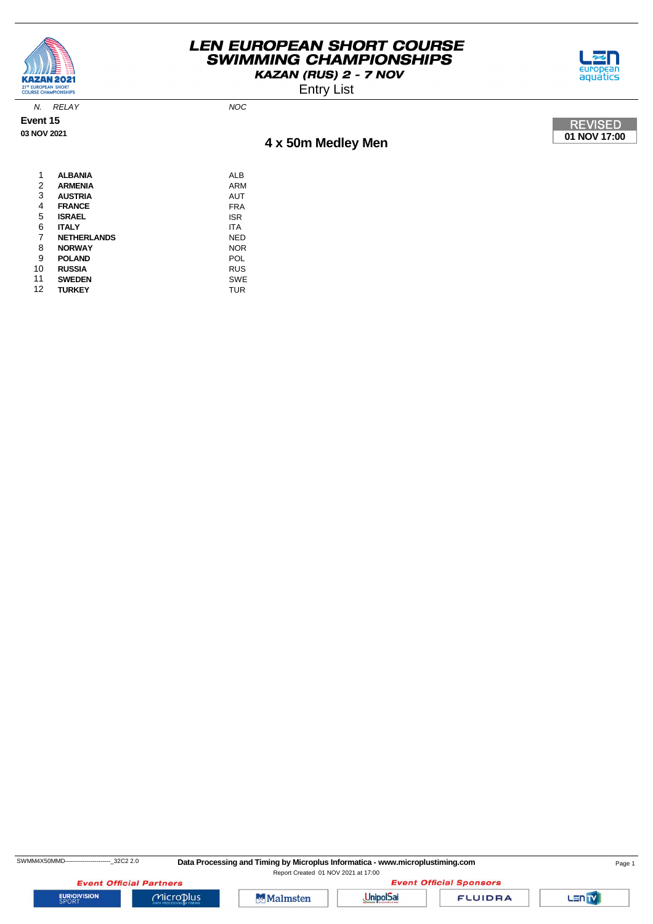

**Event 15 03 NOV 2021**

## **LEN EUROPEAN SHORT COURSE SWIMMING CHAMPIONSHIPS** KAZAN (RUS) 2 - 7 NOV



Entry List



| 1  | <b>ALBANIA</b>     | ALB        |
|----|--------------------|------------|
| 2  | <b>ARMENIA</b>     | ARM        |
| 3  | <b>AUSTRIA</b>     | <b>AUT</b> |
| 4  | <b>FRANCE</b>      | <b>FRA</b> |
| 5  | <b>ISRAEL</b>      | <b>ISR</b> |
| 6  | <b>ITALY</b>       | <b>ITA</b> |
| 7  | <b>NETHERLANDS</b> | NED        |
| 8  | <b>NORWAY</b>      | <b>NOR</b> |
| 9  | <b>POLAND</b>      | POL        |
| 10 | <b>RUSSIA</b>      | <b>RUS</b> |
| 11 | <b>SWEDEN</b>      | <b>SWE</b> |
| 12 | <b>TURKEY</b>      | TUR        |
|    |                    |            |

N. RELAY NOC

SWMM4X50MMD-----------------------------32C2 2.0 Data Processing and Timing by Microplus Informatica - www.microplustiming.com Page 1

Report Created 01 NOV 2021 at 17:00

**Event Official Partners EURIOVISION** 



 $Microplus$ 



**FLUIDRA** 

Lan<sub>TV</sub>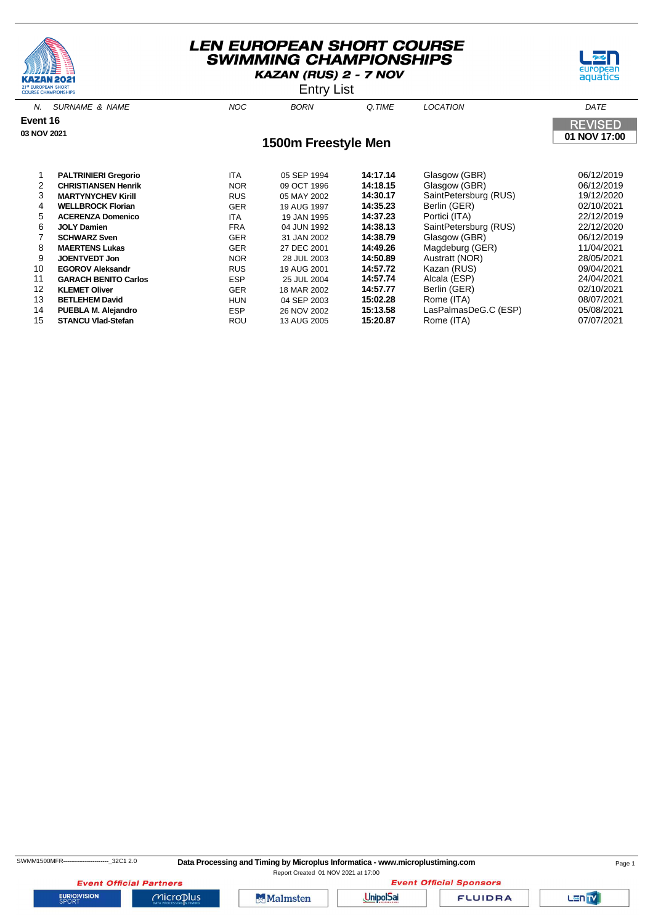





N. SURNAME & NAME  $N$  and  $N$  and  $N$  born  $\alpha$  time  $N$  location  $\alpha$  dates the  $N$ **Event 16 REVISED 03 NOV 2021 01 NOV 17:00 1500m Freestyle Men** 1 **PALTRINIERI Gregorio** ITA 05 SEP 1994 **14:17.14** Glasgow (GBR) 06/12/2019 2 **CHRISTIANSEN Henrik NOR** 09 OCT 1996 **14:18.15** Glasgow (GBR) 06/12/2019<br>2 MARTYNYCHEV Kirill RUS 05 MAY 2002 **14:30.17** SaintPetersburg (RUS) 19/12/2020 3 **MARTYNYCHEV Kirill RUS** 05 MAY 2002 **14:30.17** SaintPetersburg (RUS) 4 **WELLBROCK Florian** GER 19 AUG 1997 **14:35.23** Berlin (GER) 02/10/2021 **ACERENZA Domenico** ITA 6 **JOLY Damien** FRA 04 JUN 1992 **14:38.13** SaintPetersburg (RUS) 22/12/2020 7 **SCHWARZ Sven** GER 31 JAN 2002 **14:38.79** Glasgow (GBR) 06/12/2019 8 **MAERTENS Lukas** GER 27 DEC 2001 **14:49.26** Magdeburg (GER) 11/04/2021

9 **JOENTVEDT Jon** NOR 28 JUL 2003 **14:50.89** Austratt (NOR) 28/05/2021

 **GARACH BENITO Carlos** ESP 25 JUL 2004 **14:57.74** Alcala (ESP) 24/04/2021 **KLEMET Oliver** GER 18 MAR 2002 **14:57.77** Berlin (GER) 02/10/2021 **BETLEHEM David** HUN 04 SEP 2003 **15:02.28** Rome (ITA) 08/07/2021 **PUEBLA M. Alejandro** ESP 26 NOV 2002 **15:13.58** LasPalmasDeG.C (ESP) 05/08/2021

**14:57.72 Kazandr RUS RUS 19 AUG 2001 14:57.72 Kazan (RUS) 6ARACH BENITO Carlos Carroll COST RUS**<br>
CORACH BENITO Carlos **COST COST COST COST 25 JUL 2004** 14:57.74 Alcala (ESP)

**STANCU Vlad-Stefan** ROU 13 AUG 2005

**EURIOVISION** 

 SWMM1500MFR-----------------------\_32C1 2.0 **Data Processing and Timing by Microplus Informatica - www.microplustiming.com** Page 1 Report Created 01 NOV 2021 at 17:00

**Event Official Partners** 

 $Microplus$ 

**Malmsten** 

**Event Official Sponsors UnipolSai** 

**FLUIDRA**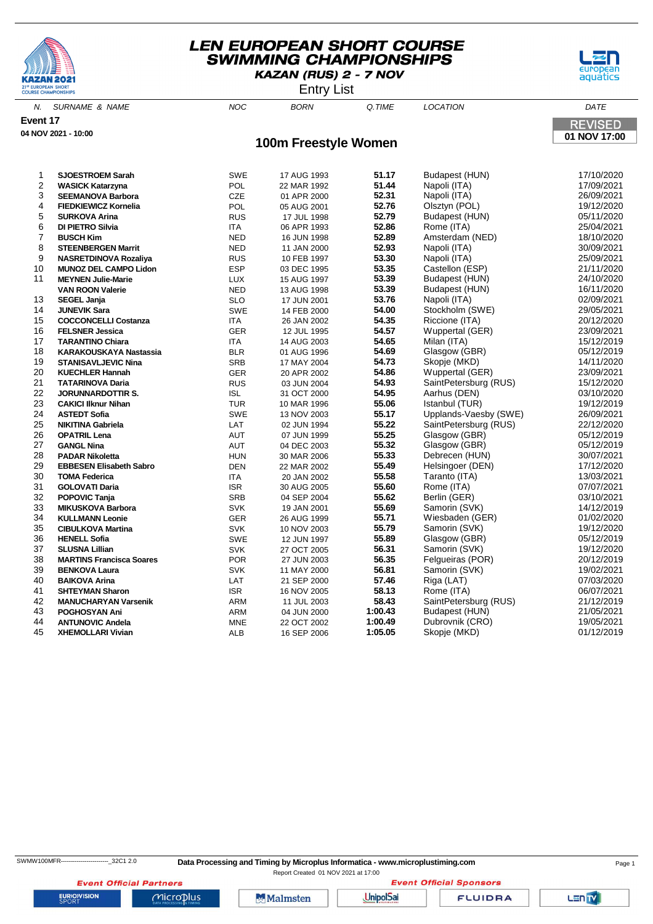





N. SURNAME & NAME NOC BORN Q.TIME LOCATION DATE **Event 17 REVISED 04 NOV 2021 - 10:00 01 NOV 17:00 100m Freestyle Women SJOESTROEM Sarah** SWE 17 AUG 1993 **51.17** Budapest (HUN) 17/10/2020 **WASICK Katarzyna 51.444 NASICK Katarzyna 51.444 POL** 22 MAR 1992 **SEEMANOVA Barbora** CZE 01 APR 2000 **52.31** Napoli (ITA) 26/09/2021 **FIEDKIEWICZ Kornelia** POL 05 AUG 2001 **52.76** Olsztyn (POL) 19/12/2020 **SURKOVA Arina** RUS 17 JUL 1998 **52.79** Budapest (HUN) 05/11/2020 **DI PIETRO Silvia** ITA 06 APR 1993 **52.86** Rome (ITA) 25/04/2021 **BUSCH Kim** NED 16 JUN 1998 **52.89** Amsterdam (NED) 18/10/2020 **STEENBERGEN Marrit** NED 11 JAN 2000 **52.93** Napoli (ITA) 30/09/2021 **NASRETDINOVA Rozaliya** RUS 10 FEB 1997 **53.30** Napoli (ITA) 25/09/2021 **MUNOZ DEL CAMPO Lidon** ESP **MEYNEN Julie-Marie** LUX 15 AUG 1997 **53.39** Budapest (HUN) 24/10/2020 **VAN ROON Valerie** NED 13 AUG 1998 **53.39** Budapest (HUN) 16/11/2020 **SEGEL Janja** SLO 17 JUN 2001 **53.76** Napoli (ITA) 02/09/2021 **JUNEVIK Sara** SWE 14 FEB 2000 **54.00** Stockholm (SWE) 29/05/2021 **COCCONCELLI Costanza** ITA 26 JAN 2002 **54.35** Riccione (ITA) 20/12/2020 **FELSNER Jessica** GER 12 JUL 1995 **54.57** Wuppertal (GER) 23/09/2021 **TARANTINO Chiara ITA KARAKOUSKAYA Nastassia** BLR 01 AUG 1996 **54.69** Glasgow (GBR) 05/12/2019 **STANISAVLJEVIC Nina** SRB 17 MAY 2004 **54.73** Skopje (MKD) 14/11/2020 **KUECHLER Hannah** GER 20 APR 2002 **54.86** Wuppertal (GER) 23/09/2021 **TATARINOVA Daria** RUS 03 JUN 2004 **54.93** SaintPetersburg (RUS) 15/12/2020 **JORUNNARDOTTIR S.** ISL 31 OCT 2000 **54.95** Aarhus (DEN) 03/10/2020 **CAKICI Ilknur Nihan** TUR 10 MAR 1996 **55.06** Istanbul (TUR) 19/12/2019 **ASTEDT Sofia** SWE 13 NOV 2003 **55.17** Upplands-Vaesby (SWE) 26/09/2021 LAT 02 JUN 1994 **55.22** SaintPetersburg (RUS) **OPATRIL Lena** AUT 07 JUN 1999 **55.25** Glasgow (GBR) 05/12/2019 **GANGL Nina** AUT 04 DEC 2003 **55.32** Glasgow (GBR) 05/12/2019 **PADAR Nikoletta HUN** 30 MAR 2006 55.33 Debrecen (HUN)<br>29 **EBBESEN Elisabeth Sabro 1988 DEN** 22 MAR 2002 55.49 Helsingoer (DEN) **EBBESEN Elisabeth Sabro** DEN 22 MAR 2002 **55.49** Helsingoer (DEN) 17/12/2020 **TOMA Federica** ITA 20 JAN 2002 **55.58** Taranto (ITA) 13/03/2021 **GOLOVATI Daria** ISR 30 AUG 2005 **55.60** Rome (ITA) 07/07/2021 **POPOVIC Tanja** SRB 04 SEP 2004 **55.62** Berlin (GER) 03/10/2021 **MIKUSKOVA Barbora** SVK 19 JAN 2001 **55.69** Samorin (SVK) 14/12/2019 **KULLMANN Leonie** GER 26 AUG 1999 **55.71** Wiesbaden (GER) 01/02/2020 **CIBULKOVA Martina** 19/12/2020<br>**35.79** Samorin (SVK) 19/12/2020 SWE 12 JUN 1997 55.89 Glasgow (GBR) 19/12/2019 G5/12/2019 **HENELL Sofia** SWE 12 JUN 1997 **55.89** Glasgow (GBR) 05/12/2019 **SLUSNA Lillian** SVK 27 OCT 2005 **56.31** Samorin (SVK) 19/12/2020 **MARTINS Francisca Soares** POR 27 JUN 2003 **56.35** Felgueiras (POR) 20/12/2019 **39 BENKOVA Laura** SVK 11 MAY 2000 **56.81** Samorin (S<br>**39 BAIKOVA Arina** CAT 21 SEP 2000 57.46 Riga (LAT) **BAIKOVA Arina** LAT 21 SEP 2000 **57.46** Riga (LAT) 07/03/2020 **SHTEYMAN Sharon** ISR 16 NOV 2005 **58.13** Rome (ITA) 06/07/2021 **MANUCHARYAN Varsenik** ARM 11 JUL 2003<br>43 **BOGHOSYAN Ani** ARM ARM 04 UN 2000 **POGHOSYAN Ani** ARM 04 JUN 2000 **1:00.43** Budapest (HUN) 21/05/2021 **ANTUNOVIC Andela** MNE 22 OCT 2002 **1:00.49** Dubrovnik (CRO) 19/05/2021 **XHEMOLLARI Vivian** ALB 16 SEP 2006

Report Created 01 NOV 2021 at 17:00

**Event Official Partners EURIOVISION** 

Microplus

**Malmsten** 

**UnipolSai** 

**FLUIDRA** 

**Event Official Sponsors** 

LEN<sub>TV</sub>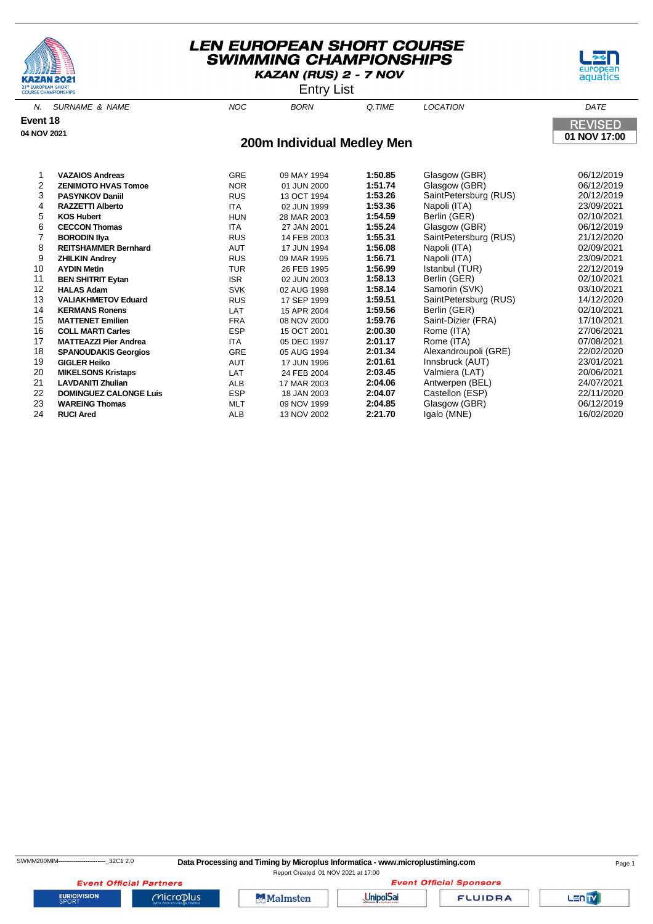





N. SURNAME & NAME  $NOC$  BORN Q.TIME LOCATION DATE **Event 18 REVISED 04 NOV 2021 01 NOV 17:00 200m Individual Medley Men** 1 **VAZAIOS Andreas** GRE 09 MAY 1994 **1:50.85** Glasgow (GBR) 06/12/2019

| 2  | <b>ZENIMOTO HVAS Tomoe</b>    | <b>NOR</b> | 01 JUN 2000 | 1:51.74 | Glasgow (GBR)         | 06/12/2019 |
|----|-------------------------------|------------|-------------|---------|-----------------------|------------|
| 3  | <b>PASYNKOV Daniil</b>        | <b>RUS</b> | 13 OCT 1994 | 1:53.26 | SaintPetersburg (RUS) | 20/12/2019 |
| 4  | <b>RAZZETTI Alberto</b>       | <b>ITA</b> | 02 JUN 1999 | 1:53.36 | Napoli (ITA)          | 23/09/2021 |
| 5  | <b>KOS Hubert</b>             | <b>HUN</b> | 28 MAR 2003 | 1:54.59 | Berlin (GER)          | 02/10/2021 |
| 6  | <b>CECCON Thomas</b>          | ITA        | 27 JAN 2001 | 1:55.24 | Glasgow (GBR)         | 06/12/2019 |
|    | <b>BORODIN IIya</b>           | <b>RUS</b> | 14 FEB 2003 | 1:55.31 | SaintPetersburg (RUS) | 21/12/2020 |
| 8  | <b>REITSHAMMER Bernhard</b>   | <b>AUT</b> | 17 JUN 1994 | 1:56.08 | Napoli (ITA)          | 02/09/2021 |
| 9  | <b>ZHILKIN Andrey</b>         | <b>RUS</b> | 09 MAR 1995 | 1:56.71 | Napoli (ITA)          | 23/09/2021 |
| 10 | <b>AYDIN Metin</b>            | <b>TUR</b> | 26 FEB 1995 | 1:56.99 | Istanbul (TUR)        | 22/12/2019 |
| 11 | <b>BEN SHITRIT Eytan</b>      | <b>ISR</b> | 02 JUN 2003 | 1:58.13 | Berlin (GER)          | 02/10/2021 |
| 12 | <b>HALAS Adam</b>             | <b>SVK</b> | 02 AUG 1998 | 1:58.14 | Samorin (SVK)         | 03/10/2021 |
| 13 | <b>VALIAKHMETOV Eduard</b>    | <b>RUS</b> | 17 SEP 1999 | 1:59.51 | SaintPetersburg (RUS) | 14/12/2020 |
| 14 | <b>KERMANS Ronens</b>         | LAT        | 15 APR 2004 | 1:59.56 | Berlin (GER)          | 02/10/2021 |
| 15 | <b>MATTENET Emilien</b>       | FRA        | 08 NOV 2000 | 1:59.76 | Saint-Dizier (FRA)    | 17/10/2021 |
| 16 | <b>COLL MARTI Carles</b>      | <b>ESP</b> | 15 OCT 2001 | 2:00.30 | Rome (ITA)            | 27/06/2021 |
| 17 | <b>MATTEAZZI Pier Andrea</b>  | <b>ITA</b> | 05 DEC 1997 | 2:01.17 | Rome (ITA)            | 07/08/2021 |
| 18 | <b>SPANOUDAKIS Georgios</b>   | <b>GRE</b> | 05 AUG 1994 | 2:01.34 | Alexandroupoli (GRE)  | 22/02/2020 |
| 19 | <b>GIGLER Heiko</b>           | AUT        | 17 JUN 1996 | 2:01.61 | Innsbruck (AUT)       | 23/01/2021 |
| 20 | <b>MIKELSONS Kristaps</b>     | <b>LAT</b> | 24 FEB 2004 | 2:03.45 | Valmiera (LAT)        | 20/06/2021 |
| 21 | <b>LAVDANITI Zhulian</b>      | <b>ALB</b> | 17 MAR 2003 | 2:04.06 | Antwerpen (BEL)       | 24/07/2021 |
| 22 | <b>DOMINGUEZ CALONGE Luis</b> | <b>ESP</b> | 18 JAN 2003 | 2:04.07 | Castellon (ESP)       | 22/11/2020 |
| 23 | <b>WAREING Thomas</b>         | MLT        | 09 NOV 1999 | 2:04.85 | Glasgow (GBR)         | 06/12/2019 |
| 24 | <b>RUCI Ared</b>              | ALB        | 13 NOV 2002 | 2:21.70 | Igalo (MNE)           | 16/02/2020 |
|    |                               |            |             |         |                       |            |

**EURIOVISION** 

**Event Official Partners** 

 $MicroD<sub>lus</sub>$ 

Malmsten

**Event Official Sponsors UnipolSai** 

**FLUIDRA**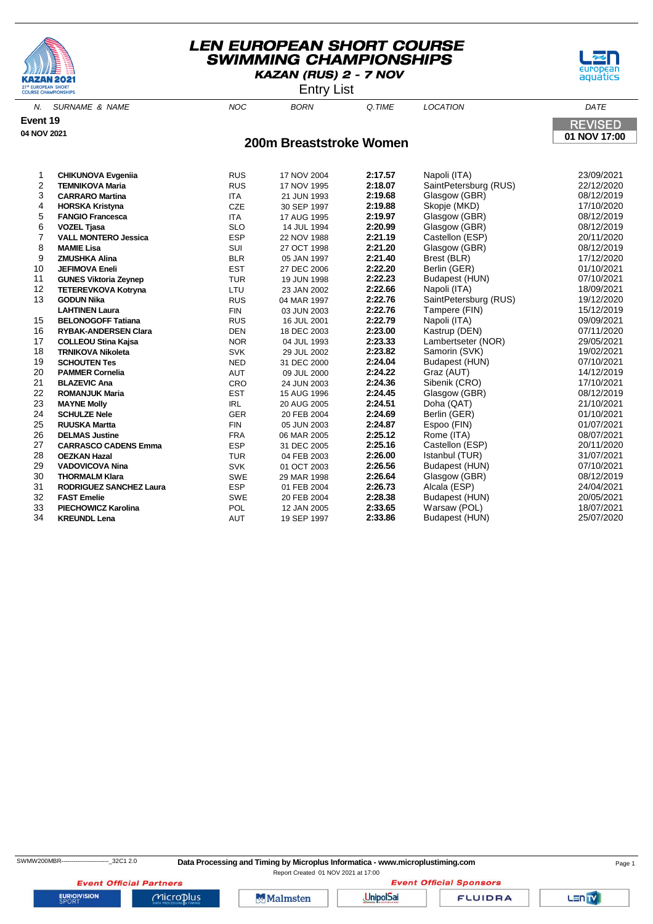





N. SURNAME & NAME NOC BORN Q.TIME LOCATION DATE **Event 19 REVISED 04 NOV 2021 01 NOV 17:00 200m Breaststroke Women** 1 **CHIKUNOVA Evgeniia** RUS 17 NOV 2004 **2:17.57** Napoli (ITA) 23/09/2021 **RUS** 17 NOV 1995 **2:18.07** SaintPetersburg (RUS) 3 **CARRARO Martina** ITA 21 JUN 1993 **2:19.68** Glasgow (GBR) 08/12/2019 4 **HORSKA Kristyna** CZE 30 SEP 1997 **2:19.88** Skopje (MKD) 17/10/2020 **FANGIO Francesca** ITA 17 AUG 1995 6 **VOZEL Tjasa** SLO 14 JUL 1994 **2:20.99** Glasgow (GBR) 08/12/2019 7 **VALL MONTERO Jessica** ESP 22 NOV 1988 **2:21.19** Castellon (ESP) 20/11/2020 8 **MAMIE Lisa** SUI 27 OCT 1998 **2:21.20** Glasgow (GBR) 08/12/2019 9 **ZMUSHKA Alina** BLR 05 JAN 1997 **2:21.40** Brest (BLR) 17/12/2020 10 **JEFIMOVA Eneli** EST 27 DEC 2006 **2:22.20** Berlin (GER) 01/10/2021 11 **GUNES Viktoria Zeynep** TUR 19 JUN 1998 **2:22.23** Budapest (HUN) 07/10/2021 12 **TETEREVKOVA Kotryna** LTU<br>43 **CODULUI** 13 **GODUN Nika** RUS 04 MAR 1997 **2:22.76** SaintPetersburg (RUS) 19/12/2020 **LAHTINEN Laura** FIN 03 JUN 2003 **2:22.76** Tampere (FIN) 15/12/2019 15 **BELONOGOFF Tatiana** RUS 16 JUL 2001 **2:22.79** Napoli (ITA) 09/09/2021

| 13 | <b>GODUN Nika</b>              | <b>RUS</b> | 04 MAR 1997 | 2:22.76 | SaintPetersburg (RUS) | 19/12/2020 |
|----|--------------------------------|------------|-------------|---------|-----------------------|------------|
|    | <b>LAHTINEN Laura</b>          | <b>FIN</b> | 03 JUN 2003 | 2:22.76 | Tampere (FIN)         | 15/12/2019 |
| 15 | <b>BELONOGOFF Tatiana</b>      | <b>RUS</b> | 16 JUL 2001 | 2:22.79 | Napoli (ITA)          | 09/09/2021 |
| 16 | <b>RYBAK-ANDERSEN Clara</b>    | <b>DEN</b> | 18 DEC 2003 | 2:23.00 | Kastrup (DEN)         | 07/11/2020 |
| 17 | <b>COLLEOU Stina Kajsa</b>     | <b>NOR</b> | 04 JUL 1993 | 2:23.33 | Lambertseter (NOR)    | 29/05/2021 |
| 18 | <b>TRNIKOVA Nikoleta</b>       | <b>SVK</b> | 29 JUL 2002 | 2:23.82 | Samorin (SVK)         | 19/02/2021 |
| 19 | <b>SCHOUTEN Tes</b>            | <b>NED</b> | 31 DEC 2000 | 2:24.04 | Budapest (HUN)        | 07/10/2021 |
| 20 | <b>PAMMER Cornelia</b>         | <b>AUT</b> | 09 JUL 2000 | 2:24.22 | Graz (AUT)            | 14/12/2019 |
| 21 | <b>BLAZEVIC Ana</b>            | <b>CRO</b> | 24 JUN 2003 | 2:24.36 | Sibenik (CRO)         | 17/10/2021 |
| 22 | <b>ROMANJUK Maria</b>          | <b>EST</b> | 15 AUG 1996 | 2:24.45 | Glasgow (GBR)         | 08/12/2019 |
| 23 | <b>MAYNE Molly</b>             | IRL        | 20 AUG 2005 | 2:24.51 | Doha (QAT)            | 21/10/2021 |
| 24 | <b>SCHULZE Nele</b>            | <b>GER</b> | 20 FEB 2004 | 2:24.69 | Berlin (GER)          | 01/10/2021 |
| 25 | <b>RUUSKA Martta</b>           | <b>FIN</b> | 05 JUN 2003 | 2:24.87 | Espoo (FIN)           | 01/07/2021 |
| 26 | <b>DELMAS Justine</b>          | <b>FRA</b> | 06 MAR 2005 | 2:25.12 | Rome (ITA)            | 08/07/2021 |
| 27 | <b>CARRASCO CADENS Emma</b>    | <b>ESP</b> | 31 DEC 2005 | 2:25.16 | Castellon (ESP)       | 20/11/2020 |
| 28 | <b>OEZKAN Hazal</b>            | <b>TUR</b> | 04 FEB 2003 | 2:26.00 | Istanbul (TUR)        | 31/07/2021 |
| 29 | <b>VADOVICOVA Nina</b>         | <b>SVK</b> | 01 OCT 2003 | 2:26.56 | Budapest (HUN)        | 07/10/2021 |
| 30 | <b>THORMALM Klara</b>          | <b>SWE</b> | 29 MAR 1998 | 2:26.64 | Glasgow (GBR)         | 08/12/2019 |
| 31 | <b>RODRIGUEZ SANCHEZ Laura</b> | <b>ESP</b> | 01 FEB 2004 | 2:26.73 | Alcala (ESP)          | 24/04/2021 |
| 32 | <b>FAST Emelie</b>             | <b>SWE</b> | 20 FEB 2004 | 2:28.38 | Budapest (HUN)        | 20/05/2021 |
| 33 | <b>PIECHOWICZ Karolina</b>     | <b>POL</b> | 12 JAN 2005 | 2:33.65 | Warsaw (POL)          | 18/07/2021 |
| 34 | <b>KREUNDL Lena</b>            | AUT        | 19 SEP 1997 | 2:33.86 | Budapest (HUN)        | 25/07/2020 |

**EURIOVISION** 

**Event Official Partners** 

 $Microplus$ 

**UnipolSai** 

**Malmsten** 

**Event Official Sponsors FLUIDRA**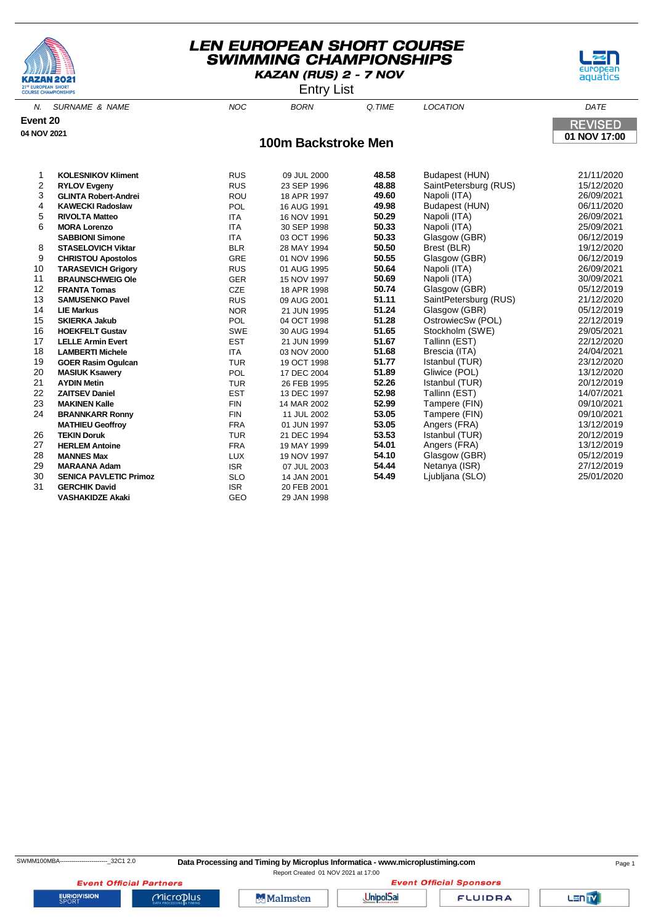





N. SURNAME & NAME  $N$  and  $N$  and  $N$  born  $\alpha$  time  $N$  location  $\alpha$  dates the  $N$ **Event 20 REVISED 04 NOV 2021 01 NOV 17:00 100m Backstroke Men KOLESNIKOV Kliment** RUS 09 JUL 2000 **48.58** Budapest (HUN) 21/11/2020 **RUS** 23 SEP 1996 **48.88** SaintPetersburg (RUS)<br>ROU 18 APR 1997 **49.60** Napoli (ITA) **GLINTA Robert-Andrei** ROU 18 APR 1997 **49.60** Napoli (ITA) 26/09/2021 **KAWECKI Radoslaw** POL 16 AUG 1991 **49.98** Budapest (HUN) 06/11/2020 **RIVOLTA Matteo** ITA 16 NOV 1991 **50.29** Napoli (ITA) 26/09/2021 **MORA Lorenzo** ITA 30 SEP 1998 **50.33** Napoli (ITA) 25/09/2021 **SABBIONI Simone** ITA 03 OCT 1996 **50.33** Glasgow (GBR) 06/12/2019 **STASELOVICH Viktar** BLR 28 MAY 1994 **50.50** Brest (BLR) 19/12/2020 **CHRISTOU Apostolos** GRE 01 NOV 1996 **50.55** Glasgow (GBR) 06/12/2019 **11 TARASEVICH Grigory 10 10 AUG 1995 50.64**<br>15 NOV 1997 50.69<br>**BRAUNSCHWEIG OIe** CER 15 NOV 1997 50.69 **BRAUNSCHWEIG Ole** GER 15 NOV 1997 **50.69** Napoli (ITA) 30/09/2021 **FRANTA Tomas** CZE 18 APR 1998 **50.74** Glasgow (GBR) 05/12/2019 RUS 09 AUG 2001 **51.11** SaintPetersburg (RUS) **LIE Markus** NOR 21 JUN 1995 **51.24** Glasgow (GBR) 05/12/2019 **SKIERKA Jakub** POL 04 OCT 1998 **51.28** OstrowiecSw (POL) 22/12/2019 **HOEKFELT Gustav** SWE 30 AUG 1994 **51.65** Stockholm (SWE) 29/05/2021 **LELLE Armin Evert LAMBERTI Michele** ITA 03 NOV 2000 **51.68** Brescia (ITA) 24/04/2021 **GOER Rasim Ogulcan** TUR 19 OCT 1998 **51.77** Istanbul (TUR) 23/12/2020 **MASIUK Ksawery** POL 17 DEC 2004 **51.89** Gliwice (POL) 13/12/2020 **AYDIN Metin** TUR 26 FEB 1995 **52.26** Istanbul (TUR) 20/12/2019 **ZAITSEV Daniel** EST 13 DEC 1997 **52.98** Tallinn (EST) 14/07/2021 **MAKINEN Kalle** FIN 14 MAR 2002 **52.99** Tampere (FIN) 09/10/2021 **BRANNKARR Ronny** FIN 11 JUL 2002 **53.05** Tampere (FIN) 09/10/2021 **MATHIEU Geoffroy TEKIN Doruk** TUR 21 DEC 1994 **53.53** Istanbul (TUR) 20/12/2019 **HERLEM Antoine** FRA 19 MAY 1999 **54.01** Angers (FRA) 13/12/2019

28 **MANNES Max** LUX 19 NOV 1997 **54.10** Glasgow (GBR) 05/12/2019 29 **MARAANA Adam** ISR 07 JUL 2003 **54.44** Netanya (ISR) 27/12/2019 30 **SENICA PAVLETIC Primoz** SLO 14 JAN 2001 **54.49** Ljubljana (SLO) 25/01/2020

**GERCHIK David** 

**VASHAKIDZE Akaki** GEO 29 JAN 1998

Report Created 01 NOV 2021 at 17:00**Event Official Sponsors** 

**Event Official Partners EURIOVISION** 

Microplus

**Malmsten** 

**UnipolSai** 

**FLUIDRA**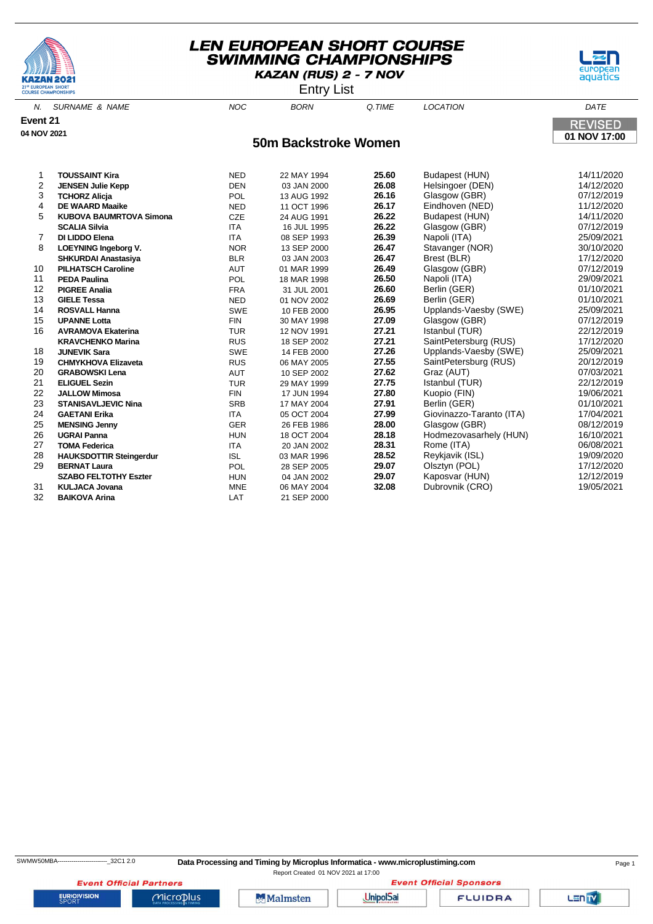





N. SURNAME & NAME  $N$  and  $N$  and  $N$  born  $\alpha$  time  $N$  location  $\alpha$  dates the  $N$ **Event 21 REVISED 04 NOV 2021 01 NOV 17:00 50m Backstroke Women TOUSSAINT Kira** NED 22 MAY 1994 **25.60** Budapest (HUN) 14/11/2020 **2 JENSEN Julie Kepp** DEN 03 JAN 2000 **TCHORZ Alicja** POL 13 AUG 1992 **26.16** Glasgow (GBR) 07/12/2019 **DE WAARD Maaike** NED 11 OCT 1996 **26.17** Eindhoven (NED) 11/12/2020 **KUBOVA BAUMRTOVA Simona** CZE 24 AUG 1991 **26.22** Budapest (HUN) 14/11/2020 **SCALIA Silvia** ITA 16 JUL 1995 **26.22** Glasgow (GBR) 07/12/2019 **DI LIDDO Elena** ITA 08 SEP 1993 **26.39** Napoli (ITA) 25/09/2021 **LOEYNING Ingeborg V.** NOR 13 SEP 2000 **26.47** Stavanger (NOR) 30/10/2020 **SHKURDAI Anastasiya** BLR 03 JAN 2003 **26.47** Brest (BLR) 17/12/2020 **PILHATSCH Caroline** AUT 01 MAR 1999 **26.49** Glasgow (GBR) 07/12/2019 **PEDA Paulina** POL 18 MAR 1998 **26.50** Napoli (ITA) 29/09/2021 **PIGREE Analia** FRA 31 JUL 2001 **26.60** Berlin (GER) 01/10/2021 **GIELE Tessa** NED 01 NOV 2002 **26.69** Berlin (GER) 01/10/2021 **ROSVALL Hanna** SWE 10 FEB 2000 **26.95** Upplands-Vaesby (SWE) 25/09/2021 **UPANNE Lotta** FIN 30 MAY 1998 **27.09** Glasgow (GBR) 07/12/2019 **AVRAMOVA Ekaterina** TUR 12 NOV 1991 **27.21** Istanbul (TUR) 22/12/2019 SaintPetersburg (RUS) **JUNEVIK Sara** SWE 14 FEB 2000 **27.26** Upplands-Vaesby (SWE) 25/09/2021 **CHMYKHOVA Elizaveta** RUS 06 MAY 2005 **27.55** SaintPetersburg (RUS) 20/12/2019 **GRABOWSKI Lena** AUT 10 SEP 2002 **27.62** Graz (AUT) 07/03/2021 **ELIGUEL Sezin** TUR 29 MAY 1999 **27.75** Istanbul (TUR) 22/12/2019 **JALLOW Mimosa** FIN 17 JUN 1994 **27.80** Kuopio (FIN) 19/06/2021 **STANISAVLJEVIC Nina** SRB 17 MAY 2004 **27.91** Berlin (GER) 01/10/2021 **GAETANI Erika** ITA 05 OCT 2004 **27.99** Giovinazzo-Taranto (ITA) 17/04/2021 26 FEB 1986 **28.00** Glasgow (GBR)

 **UGRAI Panna** HUN 18 OCT 2004 **28.18** Hodmezovasarhely (HUN) 16/10/2021 **TOMA Federica** ITA 20 JAN 2002 **28.31** Rome (ITA) 06/08/2021 **HAUKSDOTTIR Steingerdur** ISL 03 MAR 1996 **28.52** Reykjavik (ISL) 19/09/2020 **BERNAT Laura** POL 28 SEP 2005 **29.07** Olsztyn (POL) 17/12/2020 **SZABO FELTOTHY Eszter** HUN 04 JAN 2002 **29.07** Kaposvar (HUN) 12/12/2019

31 **KULJACA Jovana** MNE 06 MAY 2004 **32.08** Dubrovnik (CRO) 19/05/2021

32 **BAIKOVA Arina** LAT 21 SEP 2000

**EURIOVISION** 

Report Created 01 NOV 2021 at 17:00

**Event Official Partners** Microplus

**Malmsten** 

**UnipolSai** 

**FLUIDRA** 

**Event Official Sponsors**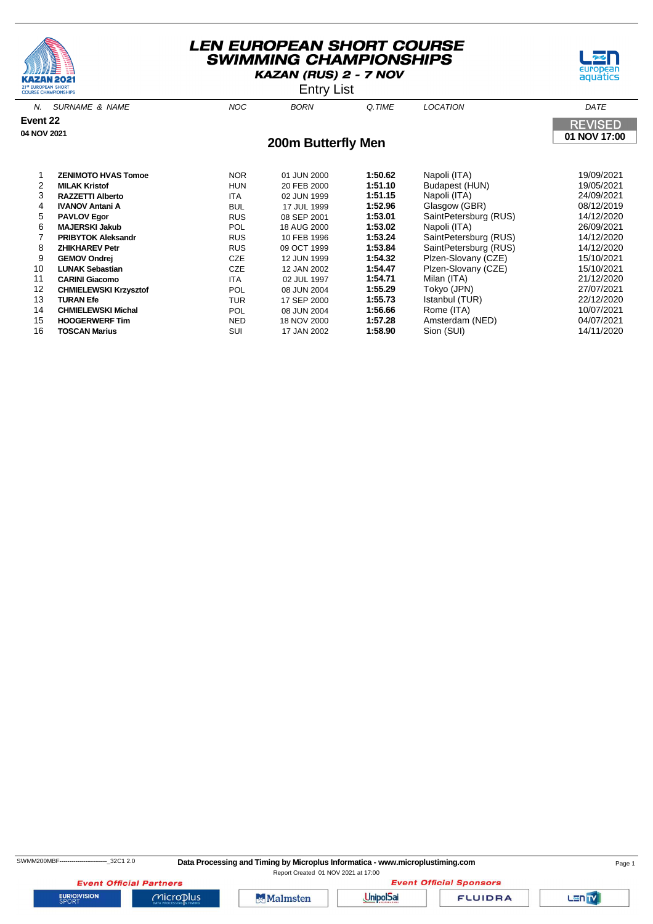





N. SURNAME & NAME  $N$  and  $N$  and  $N$  born  $\alpha$  time  $N$  location  $\alpha$  dates the  $N$ **Event 22 REVISED 04 NOV 2021 01 NOV 17:00 200m Butterfly Men** 1 **ZENIMOTO HVAS Tomoe** NOR 01 JUN 2000 **1:50.62** Napoli (ITA) 19/09/2021 **HUN** 20 FEB 2000 **1:51.10** Budapest (HUN) 3 **RAZZETTI Alberto** ITA 02 JUN 1999 **1:51.15** Napoli (ITA) 24/09/2021 4 **IVANOV Antani A** BUL 17 JUL 1999 **1:52.96** Glasgow (GBR) 08/12/2019 RUS 08 SEP 2001 **1:53.01** SaintPetersburg (RUS) 6 **MAJERSKI Jakub** POL 18 AUG 2000 **1:53.02** Napoli (ITA) 26/09/2021 7 **PRIBYTOK Aleksandr RUS** 10 FEB 1996 **1:53.24** SaintPetersburg (RUS) 10 FEB 1996 **1:53.84** SaintPetersburg (RUS)

8 **ZHIKHAREV Petr** RUS 09 OCT 1999 **1:53.84** SaintPetersburg (RUS) 14/12/2020 9 **GEMOV Ondrej** CZE 12 JUN 1999 **1:54.32** Plzen-Slovany (CZE) 15/10/2021

 **CARINI Giacomo** ITA 02 JUL 1997 **1:54.71** Milan (ITA) 21/12/2020 **CHMIELEWSKI Krzysztof** POL 08 JUN 2004 **1:55.29** Tokyo (JPN) 27/07/2021 **TURAN Efe** TUR 17 SEP 2000 **1:55.73** Istanbul (TUR) 22/12/2020 **CHMIELEWSKI Michal** POL 08 JUN 2004 **1:56.66** Rome (ITA) 10/07/2021 **HOOGERWERF Tim** NED 18 NOV 2000 **1:57.28** Amsterdam (NED) 04/07/2021 **TOSCAN Marius** SUI 17 JAN 2002 **1:58.90** Sion (SUI) 14/11/2020

SWMM200MBF------------------------\_32C1 2.0 **Data Processing and Timing by Microplus Informatica - www.microplustiming.com** Page 1

Report Created 01 NOV 2021 at 17:00

**Event Official Partners EURIOVISION** 

**Malmsten** 

 $Microplus$ 

**UnipolSai** 

**FLUIDRA** 

**Event Official Sponsors** 

Plzen-Slovany (CZE)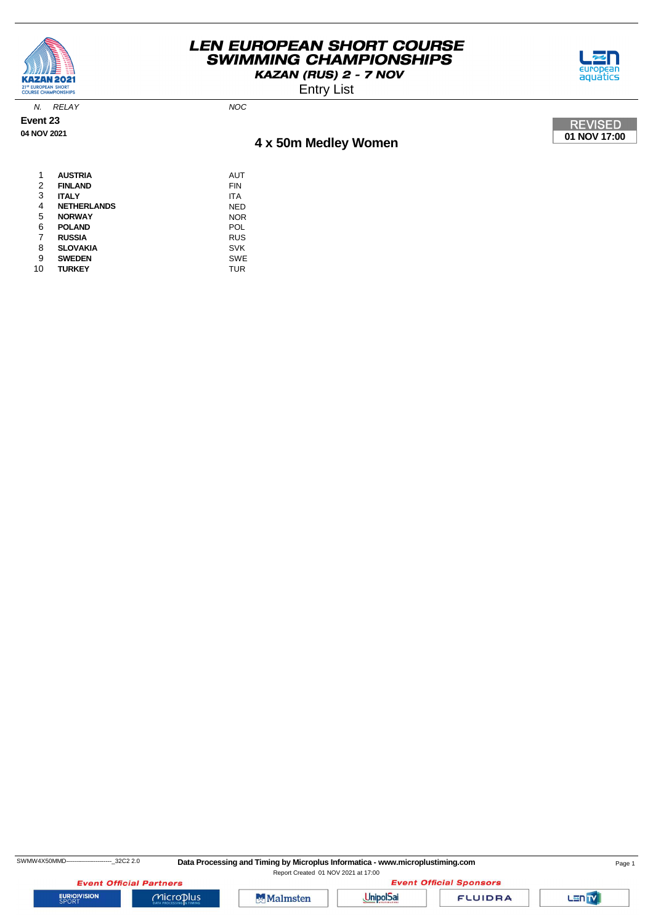

Entry List



N. RELAY NOC

**Event 23 04 NOV 2021**

# **4 x 50m Medley Women**



| 1  | <b>AUSTRIA</b>     | AUT        |
|----|--------------------|------------|
| 2  | <b>FINLAND</b>     | FIN        |
| 3  | <b>ITALY</b>       | ITA        |
| 4  | <b>NETHERLANDS</b> | NED        |
| 5  | <b>NORWAY</b>      | <b>NOR</b> |
| 6  | <b>POLAND</b>      | POL        |
| 7  | <b>RUSSIA</b>      | <b>RUS</b> |
| 8  | <b>SLOVAKIA</b>    | <b>SVK</b> |
| 9  | <b>SWEDEN</b>      | <b>SWE</b> |
| 10 | TURKEY             | TUR        |

SWMW4X50MMD---------------------------32C2 2.0 Data Processing and Timing by Microplus Informatica - www.microplustiming.com Page 1

Report Created 01 NOV 2021 at 17:00

**Event Official Partners EURIOVISION** 



 $Microplus$ 



**FLUIDRA** 

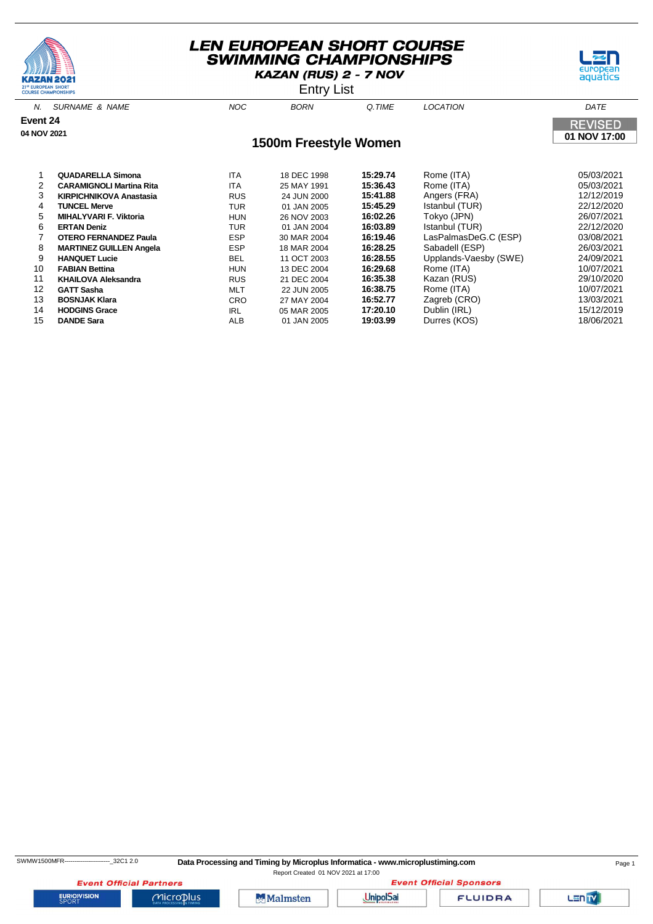





N. SURNAME & NAME NOC BORN Q.TIME LOCATION DATE **Event 24 REVISED 04 NOV 2021 01 NOV 17:00 1500m Freestyle Women** 1 **QUADARELLA Simona** ITA 18 DEC 1998 **15:29.74** Rome (ITA) 05/03/2021 **CARAMIGNOLI Martina Rita** ITA 25 MAY 1991 3 **KIRPICHNIKOVA Anastasia** RUS 24 JUN 2000 **15:41.88** Angers (FRA) 12/12/2019 4 **TUNCEL Merve** TUR 01 JAN 2005 **15:45.29** Istanbul (TUR) 22/12/2020 5 **MIHALYVARI F. Viktoria** HUN 26 NOV 2003 **16:02.26** Tokyo (JPN) 26/07/2021 6 **ERTAN Deniz** TUR 01 JAN 2004 **16:03.89** Istanbul (TUR) 22/12/2020

 **OTERO FERNANDEZ Paula** ESP 30 MAR 2004 **16:19.46** LasPalmasDeG.C (ESP) 03/08/2021 **MARTINEZ GUILLEN Angela** ESP 18 MAR 2004 **16:28.25** Sabadell (ESP) 26/03/2021 **HANQUET Lucie** BEL 11 OCT 2003 **16:28.55** Upplands-Vaesby (SWE) 24/09/2021 **FABIAN Bettina** HUN 13 DEC 2004 **16:29.68** Rome (ITA) 10/07/2021 **KHAILOVA Aleksandra** RUS 21 DEC 2004 **16:35.38** Kazan (RUS) 29/10/2020 **GATT Sasha** MLT 22 JUN 2005 **16:38.75** Rome (ITA) 10/07/2021 **BOSNJAK Klara** CRO 27 MAY 2004 **16:52.77** Zagreb (CRO) 13/03/2021 **HODGINS Grace** IRL 05 MAR 2005 **17:20.10** Dublin (IRL) 15/12/2019 **DANDE Sara** ALB 01 JAN 2005 **19:03.99** Durres (KOS) 18/06/2021

SWMW1500MFR-----------------------\_32C1 2.0 **Data Processing and Timing by Microplus Informatica - www.microplustiming.com** Page 1

Report Created 01 NOV 2021 at 17:00

**Event Official Partners EURIOVISION** 



 $Microplus$ 





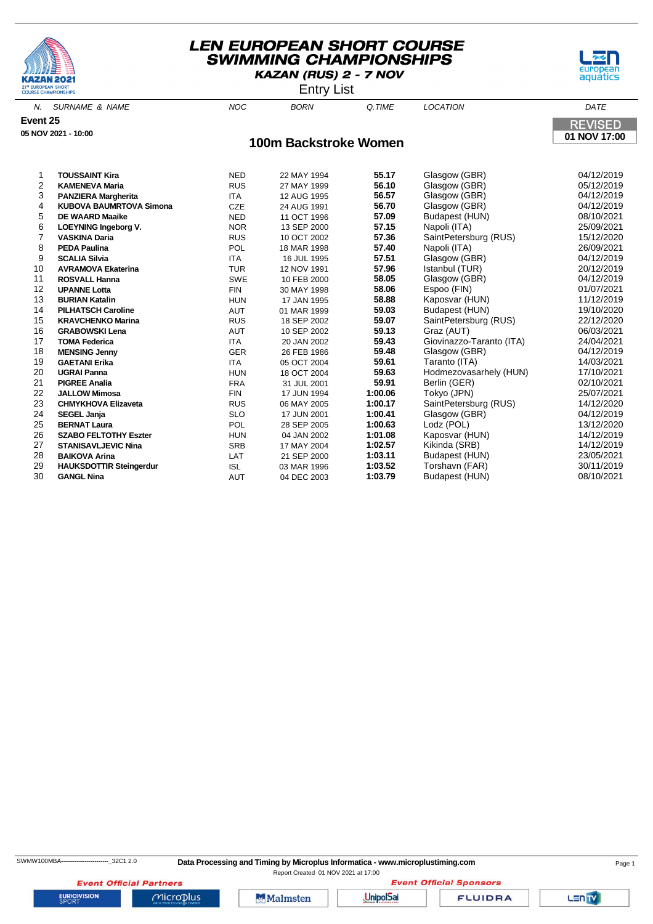





N. SURNAME & NAME  $N$  and  $N$  and  $N$  born  $\alpha$  time  $N$  location  $\alpha$  dates the  $N$ **Event 25 REVISED 05 NOV 2021 - 10:00 01 NOV 17:00 100m Backstroke Women** 1 **TOUSSAINT Kira** NED 22 MAY 1994 **55.17** Glasgow (GBR) 04/12/2019 **RUS** 27 MAY 1999 **56.10** Glasgow (GBR) 3 **PANZIERA Margherita** ITA 12 AUG 1995 **56.57** Glasgow (GBR) 04/12/2019 4 **KUBOVA BAUMRTOVA Simona** CZE 24 AUG 1991 **56.70** Glasgow (GBR) 04/12/2019 **DE WAARD Maaike** NED 11 OCT 1996 **57.09** Budapest (HUN) 6 **LOEYNING Ingeborg V.** NOR 13 SEP 2000 **57.15** Napoli (ITA) 25/09/2021 7 **VASKINA Daria** RUS 10 OCT 2002 **57.36** SaintPetersburg (RUS) 15/12/2020 8 **PEDA Paulina** POL 18 MAR 1998 **57.40** Napoli (ITA) 26/09/2021 9 **SCALIA Silvia** ITA 16 JUL 1995 **57.51** Glasgow (GBR) 04/12/2019 **AVRAMOVA Ekaterina** 11 **ROSVALL Hanna** SWE 10 FEB 2000 **58.05** Glasgow (GBR) 04/12/2019 12 **UPANNE Lotta** FIN 30 MAY 1998 **58.06** Espoo (FIN) 01/07/2021 13 **BURIAN Katalin** HUN 17 JAN 1995 **58.88** Kaposvar (HUN) 11/12/2019 14 **PILHATSCH Caroline** AUT 01 MAR 1999 **59.03** Budapest (HUN) 19/10/2020 **KRAVCHENKO Marina RUS** 18 SEP 2002 **59.07** SaintPetersburg (RUS)<br>
GRAROWSKI Lena **ALLA ALLA 2002** 59.13 Graz (ALLT) 16 **GRABOWSKI Lena** AUT 10 SEP 2002 **59.13** Graz (AUT) 06/03/2021 17 **TOMA Federica** ITA 20 JAN 2002 **59.43** Giovinazzo-Taranto (ITA) 24/04/2021 18 **MENSING Jenny** GER 26 FEB 1986 **59.48** Glasgow (GBR) 04/12/2019 19 **GAETANI Erika** ITA 05 OCT 2004 **59.61** Taranto (ITA) 14/03/2021

 **UGRAI Panna** HUN 18 OCT 2004 **59.63** Hodmezovasarhely (HUN) 17/10/2021 **PIGREE Analia** FRA 31 JUL 2001 **59.91** Berlin (GER) 02/10/2021 **JALLOW Mimosa** FIN 17 JUN 1994 **1:00.06** Tokyo (JPN) 25/07/2021 **CHMYKHOVA Elizaveta** RUS 06 MAY 2005 **1:00.17** SaintPetersburg (RUS) 14/12/2020 **SEGEL Janja** SLO 17 JUN 2001 **1:00.41** Glasgow (GBR) 04/12/2019 **BERNAT Laura** POL 28 SEP 2005 **1:00.63** Lodz (POL) 13/12/2020 **SZABO FELTOTHY Eszter** HUN 04 JAN 2002 **1:01.08** Kaposvar (HUN) 14/12/2019 **STANISAVLJEVIC Nina** SRB 17 MAY 2004 **1:02.57** Kikinda (SRB) 14/12/2019 **BAIKOVA Arina** LAT 21 SEP 2000 **1:03.11** Budapest (HUN) 23/05/2021

30 **GANGL Nina** AUT 04 DEC 2003 **1:03.79** Budapest (HUN) 08/10/2021

**HAUKSDOTTIR Steingerdur** ISL 03 MAR 1996 **1:03.52** Torshavn (FAR)

SWMW100MBA-------------------------32C1 2.0 **Data Processing and Timing by Microplus Informatica - www.microplustiming.com** Page 1

Report Created 01 NOV 2021 at 17:00

**Event Official Partners EURIOVISION** 

**Malmsten** 

Microplus

**UnipolSai** 

**FLUIDRA** 

**Event Official Sponsors**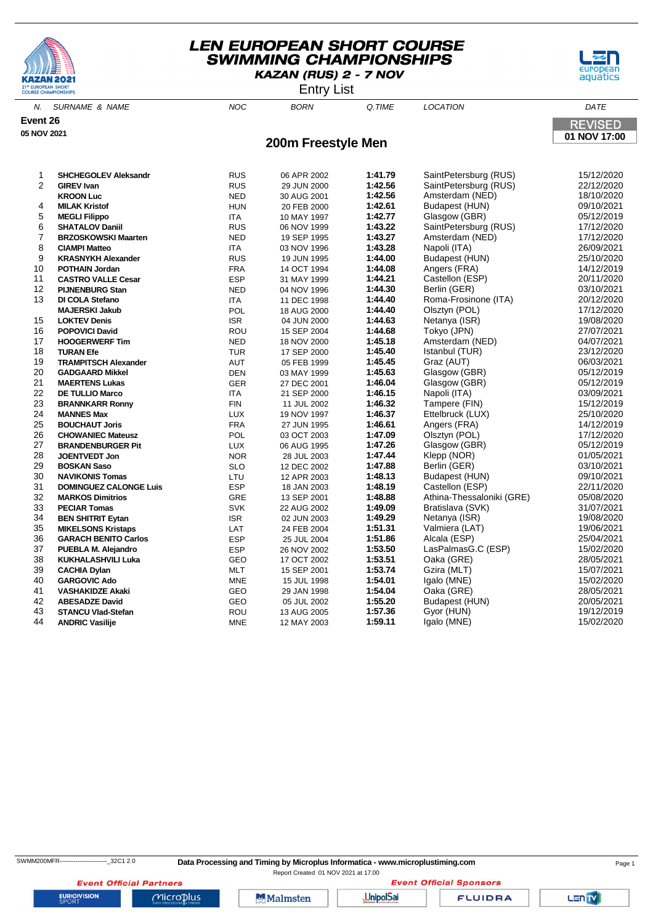





N. SURNAME & NAME NOC BORN Q.TIME LOCATION DATE **Event 26 REVISED 05 NOV 2021 01 NOV 17:00 200m Freestyle Men SHCHEGOLEV Aleksandr** RUS 06 APR 2002 **1:41.79** SaintPetersburg (RUS) 15/12/2020 **RUS** 29 JUN 2000 **1:42.56** SaintPetersburg (RUS) **KROON Luc** NED 30 AUG 2001 **1:42.56** Amsterdam (NED) 18/10/2020 **MILAK Kristof** HUN 20 FEB 2000 **1:42.61** Budapest (HUN) 09/10/2021 **MEGLI Filippo** 17A 10 MAY 1997 1:42.77 Glasgow (GBR) 05/12/2019 **SHATALOV Daniil** RUS 06 NOV 1999 **1:43.22** SaintPetersburg (RUS) 17/12/2020 **BRZOSKOWSKI Maarten** NED 19 SEP 1995 **1:43.27** Amsterdam (NED) 17/12/2020 **CIAMPI Matteo** ITA 03 NOV 1996 **1:43.28** Napoli (ITA) 26/09/2021 **KRASNYKH Alexander** RUS 19 JUN 1995 **1:44.00** Budapest (HUN) 25/10/2020 **POTHAIN Jordan** FRA 14 OCT 1994 **1:44.08** Angers (FRA) 14/12/2019 **CASTRO VALLE Cesar** ESP 31 MAY 1999 **1:44.21** Castellon (ESP) 20/11/2020 **PIJNENBURG Stan** NED 04 NOV 1996 **1:44.30** Berlin (GER) 03/10/2021 **DI COLA Stefano ITA** 11 DEC 1998 **1:44.40** Roma-Frosinone (ITA) **MAJERSKI Jakub** POL 18 AUG 2000 **1:44.40** Olsztyn (POL) 17/12/2020 **LOKTEV Denis** ISR 04 JUN 2000 **1:44.63** Netanya (ISR) 19/08/2020 **POPOVICI David** ROU 15 SEP 2004 **1:44.68** Tokyo (JPN) 27/07/2021 **HOOGERWERF Tim** NED 18 NOV 2000 **1:45.18** Amsterdam (NED) 04/07/2021 **TURAN Efe** TUR 17 SEP 2000 **1:45.40** Istanbul (TUR) 23/12/2020 **TRAMPITSCH Alexander** AUT 05 FEB 1999 **1:45.45** Graz (AUT) 06/03/2021 **GADGAARD Mikkel** DEN 03 MAY 1999 **1:45.63** Glasgow (GBR) 05/12/2019 **MAERTENS Lukas** GER 27 DEC 2001 **1:46.04** Glasgow (GBR) 05/12/2019 **DE TULLIO Marco** ITA 21 SEP 2000 **1:46.15** Napoli (ITA) 03/09/2021 **BRANNKARR Ronny** FIN 11 JUL 2002 **1:46.32** Tampere (FIN) 15/12/2019 **MANNES Max** LUX 19 NOV 1997 **1:46.37** Ettelbruck (LUX) 25/10/2020 **BOUCHAUT Joris 1:46.61 12.62 1:46.61 12.61 12.61 12.61 12.61 12.61 12.61 12.61 12.61 12.62 12.62 12.62 12.62 12.62 12.62 12.62 12.62 12.62 12.62 12.62 12.62 12.62 12.62 CHOWANIEC Mateusz** POL 03 OCT 2003 **1:47.09** Olsztyn (POL) 17/12/2020 **BRANDENBURGER Pit** LUX 06 AUG 1995 **1:47.26** Glasgow (GBR) 05/12/2019 **JOENTVEDT Jon** NOR 28 JUL 2003 **1:47.44** Klepp (NOR) 01/05/2021 **BOSKAN Saso** SLO 12 DEC 2002 **1:47.88** Berlin (GER) 03/10/2021 **NAVIKONIS Tomas** LTU 12 APR 2003 **1:48.13** Budapest (HUN) 09/10/2021 **31 DOMINGUEZ CALONGE Luis** ESP 18 JAN 2003 1:48.19<br>11 ARKOS Dimitrios (ESP) 22/2021 22/2021 22/11/2020 **MARKOS Dimitrios** GRE 13 SEP 2001 **1:48.88** Athina-Thessaloniki (GRE) 05/08/2020 **PECIAR Tomas** SVK 22 AUG 2002 **1:49.09** Bratislava (SVK) 31/07/2021 **BEN SHITRIT Eytan** ISR 02 JUN 2003 **1:49.29** Netanya (ISR) 19/08/2020 **MIKELSONS Kristaps** LAT 24 FEB 2004 **1:51.31** Valmiera (LAT) 19/06/2021 **GARACH BENITO Carlos** ESP 25 JUL 2004 **1:51.86** Alcala (ESP) 25/04/2021 **PUEBLA M. Alejandro** ESP 26 NOV 2002 **1:53.50** LasPalmasG.C (ESP) 15/02/2020 **KUKHALASHVILI Luka** GEO 17 OCT 2002 **1:53.51** Oaka (GRE) 28/05/2021 **CACHIA Dylan** MLT 15 SEP 2001 **1:53.74** Gzira (MLT) 15/07/2021

 **GARGOVIC Ado** MNE 15 JUL 1998 **1:54.01** Igalo (MNE) 15/02/2020 **VASHAKIDZE Akaki** GEO 29 JAN 1998 **1:54.04** Oaka (GRE) 28/05/2021 **ABESADZE David** GEO 05 JUL 2002 **1:55.20** Budapest (HUN) 20/05/2021 **STANCU Vlad-Stefan** ROU 13 AUG 2005 **1:57.36** Gyor (HUN) 19/12/2019 **ANDRIC Vasilije** MNE 12 MAY 2003 **1:59.11** Igalo (MNE) 15/02/2020

Report Created 01 NOV 2021 at 17:00

**Event Official Partners EURIOVISION** Microplus

**Malmsten** 

**UnipolSai** 

**FLUIDRA** 

**Event Official Sponsors** 

LEN<sub>TV</sub>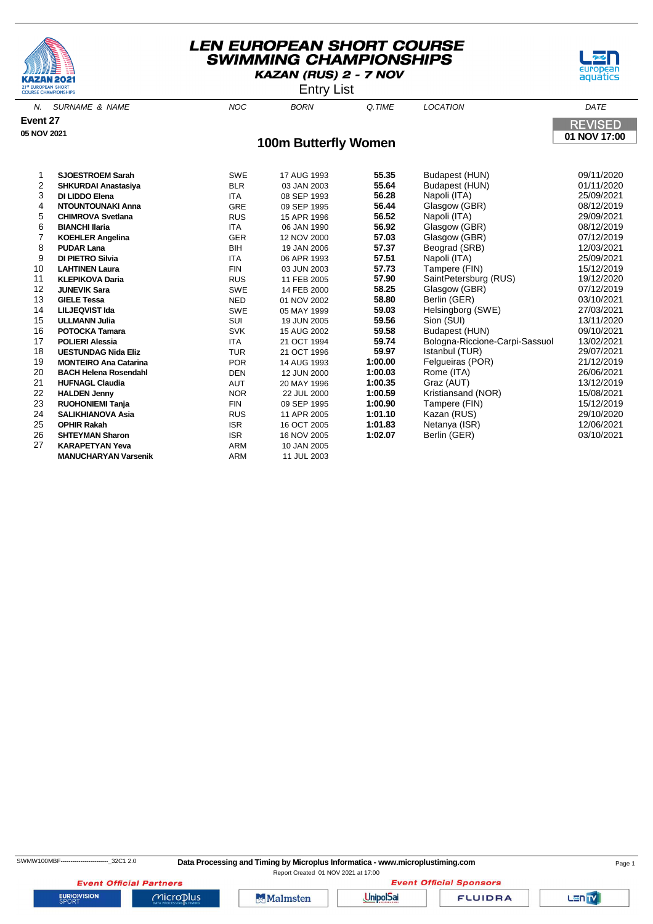





Entry List

|                |                              |            | .                           |         |                                |                |
|----------------|------------------------------|------------|-----------------------------|---------|--------------------------------|----------------|
|                | N. SURNAME & NAME            | <b>NOC</b> | <b>BORN</b>                 | Q.TIME  | <b>LOCATION</b>                | DATE           |
| Event 27       |                              |            |                             |         |                                | <b>REVISED</b> |
| 05 NOV 2021    |                              |            |                             |         |                                |                |
|                |                              |            | <b>100m Butterfly Women</b> |         |                                | 01 NOV 17:00   |
|                |                              |            |                             |         |                                |                |
| 1              | <b>SJOESTROEM Sarah</b>      | <b>SWE</b> | 17 AUG 1993                 | 55.35   | Budapest (HUN)                 | 09/11/2020     |
| 2              | <b>SHKURDAI Anastasiya</b>   | <b>BLR</b> | 03 JAN 2003                 | 55.64   | Budapest (HUN)                 | 01/11/2020     |
| 3              | DI LIDDO Elena               | <b>ITA</b> | 08 SEP 1993                 | 56.28   | Napoli (ITA)                   | 25/09/2021     |
| 4              | <b>NTOUNTOUNAKI Anna</b>     | GRE        | 09 SEP 1995                 | 56.44   | Glasgow (GBR)                  | 08/12/2019     |
| 5              | <b>CHIMROVA Svetlana</b>     | <b>RUS</b> | 15 APR 1996                 | 56.52   | Napoli (ITA)                   | 29/09/2021     |
| 6              | <b>BIANCHI Ilaria</b>        | <b>ITA</b> | 06 JAN 1990                 | 56.92   | Glasgow (GBR)                  | 08/12/2019     |
| $\overline{7}$ | <b>KOEHLER Angelina</b>      | <b>GER</b> | 12 NOV 2000                 | 57.03   | Glasgow (GBR)                  | 07/12/2019     |
| 8              | <b>PUDAR Lana</b>            | <b>BIH</b> | 19 JAN 2006                 | 57.37   | Beograd (SRB)                  | 12/03/2021     |
| 9              | <b>DI PIETRO Silvia</b>      | <b>ITA</b> | 06 APR 1993                 | 57.51   | Napoli (ITA)                   | 25/09/2021     |
| 10             | <b>LAHTINEN Laura</b>        | <b>FIN</b> | 03 JUN 2003                 | 57.73   | Tampere (FIN)                  | 15/12/2019     |
| 11             | <b>KLEPIKOVA Daria</b>       | <b>RUS</b> | 11 FEB 2005                 | 57.90   | SaintPetersburg (RUS)          | 19/12/2020     |
| 12             | <b>JUNEVIK Sara</b>          | <b>SWE</b> | 14 FEB 2000                 | 58.25   | Glasgow (GBR)                  | 07/12/2019     |
| 13             | <b>GIELE Tessa</b>           | <b>NED</b> | 01 NOV 2002                 | 58.80   | Berlin (GER)                   | 03/10/2021     |
| 14             | <b>LILJEQVIST Ida</b>        | <b>SWE</b> | 05 MAY 1999                 | 59.03   | Helsingborg (SWE)              | 27/03/2021     |
| 15             | <b>ULLMANN Julia</b>         | SUI        | 19 JUN 2005                 | 59.56   | Sion (SUI)                     | 13/11/2020     |
| 16             | <b>POTOCKA Tamara</b>        | <b>SVK</b> | 15 AUG 2002                 | 59.58   | Budapest (HUN)                 | 09/10/2021     |
| 17             | <b>POLIERI Alessia</b>       | <b>ITA</b> | 21 OCT 1994                 | 59.74   | Bologna-Riccione-Carpi-Sassuol | 13/02/2021     |
| 18             | <b>UESTUNDAG Nida Eliz</b>   | <b>TUR</b> | 21 OCT 1996                 | 59.97   | Istanbul (TUR)                 | 29/07/2021     |
| 19             | <b>MONTEIRO Ana Catarina</b> | <b>POR</b> | 14 AUG 1993                 | 1:00.00 | Felgueiras (POR)               | 21/12/2019     |
| 20             | <b>BACH Helena Rosendahl</b> | <b>DEN</b> | 12 JUN 2000                 | 1:00.03 | Rome (ITA)                     | 26/06/2021     |
| 21             | <b>HUFNAGL Claudia</b>       | AUT        | 20 MAY 1996                 | 1:00.35 | Graz (AUT)                     | 13/12/2019     |
| 22             | <b>HALDEN Jenny</b>          | <b>NOR</b> | 22 JUL 2000                 | 1:00.59 | Kristiansand (NOR)             | 15/08/2021     |
| 23             | <b>RUOHONIEMI Tanja</b>      | <b>FIN</b> | 09 SEP 1995                 | 1:00.90 | Tampere (FIN)                  | 15/12/2019     |
| 24             | <b>SALIKHIANOVA Asia</b>     | <b>RUS</b> | 11 APR 2005                 | 1:01.10 | Kazan (RUS)                    | 29/10/2020     |
| 25             | <b>OPHIR Rakah</b>           | <b>ISR</b> | 16 OCT 2005                 | 1:01.83 | Netanya (ISR)                  | 12/06/2021     |
| 26             | <b>SHTEYMAN Sharon</b>       | <b>ISR</b> | 16 NOV 2005                 | 1:02.07 | Berlin (GER)                   | 03/10/2021     |
| 27             | <b>KARAPETYAN Yeva</b>       | <b>ARM</b> | 10 JAN 2005                 |         |                                |                |
|                | <b>MANUCHARYAN Varsenik</b>  | <b>ARM</b> | 11 JUL 2003                 |         |                                |                |

**EURIOVISION** 

**Event Official Partners** 

 $Microplus$ 

**Event Official Sponsors** 

**Malmsten** 

UnipolSai

**FLUIDRA** 

Lanty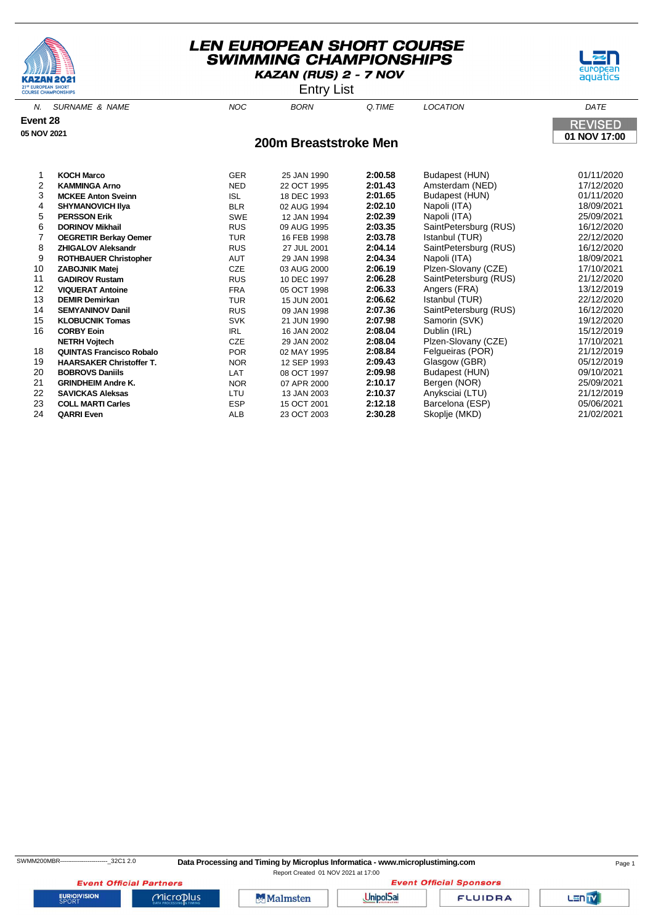



Entry List

| N.          | SURNAME & NAME               | <b>NOC</b> | <b>BORN</b>           | Q.TIME         | <b>LOCATION</b>       | DATE           |
|-------------|------------------------------|------------|-----------------------|----------------|-----------------------|----------------|
| Event 28    |                              |            |                       |                |                       | <b>REVISED</b> |
| 05 NOV 2021 |                              |            |                       |                |                       | 01 NOV 17:00   |
|             |                              |            | 200m Breaststroke Men |                |                       |                |
|             | <b>KOCH Marco</b>            | <b>GER</b> | 25 JAN 1990           | 2:00.58        | Budapest (HUN)        | 01/11/2020     |
| 2           | <b>KAMMINGA Arno</b>         | <b>NED</b> | 22 OCT 1995           | 2:01.43        | Amsterdam (NED)       | 17/12/2020     |
| 3           | <b>MCKEE Anton Sveinn</b>    | ISL        | 18 DEC 1993           | 2:01.65        | Budapest (HUN)        | 01/11/2020     |
| 4           | <b>SHYMANOVICH IIya</b>      | <b>BLR</b> | 02 AUG 1994           | 2:02.10        | Napoli (ITA)          | 18/09/2021     |
| 5           | <b>PERSSON Erik</b>          | <b>SWE</b> | 12 JAN 1994           | 2:02.39        | Napoli (ITA)          | 25/09/2021     |
| 6           | <b>DORINOV Mikhail</b>       | <b>RUS</b> | 09 AUG 1995           | 2:03.35        | SaintPetersburg (RUS) | 16/12/2020     |
|             | <b>OEGRETIR Berkay Oemer</b> | <b>TUR</b> | 16 FEB 1998           | 2:03.78        | Istanbul (TUR)        | 22/12/2020     |
| 8           | <b>ZHIGALOV Aleksandr</b>    | <b>RUS</b> | 27 JUL 2001           | 2:04.14        | SaintPetersburg (RUS) | 16/12/2020     |
| 9           | <b>ROTHBAUER Christopher</b> | AUT        | 29 JAN 1998           | 2:04.34        | Napoli (ITA)          | 18/09/2021     |
| 10          | <b>ZABOJNIK Matej</b>        | CZE        | 03 AUG 2000           | 2:06.19        | Plzen-Slovany (CZE)   | 17/10/2021     |
| 11          | <b>GADIROV Rustam</b>        | <b>RUS</b> | 10 DEC 1997           | 2:06.28        | SaintPetersburg (RUS) | 21/12/2020     |
| 10          | <b>VIOUEDAT Antoino</b>      | <b>FDA</b> | $OC$ $OCT$ $1000$     | <b>3.NG 22</b> | Anance (EDA)          | 12/12/2010     |

 **VIQUERAT Antoine** FRA 05 OCT 1998 **2:06.33** Angers (FRA) 13/12/2019 **DEMIR Demirkan** TUR 15 JUN 2001 **2:06.62** Istanbul (TUR) 22/12/2020 **SEMYANINOV Danil** RUS 09 JAN 1998 **2:07.36** SaintPetersburg (RUS) 16/12/2020 **15 KLOBUCNIK Tomas** SVK 21 JUN 1990 **2:07.98** Samorin (SV<br>
16 JAN 2002 **2:08.04** Dublin (IRL) **CORBY Eoin** IRL 16 JAN 2002 **2:08.04** Dublin (IRL) 15/12/2019 **NETRH Vojtech** CZE 29 JAN 2002 **2:08.04** Plzen-Slovany (CZE) 17/10/2021 **QUINTAS Francisco Robalo** POR 02 MAY 1995 **2:08.84** Felgueiras (POR) 21/12/2019 **HAARSAKER Christoffer T.** NOR 12 SEP 1993 **2:09.43** Glasgow (GBR) 05/12/2019 **BOBROVS Daniils** LAT 08 OCT 1997 **2:09.98** Budapest (HUN) 09/10/2021 **GRINDHEIM Andre K.** NOR 07 APR 2000 **2:10.17** Bergen (NOR)<br>**SAVICKAS Aleksas** LTU 13 JAN 2003 **2:10.37** Anyksciai (LTU) **SAVICKAS Aleksas** LTU 13 JAN 2003 **2:10.37** Anyksciai (LTU) 21/12/2019 **COLL MARTI Carles** ESP 15 OCT 2001 **2:12.18** Barcelona (ESP) 05/06/2021 **QARRI Even** ALB 23 OCT 2003 **2:30.28** Skoplje (MKD) 21/02/2021

**EURIOVISION** 

**Event Official Partners** 

Microplus

**Malmsten** 

**Event Official Sponsors UnipolSai** 

**FLUIDRA**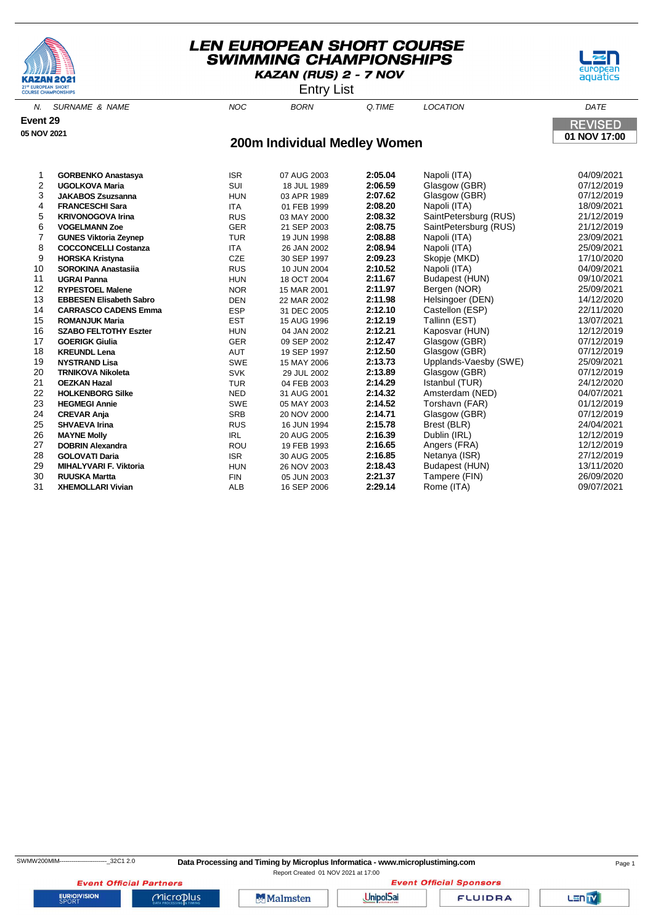





| N.          | SURNAME & NAME            | <b>NOC</b> | <b>BORN</b>                  | O.TIME  | <b>LOCATION</b>       | DATE           |
|-------------|---------------------------|------------|------------------------------|---------|-----------------------|----------------|
| Event 29    |                           |            |                              |         |                       | <b>REVISED</b> |
| 05 NOV 2021 |                           |            | 01 NOV 17:00                 |         |                       |                |
|             |                           |            | 200m Individual Medley Women |         |                       |                |
|             | <b>GORBENKO Anastasya</b> | <b>ISR</b> | 07 AUG 2003                  | 2:05.04 | Napoli (ITA)          | 04/09/2021     |
| 2           | <b>UGOLKOVA Maria</b>     | SUI        | 18 JUL 1989                  | 2:06.59 | Glasgow (GBR)         | 07/12/2019     |
| 3           | <b>JAKABOS Zsuzsanna</b>  | <b>HUN</b> | 03 APR 1989                  | 2:07.62 | Glasgow (GBR)         | 07/12/2019     |
| 4           | <b>FRANCESCHI Sara</b>    | <b>ITA</b> | 01 FEB 1999                  | 2:08.20 | Napoli (ITA)          | 18/09/2021     |
| 5           | <b>KRIVONOGOVA Irina</b>  | <b>RUS</b> | 03 MAY 2000                  | 2:08.32 | SaintPetersburg (RUS) | 21/12/2019     |

| 6  | <b>VOGELMANN Zoe</b>           | <b>GER</b> | 21 SEP 2003 | 2:08.75 | SaintPetersburg (RUS) | 21/12/2019 |
|----|--------------------------------|------------|-------------|---------|-----------------------|------------|
|    | <b>GUNES Viktoria Zeynep</b>   | <b>TUR</b> | 19 JUN 1998 | 2:08.88 | Napoli (ITA)          | 23/09/2021 |
| 8  | <b>COCCONCELLI Costanza</b>    | ITA.       | 26 JAN 2002 | 2:08.94 | Napoli (ITA)          | 25/09/2021 |
| 9  | <b>HORSKA Kristyna</b>         | <b>CZE</b> | 30 SEP 1997 | 2:09.23 | Skopje (MKD)          | 17/10/2020 |
| 10 | <b>SOROKINA Anastasija</b>     | <b>RUS</b> | 10 JUN 2004 | 2:10.52 | Napoli (ITA)          | 04/09/2021 |
| 11 | <b>UGRAI Panna</b>             | <b>HUN</b> | 18 OCT 2004 | 2:11.67 | Budapest (HUN)        | 09/10/2021 |
| 12 | <b>RYPESTOEL Malene</b>        | <b>NOR</b> | 15 MAR 2001 | 2:11.97 | Bergen (NOR)          | 25/09/2021 |
| 13 | <b>EBBESEN Elisabeth Sabro</b> | <b>DEN</b> | 22 MAR 2002 | 2:11.98 | Helsingoer (DEN)      | 14/12/2020 |
| 14 | <b>CARRASCO CADENS Emma</b>    | <b>ESP</b> | 31 DEC 2005 | 2:12.10 | Castellon (ESP)       | 22/11/2020 |
| 15 | <b>ROMANJUK Maria</b>          | <b>EST</b> | 15 AUG 1996 | 2:12.19 | Tallinn (EST)         | 13/07/2021 |
| 16 | <b>SZABO FELTOTHY Eszter</b>   | <b>HUN</b> | 04 JAN 2002 | 2:12.21 | Kaposvar (HUN)        | 12/12/2019 |
| 17 | <b>GOERIGK Giulia</b>          | <b>GER</b> | 09 SEP 2002 | 2:12.47 | Glasgow (GBR)         | 07/12/2019 |
| 18 | <b>KREUNDL Lena</b>            | <b>AUT</b> | 19 SEP 1997 | 2:12.50 | Glasgow (GBR)         | 07/12/2019 |
| 19 | <b>NYSTRAND Lisa</b>           | <b>SWE</b> | 15 MAY 2006 | 2:13.73 | Upplands-Vaesby (SWE) | 25/09/2021 |
| 20 | <b>TRNIKOVA Nikoleta</b>       | <b>SVK</b> | 29 JUL 2002 | 2:13.89 | Glasgow (GBR)         | 07/12/2019 |
| 21 | <b>OEZKAN Hazal</b>            | <b>TUR</b> | 04 FEB 2003 | 2:14.29 | Istanbul (TUR)        | 24/12/2020 |
| 22 | <b>HOLKENBORG Silke</b>        | <b>NED</b> | 31 AUG 2001 | 2:14.32 | Amsterdam (NED)       | 04/07/2021 |
| 23 | <b>HEGMEGI Annie</b>           | <b>SWE</b> | 05 MAY 2003 | 2:14.52 | Torshavn (FAR)        | 01/12/2019 |
| 24 | <b>CREVAR Anja</b>             | <b>SRB</b> | 20 NOV 2000 | 2:14.71 | Glasgow (GBR)         | 07/12/2019 |
| 25 | <b>SHVAEVA Irina</b>           | <b>RUS</b> | 16 JUN 1994 | 2:15.78 | Brest (BLR)           | 24/04/2021 |
| 26 | <b>MAYNE Molly</b>             | IRL        | 20 AUG 2005 | 2:16.39 | Dublin (IRL)          | 12/12/2019 |
| 27 | <b>DOBRIN Alexandra</b>        | <b>ROU</b> | 19 FEB 1993 | 2:16.65 | Angers (FRA)          | 12/12/2019 |
| 28 | <b>GOLOVATI Daria</b>          | <b>ISR</b> | 30 AUG 2005 | 2:16.85 | Netanya (ISR)         | 27/12/2019 |
| 29 | <b>MIHALYVARI F. Viktoria</b>  | <b>HUN</b> | 26 NOV 2003 | 2:18.43 | Budapest (HUN)        | 13/11/2020 |
| 30 | <b>RUUSKA Martta</b>           | <b>FIN</b> | 05 JUN 2003 | 2:21.37 | Tampere (FIN)         | 26/09/2020 |
| 31 | <b>XHEMOLLARI Vivian</b>       | <b>ALB</b> | 16 SEP 2006 | 2:29.14 | Rome (ITA)            | 09/07/2021 |



**EURIOVISION** 

**Event Official Partners** 

Microplus

**Malmsten** 

UnipolSai

**FLUIDRA**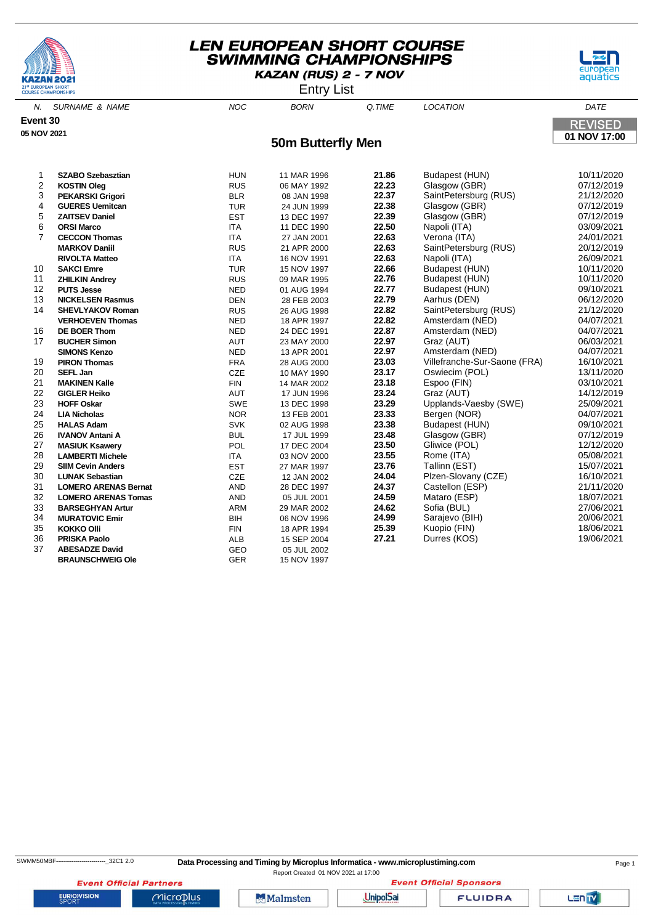





N. SURNAME & NAME  $N$  and  $N$  and  $N$  born  $\alpha$  time  $N$  location  $\alpha$  dates the  $N$ **Event 30 REVISED 05 NOV 2021 01 NOV 17:00 50m Butterfly Men SZABO Szebasztian** HUN 11 MAR 1996 **21.86** Budapest (HUN) 10/11/2020 **KOSTIN Oleg** RUS 06 MAY 1992 **22.23** Glasgow (GBR) 07/12/2019 **PEKARSKI Grigori** BLR 08 JAN 1998 **22.37** SaintPetersburg (RUS) 21/12/2020 **GUERES Uemitcan** TUR 24 JUN 1999 **22.38** Glasgow (GBR) 07/12/2019 **ZAITSEV Daniel** EST 13 DEC 1997 **22.39** Glasgow (GBR) 07/12/2019 **ORSI Marco** ITA 11 DEC 1990 **22.50** Napoli (ITA) 03/09/2021 **CECCON Thomas** ITA 27 JAN 2001 **22.63** Verona (ITA) 24/01/2021 **MARKOV Daniil** RUS 21 APR 2000 **22.63** SaintPetersburg (RUS) 20/12/2019 **RIVOLTA Matteo** ITA 16 NOV 1991 **22.63** Napoli (ITA) 26/09/2021 **SAKCI Emre** TUR 15 NOV 1997 **22.66** Budapest (HUN) 10/11/2020 **ZHILKIN Andrey** RUS 09 MAR 1995 **22.76** Budapest (HUN) 10/11/2020 **PUTS Jesse** NED 01 AUG 1994 **22.77** Budapest (HUN) 09/10/2021 **13 NICKELSEN Rasmus 28 FEB 2003 SHEVLYAKOV Roman** RUS 26 AUG 1998 **22.82** SaintPetersburg (RUS) 21/12/2020 **VERHOEVEN Thomas NED** 18 APR 1997 **22.82** Amsterdam (NED) 04/07/2021<br>**DE BOER Thom NED** 24 DEC 1991 **22.82** Amsterdam (NED) 04/07/2021 **DE BOER Thom** NED 24 DEC 1991 **22.87** Amsterdam (NED) 04/07/2021 **BUCHER Simon** AUT 23 MAY 2000 **22.97** Graz (AUT) 06/03/2021 **SIMONS Kenzo** NED 13 APR 2001 **22.97** Amsterdam (NED) 04/07/2021 **PIRON Thomas** FRA 28 AUG 2000 **23.03** Villefranche-Sur-Saone (FRA) 16/10/2021 **SEFL Jan** CZE 10 MAY 1990 **23.17** Oswiecim (POL) 13/11/2020 **MAKINEN Kalle** FIN 14 MAR 2002 **23.18** Espoo (FIN) 03/10/2021 **GIGLER Heiko** AUT 17 JUN 1996 **23.24** Graz (AUT) 14/12/2019 **HOFF Oskar** SWE 13 DEC 1998 **23.29** Upplands-Vaesby (SWE) 25/09/2021 **LIA Nicholas** NOR 13 FEB 2001 **23.33** Bergen (NOR) 04/07/2021 **Budapest (HUN) IVANOV Antani A** BUL 17 JUL 1999 **23.48** Glasgow (GBR) 07/12/2019 **MASIUK Ksawery** POL 17 DEC 2004 **23.50** Gliwice (POL) 12/12/2020 **LAMBERTI Michele** ITA 03 NOV 2000 **23.55** Rome (ITA) 05/08/2021 **SIIM Cevin Anders** EST 27 MAR 1997 **23.76** Tallinn (EST) 15/07/2021

30 **LUNAK Sebastian** CZE 12 JAN 2002 **24.04** Plzen-Slovany (CZE) 16/10/2021 31 **LOMERO ARENAS Bernat** AND 28 DEC 1997 **24.37** Castellon (ESP) 21/11/2020

 **BARSEGHYAN Artur** ARM 29 MAR 2002 **24.62** Sofia (BUL) 27/06/2021 **MURATOVIC Emir** BIH 06 NOV 1996 **24.99** Sarajevo (BIH) 20/06/2021 **KOKKO Olli** FIN 18 APR 1994 **25.39** Kuopio (FIN) 18/06/2021 **PRISKA Paolo** ALB 15 SEP 2004 **27.21** Durres (KOS) 19/06/2021

32 **LOMERO ARENAS Tomas** AND 05 JUL 2001 **24.59** Mataro (ESP) 18/07/2021

37 **ABESADZE David** GEO 05 JUL 2002 **BRAUNSCHWEIG OIe GER** 15 NOV 1997

**EURIOVISION** 

**Event Official Partners** 

Microplus

**Malmsten** 

Report Created 01 NOV 2021 at 17:00

**UnipolSai** 

**FLUIDRA** 

**Event Official Sponsors**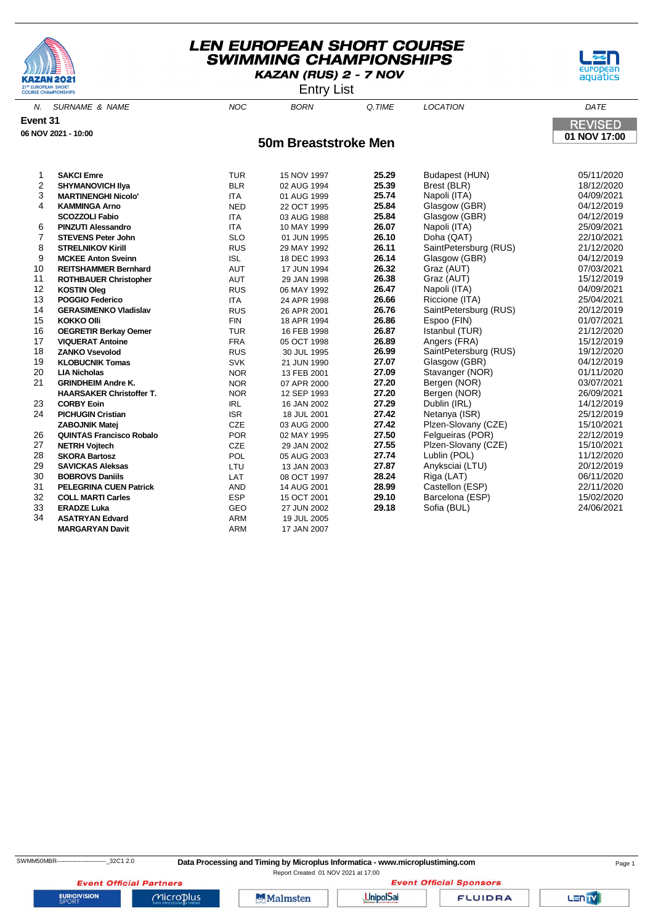



Entry List

| N.             | <b>SURNAME &amp; NAME</b>       | <b>NOC</b> | <b>BORN</b>          | Q.TIME | <b>LOCATION</b>             | DATE           |
|----------------|---------------------------------|------------|----------------------|--------|-----------------------------|----------------|
| Event 31       |                                 |            |                      |        |                             | <b>REVISED</b> |
|                | 06 NOV 2021 - 10:00             |            |                      |        |                             | 01 NOV 17:00   |
|                |                                 |            | 50m Breaststroke Men |        |                             |                |
|                |                                 |            |                      |        |                             |                |
| 1              | <b>SAKCI Emre</b>               |            |                      | 25.29  |                             | 05/11/2020     |
| $\overline{2}$ |                                 | <b>TUR</b> | 15 NOV 1997          | 25.39  | Budapest (HUN)              | 18/12/2020     |
| 3              | <b>SHYMANOVICH IIya</b>         | <b>BLR</b> | 02 AUG 1994          | 25.74  | Brest (BLR)<br>Napoli (ITA) | 04/09/2021     |
|                | <b>MARTINENGHI Nicolo'</b>      | <b>ITA</b> | 01 AUG 1999          |        |                             |                |
| 4              | <b>KAMMINGA Arno</b>            | <b>NED</b> | 22 OCT 1995          | 25.84  | Glasgow (GBR)               | 04/12/2019     |
|                | <b>SCOZZOLI Fabio</b>           | <b>ITA</b> | 03 AUG 1988          | 25.84  | Glasgow (GBR)               | 04/12/2019     |
| 6              | <b>PINZUTI Alessandro</b>       | <b>ITA</b> | 10 MAY 1999          | 26.07  | Napoli (ITA)                | 25/09/2021     |
| 7              | <b>STEVENS Peter John</b>       | <b>SLO</b> | 01 JUN 1995          | 26.10  | Doha (QAT)                  | 22/10/2021     |
| 8              | <b>STRELNIKOV Kirill</b>        | <b>RUS</b> | 29 MAY 1992          | 26.11  | SaintPetersburg (RUS)       | 21/12/2020     |
| 9              | <b>MCKEE Anton Sveinn</b>       | <b>ISL</b> | 18 DEC 1993          | 26.14  | Glasgow (GBR)               | 04/12/2019     |
| 10             | <b>REITSHAMMER Bernhard</b>     | <b>AUT</b> | 17 JUN 1994          | 26.32  | Graz (AUT)                  | 07/03/2021     |
| 11             | <b>ROTHBAUER Christopher</b>    | AUT        | 29 JAN 1998          | 26.38  | Graz (AUT)                  | 15/12/2019     |
| 12             | <b>KOSTIN Oleg</b>              | <b>RUS</b> | 06 MAY 1992          | 26.47  | Napoli (ITA)                | 04/09/2021     |
| 13             | <b>POGGIO Federico</b>          | <b>ITA</b> | 24 APR 1998          | 26.66  | Riccione (ITA)              | 25/04/2021     |
| 14             | <b>GERASIMENKO Vladislav</b>    | <b>RUS</b> | 26 APR 2001          | 26.76  | SaintPetersburg (RUS)       | 20/12/2019     |
| 15             | <b>KOKKO Olli</b>               | <b>FIN</b> | 18 APR 1994          | 26.86  | Espoo (FIN)                 | 01/07/2021     |
| 16             | <b>OEGRETIR Berkay Oemer</b>    | <b>TUR</b> | 16 FEB 1998          | 26.87  | Istanbul (TUR)              | 21/12/2020     |
| 17             | <b>VIQUERAT Antoine</b>         | <b>FRA</b> | 05 OCT 1998          | 26.89  | Angers (FRA)                | 15/12/2019     |
| 18             | <b>ZANKO Vsevolod</b>           | <b>RUS</b> | 30 JUL 1995          | 26.99  | SaintPetersburg (RUS)       | 19/12/2020     |
| 19             | <b>KLOBUCNIK Tomas</b>          | <b>SVK</b> | 21 JUN 1990          | 27.07  | Glasgow (GBR)               | 04/12/2019     |
| 20             | <b>LIA Nicholas</b>             | <b>NOR</b> | 13 FEB 2001          | 27.09  | Stavanger (NOR)             | 01/11/2020     |
| 21             | <b>GRINDHEIM Andre K.</b>       | <b>NOR</b> | 07 APR 2000          | 27.20  | Bergen (NOR)                | 03/07/2021     |
|                | <b>HAARSAKER Christoffer T.</b> | <b>NOR</b> | 12 SEP 1993          | 27.20  | Bergen (NOR)                | 26/09/2021     |
| 23             | <b>CORBY Eoin</b>               | <b>IRL</b> | 16 JAN 2002          | 27.29  | Dublin (IRL)                | 14/12/2019     |
| 24             | <b>PICHUGIN Cristian</b>        | <b>ISR</b> | 18 JUL 2001          | 27.42  | Netanya (ISR)               | 25/12/2019     |
|                | <b>ZABOJNIK Matej</b>           | <b>CZE</b> | 03 AUG 2000          | 27.42  | Plzen-Slovany (CZE)         | 15/10/2021     |
| 26             | <b>QUINTAS Francisco Robalo</b> | <b>POR</b> | 02 MAY 1995          | 27.50  | Felgueiras (POR)            | 22/12/2019     |
| 27             | <b>NETRH Vojtech</b>            | CZE        | 29 JAN 2002          | 27.55  | Plzen-Slovany (CZE)         | 15/10/2021     |
| 28             | <b>SKORA Bartosz</b>            | POL        | 05 AUG 2003          | 27.74  | Lublin (POL)                | 11/12/2020     |
| 29             | <b>SAVICKAS Aleksas</b>         | LTU        | 13 JAN 2003          | 27.87  | Anyksciai (LTU)             | 20/12/2019     |
| 30             | <b>BOBROVS Daniils</b>          | LAT        | 08 OCT 1997          | 28.24  | Riga (LAT)                  | 06/11/2020     |
| 31             | <b>PELEGRINA CUEN Patrick</b>   | <b>AND</b> | 14 AUG 2001          | 28.99  | Castellon (ESP)             | 22/11/2020     |
| 32             | <b>COLL MARTI Carles</b>        | <b>ESP</b> | 15 OCT 2001          | 29.10  | Barcelona (ESP)             | 15/02/2020     |
| 33             | <b>ERADZE Luka</b>              | GEO        | 27 JUN 2002          | 29.18  | Sofia (BUL)                 | 24/06/2021     |
| 34             | <b>ASATRYAN Edvard</b>          | ARM        | 19 JUL 2005          |        |                             |                |
|                | <b>MARGARYAN Davit</b>          | <b>ARM</b> | 17 JAN 2007          |        |                             |                |
|                |                                 |            |                      |        |                             |                |

Report Created 01 NOV 2021 at 17:00

**FLUIDRA** 

Lanty

**EURIOVISION** 

**Event Official Partners** 

 $Microplus$ 

**Malmsten** 

UnipolSai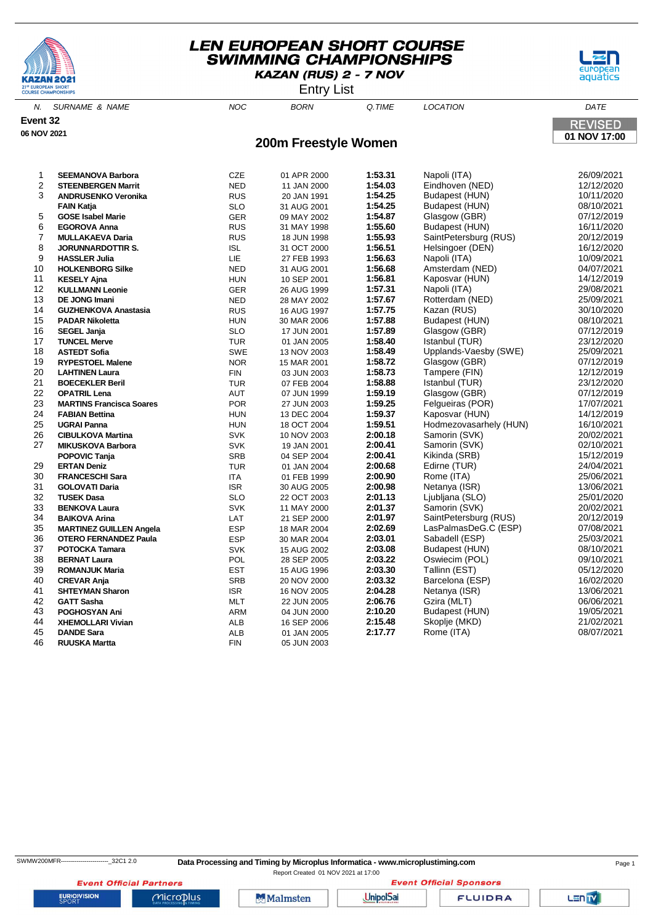





| N.             | <b>SURNAME &amp; NAME</b>       | <b>NOC</b> | <b>BORN</b>          | Q.TIME  | <b>LOCATION</b>        | DATE           |
|----------------|---------------------------------|------------|----------------------|---------|------------------------|----------------|
| Event 32       |                                 |            |                      |         |                        | <b>REVISED</b> |
| 06 NOV 2021    |                                 |            |                      |         |                        | 01 NOV 17:00   |
|                |                                 |            | 200m Freestyle Women |         |                        |                |
|                |                                 |            |                      |         |                        |                |
| 1              | <b>SEEMANOVA Barbora</b>        | CZE        | 01 APR 2000          | 1:53.31 | Napoli (ITA)           | 26/09/2021     |
| $\overline{2}$ | <b>STEENBERGEN Marrit</b>       | <b>NED</b> | 11 JAN 2000          | 1:54.03 | Eindhoven (NED)        | 12/12/2020     |
| 3              | <b>ANDRUSENKO Veronika</b>      | <b>RUS</b> | 20 JAN 1991          | 1:54.25 | Budapest (HUN)         | 10/11/2020     |
|                | <b>FAIN Katja</b>               | <b>SLO</b> | 31 AUG 2001          | 1:54.25 | Budapest (HUN)         | 08/10/2021     |
| 5              | <b>GOSE Isabel Marie</b>        | <b>GER</b> | 09 MAY 2002          | 1:54.87 | Glasgow (GBR)          | 07/12/2019     |
| 6              | <b>EGOROVA Anna</b>             | <b>RUS</b> | 31 MAY 1998          | 1:55.60 | Budapest (HUN)         | 16/11/2020     |
| 7              | <b>MULLAKAEVA Daria</b>         | <b>RUS</b> | 18 JUN 1998          | 1:55.93 | SaintPetersburg (RUS)  | 20/12/2019     |
| 8              | <b>JORUNNARDOTTIR S.</b>        | <b>ISL</b> | 31 OCT 2000          | 1:56.51 | Helsingoer (DEN)       | 16/12/2020     |
| 9              | <b>HASSLER Julia</b>            | LIE        | 27 FEB 1993          | 1:56.63 | Napoli (ITA)           | 10/09/2021     |
| 10             | <b>HOLKENBORG Silke</b>         | <b>NED</b> | 31 AUG 2001          | 1:56.68 | Amsterdam (NED)        | 04/07/2021     |
| 11             | <b>KESELY Ajna</b>              | <b>HUN</b> | 10 SEP 2001          | 1:56.81 | Kaposvar (HUN)         | 14/12/2019     |
| 12             | <b>KULLMANN Leonie</b>          | <b>GER</b> | 26 AUG 1999          | 1:57.31 | Napoli (ITA)           | 29/08/2021     |
| 13             | <b>DE JONG Imani</b>            | <b>NED</b> | 28 MAY 2002          | 1:57.67 | Rotterdam (NED)        | 25/09/2021     |
| 14             | <b>GUZHENKOVA Anastasia</b>     | <b>RUS</b> | 16 AUG 1997          | 1:57.75 | Kazan (RUS)            | 30/10/2020     |
| 15             | <b>PADAR Nikoletta</b>          | <b>HUN</b> | 30 MAR 2006          | 1:57.88 | Budapest (HUN)         | 08/10/2021     |
| 16             | <b>SEGEL Janja</b>              | <b>SLO</b> | 17 JUN 2001          | 1:57.89 | Glasgow (GBR)          | 07/12/2019     |
| 17             | <b>TUNCEL Merve</b>             | <b>TUR</b> | 01 JAN 2005          | 1:58.40 | Istanbul (TUR)         | 23/12/2020     |
| 18             | <b>ASTEDT Sofia</b>             | SWE        | 13 NOV 2003          | 1:58.49 | Upplands-Vaesby (SWE)  | 25/09/2021     |
| 19             | <b>RYPESTOEL Malene</b>         | <b>NOR</b> | 15 MAR 2001          | 1:58.72 | Glasgow (GBR)          | 07/12/2019     |
| 20             | <b>LAHTINEN Laura</b>           | <b>FIN</b> | 03 JUN 2003          | 1:58.73 | Tampere (FIN)          | 12/12/2019     |
| 21             | <b>BOECEKLER Beril</b>          | <b>TUR</b> | 07 FEB 2004          | 1:58.88 | Istanbul (TUR)         | 23/12/2020     |
| 22             | <b>OPATRIL Lena</b>             | <b>AUT</b> | 07 JUN 1999          | 1:59.19 | Glasgow (GBR)          | 07/12/2019     |
| 23             | <b>MARTINS Francisca Soares</b> | <b>POR</b> | 27 JUN 2003          | 1:59.25 | Felgueiras (POR)       | 17/07/2021     |
| 24             | <b>FABIAN Bettina</b>           | <b>HUN</b> | 13 DEC 2004          | 1:59.37 | Kaposvar (HUN)         | 14/12/2019     |
| 25             | <b>UGRAI Panna</b>              | <b>HUN</b> | 18 OCT 2004          | 1:59.51 | Hodmezovasarhely (HUN) | 16/10/2021     |
| 26             | <b>CIBULKOVA Martina</b>        | <b>SVK</b> | 10 NOV 2003          | 2:00.18 | Samorin (SVK)          | 20/02/2021     |
| 27             | <b>MIKUSKOVA Barbora</b>        | <b>SVK</b> | 19 JAN 2001          | 2:00.41 | Samorin (SVK)          | 02/10/2021     |
|                | <b>POPOVIC Tanja</b>            | SRB        | 04 SEP 2004          | 2:00.41 | Kikinda (SRB)          | 15/12/2019     |
| 29             | <b>ERTAN Deniz</b>              | <b>TUR</b> | 01 JAN 2004          | 2:00.68 | Edirne (TUR)           | 24/04/2021     |
| 30             | <b>FRANCESCHI Sara</b>          | <b>ITA</b> | 01 FEB 1999          | 2:00.90 | Rome (ITA)             | 25/06/2021     |
| 31             | <b>GOLOVATI Daria</b>           | <b>ISR</b> | 30 AUG 2005          | 2:00.98 | Netanya (ISR)          | 13/06/2021     |
| 32             | <b>TUSEK Dasa</b>               | <b>SLO</b> | 22 OCT 2003          | 2:01.13 | Ljubljana (SLO)        | 25/01/2020     |
| 33             | <b>BENKOVA Laura</b>            | <b>SVK</b> | 11 MAY 2000          | 2:01.37 | Samorin (SVK)          | 20/02/2021     |
| 34             | <b>BAIKOVA Arina</b>            | LAT        | 21 SEP 2000          | 2:01.97 | SaintPetersburg (RUS)  | 20/12/2019     |
| 35             | <b>MARTINEZ GUILLEN Angela</b>  | <b>ESP</b> | 18 MAR 2004          | 2:02.69 | LasPalmasDeG.C (ESP)   | 07/08/2021     |
| 36             | <b>OTERO FERNANDEZ Paula</b>    | <b>ESP</b> | 30 MAR 2004          | 2:03.01 | Sabadell (ESP)         | 25/03/2021     |
| 37             | <b>POTOCKA Tamara</b>           | <b>SVK</b> | 15 AUG 2002          | 2:03.08 | Budapest (HUN)         | 08/10/2021     |

 **BERNAT Laura** POL 28 SEP 2005 **2:03.22** Oswiecim (POL) 09/10/2021 **ROMANJUK Maria** EST 15 AUG 1996 **2:03.30** Tallinn (EST) 05/12/2020

 **SHTEYMAN Sharon** ISR 16 NOV 2005 **2:04.28** Netanya (ISR) 13/06/2021 **GATT Sasha** MLT 22 JUN 2005 **2:06.76** Gzira (MLT) 06/06/2021 **POGHOSYAN Ani** ARM 04 JUN 2000 **2:10.20** Budapest (HUN) 19/05/2021 **XHEMOLLARI Vivian** ALB 16 SEP 2006 **2:15.48** Skoplje (MKD) 21/02/2021 **DANDE Sara** ALB 01 JAN 2005 **2:17.77** Rome (ITA) 08/07/2021

**SRB** 20 NOV 2000 **2:03.32** Barcelona (ESP)

**EURIOVISION** 

Report Created 01 NOV 2021 at 17:00**Event Official Sponsors** 

**Event Official Partners** Microplus

**RUUSKA Martta** FIN 05 JUN 2003

**Malmsten** 

**UnipolSai** 

**POTOCKA Tamara** SVK 15 AUG 2002 **2:03.08** Budapest (HUN) 08/10/2021

**FLUIDRA**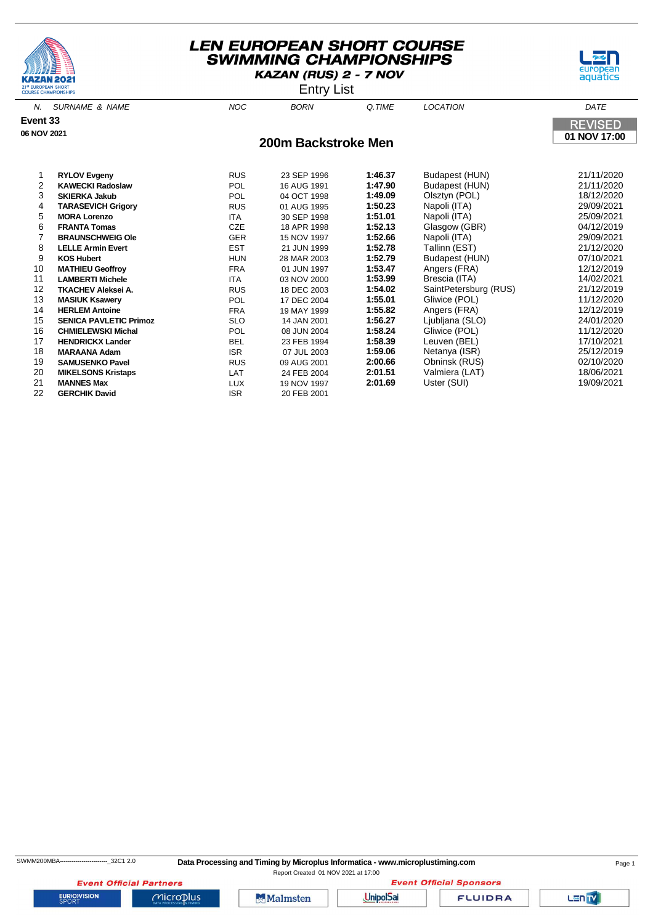



Entry List

| N.          | <b>SURNAME &amp; NAME</b>     | <b>NOC</b> | <b>BORN</b>         | Q.TIME  | <b>LOCATION</b>       | DATE           |
|-------------|-------------------------------|------------|---------------------|---------|-----------------------|----------------|
| Event 33    |                               |            |                     |         |                       | <b>REVISED</b> |
| 06 NOV 2021 |                               |            |                     |         |                       |                |
|             |                               |            | 200m Backstroke Men |         |                       | 01 NOV 17:00   |
|             |                               |            |                     |         |                       |                |
|             | <b>RYLOV Evgeny</b>           | <b>RUS</b> | 23 SEP 1996         | 1:46.37 | Budapest (HUN)        | 21/11/2020     |
| 2           | <b>KAWECKI Radoslaw</b>       | POL        | 16 AUG 1991         | 1:47.90 | Budapest (HUN)        | 21/11/2020     |
| 3           | <b>SKIERKA Jakub</b>          | <b>POL</b> | 04 OCT 1998         | 1:49.09 | Olsztyn (POL)         | 18/12/2020     |
| 4           | <b>TARASEVICH Grigory</b>     | <b>RUS</b> | 01 AUG 1995         | 1:50.23 | Napoli (ITA)          | 29/09/2021     |
| 5           | <b>MORA Lorenzo</b>           | <b>ITA</b> | 30 SEP 1998         | 1:51.01 | Napoli (ITA)          | 25/09/2021     |
| 6           | <b>FRANTA Tomas</b>           | CZE        | 18 APR 1998         | 1:52.13 | Glasgow (GBR)         | 04/12/2019     |
| 7           | <b>BRAUNSCHWEIG Ole</b>       | <b>GER</b> | 15 NOV 1997         | 1:52.66 | Napoli (ITA)          | 29/09/2021     |
| 8           | <b>LELLE Armin Evert</b>      | <b>EST</b> | 21 JUN 1999         | 1:52.78 | Tallinn (EST)         | 21/12/2020     |
| 9           | <b>KOS Hubert</b>             | <b>HUN</b> | 28 MAR 2003         | 1:52.79 | Budapest (HUN)        | 07/10/2021     |
| 10          | <b>MATHIEU Geoffroy</b>       | <b>FRA</b> | 01 JUN 1997         | 1:53.47 | Angers (FRA)          | 12/12/2019     |
| 11          | <b>LAMBERTI Michele</b>       | <b>ITA</b> | 03 NOV 2000         | 1:53.99 | Brescia (ITA)         | 14/02/2021     |
| 12          | <b>TKACHEV Aleksei A.</b>     | <b>RUS</b> | 18 DEC 2003         | 1:54.02 | SaintPetersburg (RUS) | 21/12/2019     |
| 13          | <b>MASIUK Ksawery</b>         | POL        | 17 DEC 2004         | 1:55.01 | Gliwice (POL)         | 11/12/2020     |
| 14          | <b>HERLEM Antoine</b>         | <b>FRA</b> | 19 MAY 1999         | 1:55.82 | Angers (FRA)          | 12/12/2019     |
| 15          | <b>SENICA PAVLETIC Primoz</b> | <b>SLO</b> | 14 JAN 2001         | 1:56.27 | Ljubljana (SLO)       | 24/01/2020     |
| 16          | <b>CHMIELEWSKI Michal</b>     | POL        | 08 JUN 2004         | 1:58.24 | Gliwice (POL)         | 11/12/2020     |
| 17          | <b>HENDRICKX Lander</b>       | <b>BEL</b> | 23 FEB 1994         | 1:58.39 | Leuven (BEL)          | 17/10/2021     |
| 18          | <b>MARAANA Adam</b>           | <b>ISR</b> | 07 JUL 2003         | 1:59.06 | Netanya (ISR)         | 25/12/2019     |
| 19          | <b>SAMUSENKO Pavel</b>        | <b>RUS</b> | 09 AUG 2001         | 2:00.66 | Obninsk (RUS)         | 02/10/2020     |
| 20          | <b>MIKELSONS Kristaps</b>     | LAT        | 24 FEB 2004         | 2:01.51 | Valmiera (LAT)        | 18/06/2021     |
| 21          | <b>MANNES Max</b>             | <b>LUX</b> | 19 NOV 1997         | 2:01.69 | Uster (SUI)           | 19/09/2021     |

**22 GERCHIK David ISR ISR** 20 FEB 2001

**EURIOVISION** 

**Event Official Partners** 

 $Microplus$ 



**Event Official Sponsors** UnipolSai

**FLUIDRA** 

Lanty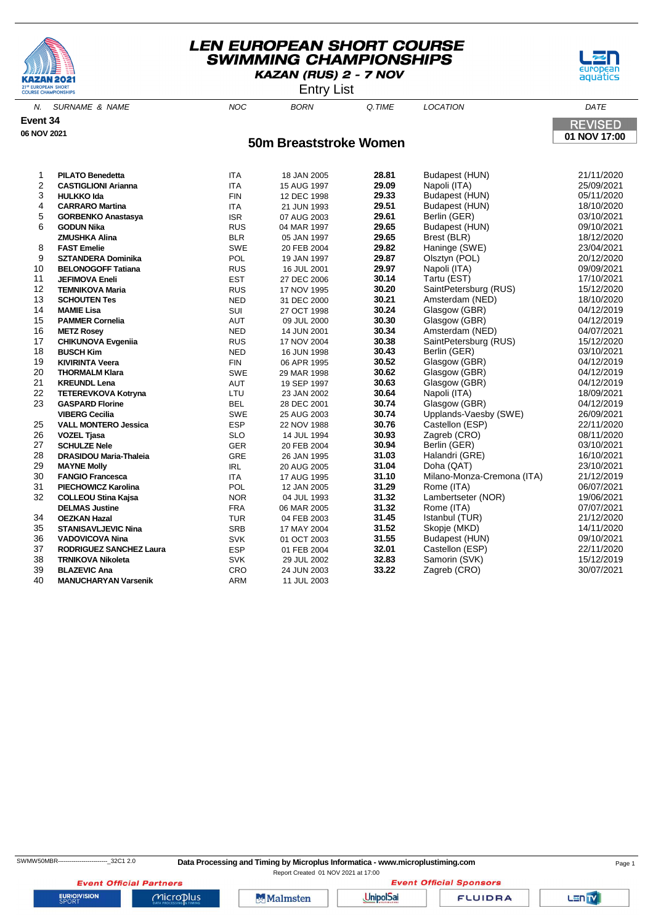





N. SURNAME & NAME  $NOC$  BORN Q.TIME LOCATION DATE **Event 34 REVISED 06 NOV 2021 01 NOV 17:00 50m Breaststroke Women PILATO Benedetta** ITA 18 JAN 2005 **28.81** Budapest (HUN) 21/11/2020 **CASTIGLIONI Arianna** ITA 15 AUG 1997 **29.09** Napoli (ITA) 25/09/2021 **HULKKO Ida** FIN 12 DEC 1998 **29.33** Budapest (HUN) 05/11/2020 **CARRARO Martina CARRARO Martina 15 15 21 JUN** 1993

| VAINNAINV INGI UHQ             | $\cdots$   | $21$ JUIV 1990 | 23.VI | <b>Duuapoot</b> (Tiony                                                                                            | 10/10/2020                                       |
|--------------------------------|------------|----------------|-------|-------------------------------------------------------------------------------------------------------------------|--------------------------------------------------|
| <b>GORBENKO Anastasya</b>      | <b>ISR</b> | 07 AUG 2003    | 29.61 | Berlin (GER)                                                                                                      | 03/10/2021                                       |
| <b>GODUN Nika</b>              | <b>RUS</b> | 04 MAR 1997    | 29.65 | Budapest (HUN)                                                                                                    | 09/10/2021                                       |
| <b>ZMUSHKA Alina</b>           | <b>BLR</b> | 05 JAN 1997    |       | Brest (BLR)                                                                                                       | 18/12/2020                                       |
| <b>FAST Emelie</b>             | <b>SWE</b> | 20 FEB 2004    | 29.82 | Haninge (SWE)                                                                                                     | 23/04/2021                                       |
| <b>SZTANDERA Dominika</b>      | POL        | 19 JAN 1997    | 29.87 | Olsztyn (POL)                                                                                                     | 20/12/2020                                       |
| <b>BELONOGOFF Tatiana</b>      | <b>RUS</b> | 16 JUL 2001    |       | Napoli (ITA)                                                                                                      | 09/09/2021                                       |
| <b>JEFIMOVA Eneli</b>          | <b>EST</b> | 27 DEC 2006    | 30.14 | Tartu (EST)                                                                                                       | 17/10/2021                                       |
| <b>TEMNIKOVA Maria</b>         | <b>RUS</b> | 17 NOV 1995    | 30.20 | SaintPetersburg (RUS)                                                                                             | 15/12/2020                                       |
| <b>SCHOUTEN Tes</b>            | <b>NED</b> | 31 DEC 2000    |       | Amsterdam (NED)                                                                                                   | 18/10/2020                                       |
| <b>MAMIE Lisa</b>              | SUI        | 27 OCT 1998    | 30.24 | Glasgow (GBR)                                                                                                     | 04/12/2019                                       |
| <b>PAMMER Cornelia</b>         | <b>AUT</b> | 09 JUL 2000    | 30.30 | Glasgow (GBR)                                                                                                     | 04/12/2019                                       |
| <b>METZ Rosey</b>              | <b>NED</b> | 14 JUN 2001    | 30.34 | Amsterdam (NED)                                                                                                   | 04/07/2021                                       |
| <b>CHIKUNOVA Evgenija</b>      | <b>RUS</b> | 17 NOV 2004    | 30.38 | SaintPetersburg (RUS)                                                                                             | 15/12/2020                                       |
| <b>BUSCH Kim</b>               | <b>NED</b> | 16 JUN 1998    |       | Berlin (GER)                                                                                                      | 03/10/2021                                       |
| <b>KIVIRINTA Veera</b>         | <b>FIN</b> | 06 APR 1995    |       | Glasgow (GBR)                                                                                                     | 04/12/2019                                       |
| <b>THORMALM Klara</b>          | <b>SWE</b> | 29 MAR 1998    | 30.62 | Glasgow (GBR)                                                                                                     | 04/12/2019                                       |
| <b>KREUNDL Lena</b>            | AUT        | 19 SEP 1997    |       |                                                                                                                   | 04/12/2019                                       |
| <b>TETEREVKOVA Kotryna</b>     | LTU        | 23 JAN 2002    |       |                                                                                                                   | 18/09/2021                                       |
| <b>GASPARD Florine</b>         | <b>BEL</b> | 28 DEC 2001    | 30.74 | Glasgow (GBR)                                                                                                     | 04/12/2019                                       |
| <b>VIBERG Cecilia</b>          | <b>SWE</b> | 25 AUG 2003    |       | Upplands-Vaesby (SWE)                                                                                             | 26/09/2021                                       |
| <b>VALL MONTERO Jessica</b>    | <b>ESP</b> | 22 NOV 1988    |       |                                                                                                                   | 22/11/2020                                       |
| <b>VOZEL Tjasa</b>             | <b>SLO</b> | 14 JUL 1994    | 30.93 | Zagreb (CRO)                                                                                                      | 08/11/2020                                       |
| <b>SCHULZE Nele</b>            | <b>GER</b> | 20 FEB 2004    |       | Berlin (GER)                                                                                                      | 03/10/2021                                       |
| DRASIDOU Maria-Thaleia         | GRE        | 26 JAN 1995    |       | Halandri (GRE)                                                                                                    | 16/10/2021                                       |
| <b>MAYNE Molly</b>             | <b>IRL</b> | 20 AUG 2005    |       | Doha (QAT)                                                                                                        | 23/10/2021                                       |
| <b>FANGIO Francesca</b>        | <b>ITA</b> | 17 AUG 1995    | 31.10 | Milano-Monza-Cremona (ITA)                                                                                        | 21/12/2019                                       |
| PIECHOWICZ Karolina            | <b>POL</b> | 12 JAN 2005    | 31.29 | Rome (ITA)                                                                                                        | 06/07/2021                                       |
| <b>COLLEOU Stina Kajsa</b>     | <b>NOR</b> | 04 JUL 1993    | 31.32 | Lambertseter (NOR)                                                                                                | 19/06/2021                                       |
| <b>DELMAS Justine</b>          | <b>FRA</b> | 06 MAR 2005    |       | Rome (ITA)                                                                                                        | 07/07/2021                                       |
| <b>OEZKAN Hazal</b>            | <b>TUR</b> | 04 FEB 2003    | 31.45 | Istanbul (TUR)                                                                                                    | 21/12/2020                                       |
| <b>STANISAVLJEVIC Nina</b>     | <b>SRB</b> | 17 MAY 2004    | 31.52 | Skopje (MKD)                                                                                                      | 14/11/2020                                       |
| <b>VADOVICOVA Nina</b>         | <b>SVK</b> | 01 OCT 2003    | 31.55 | Budapest (HUN)                                                                                                    | 09/10/2021                                       |
| <b>RODRIGUEZ SANCHEZ Laura</b> | <b>ESP</b> | 01 FEB 2004    | 32.01 | Castellon (ESP)                                                                                                   | 22/11/2020                                       |
| <b>TRNIKOVA Nikoleta</b>       | <b>SVK</b> | 29 JUL 2002    | 32.83 | Samorin (SVK)                                                                                                     | 15/12/2019                                       |
| <b>BLAZEVIC Ana</b>            | CRO        | 24 JUN 2003    | 33.22 | Zagreb (CRO)                                                                                                      | 30/07/2021                                       |
| <b>MANUCHARYAN Varsenik</b>    | <b>ARM</b> | 11 JUL 2003    |       |                                                                                                                   |                                                  |
|                                |            |                |       | 29.65<br>29.97<br>30.21<br>30.43<br>30.52<br>30.63<br>30.64<br>30.74<br>30.76<br>30.94<br>31.03<br>31.04<br>31.32 | Glasgow (GBR)<br>Napoli (ITA)<br>Castellon (ESP) |

SWMW50MBR-------------------------\_32C1 2.0 **Data Processing and Timing by Microplus Informatica - www.microplustiming.com** Page 1

Report Created 01 NOV 2021 at 17:00**Event Official Sponsors** 

**Event Official Partners EURIOVISION** 

Microplus

Malmsten

**UnipolSai** 

**FLUIDRA**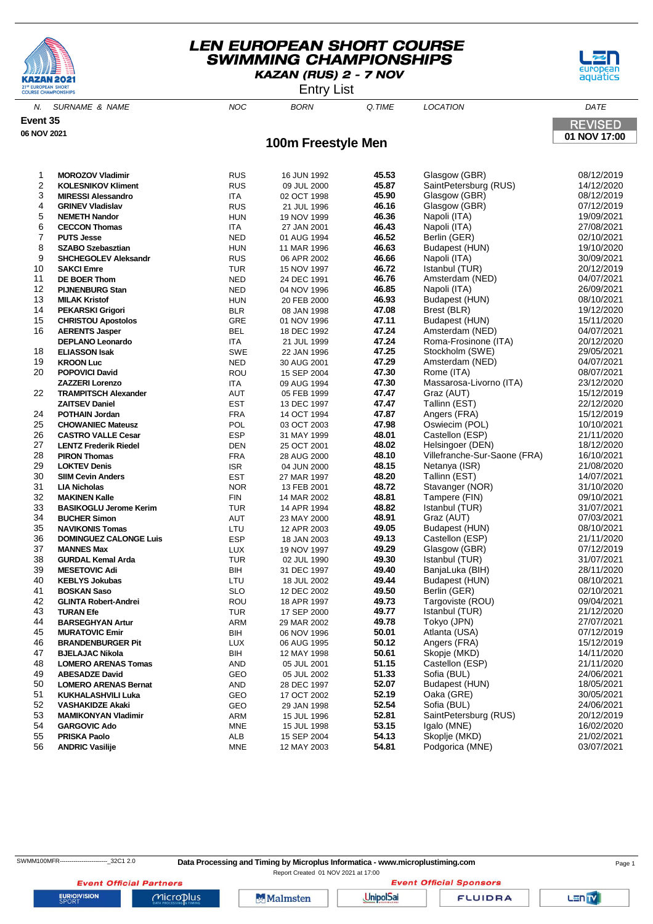





**01 NOV 17:00**

**REVISED** 

N. SURNAME & NAME  $NOC$  BORN Q.TIME LOCATION DATE **100m Freestyle Men Event 35 06 NOV 2021 MOROZOV Vladimir** RUS 16 JUN 1992 **45.53** Glasgow (GBR) 08/12/2019 **RUS** 09 JUL 2000 **45.87** SaintPetersburg (RUS)

| 3              | <b>MIRESSI Alessandro</b>     | ITA        | 02 OCT 1998 | 45.90          | Glasgow (GBR)                                    | 08/12/2019 |
|----------------|-------------------------------|------------|-------------|----------------|--------------------------------------------------|------------|
| $\overline{4}$ | <b>GRINEV Vladislav</b>       | <b>RUS</b> | 21 JUL 1996 | 46.16          | Glasgow (GBR)                                    | 07/12/2019 |
| 5              | <b>NEMETH Nandor</b>          | <b>HUN</b> | 19 NOV 1999 | 46.36          | Napoli (ITA)                                     | 19/09/2021 |
| 6              | <b>CECCON Thomas</b>          | <b>ITA</b> | 27 JAN 2001 | 46.43          | Napoli (ITA)                                     | 27/08/2021 |
| 7              | <b>PUTS Jesse</b>             | <b>NED</b> | 01 AUG 1994 | 46.52          | Berlin (GER)                                     | 02/10/2021 |
| 8              | <b>SZABO Szebasztian</b>      | <b>HUN</b> | 11 MAR 1996 | 46.63          | Budapest (HUN)                                   | 19/10/2020 |
| 9              | <b>SHCHEGOLEV Aleksandr</b>   | <b>RUS</b> | 06 APR 2002 | 46.66          | Napoli (ITA)                                     | 30/09/2021 |
| 10             | <b>SAKCI Emre</b>             | <b>TUR</b> | 15 NOV 1997 | 46.72          | Istanbul (TUR)                                   | 20/12/2019 |
| 11             | <b>DE BOER Thom</b>           | <b>NED</b> | 24 DEC 1991 | 46.76          | Amsterdam (NED)                                  | 04/07/2021 |
| 12             | <b>PIJNENBURG Stan</b>        | <b>NED</b> | 04 NOV 1996 | 46.85          | Napoli (ITA)                                     | 26/09/2021 |
| 13             | <b>MILAK Kristof</b>          | <b>HUN</b> | 20 FEB 2000 | 46.93          | Budapest (HUN)                                   | 08/10/2021 |
| 14             | <b>PEKARSKI Grigori</b>       | <b>BLR</b> | 08 JAN 1998 | 47.08          | Brest (BLR)                                      | 19/12/2020 |
| 15             | <b>CHRISTOU Apostolos</b>     | GRE        | 01 NOV 1996 | 47.11          | Budapest (HUN)                                   | 15/11/2020 |
| 16             | <b>AERENTS Jasper</b>         | <b>BEL</b> | 18 DEC 1992 | 47.24          | Amsterdam (NED)                                  | 04/07/2021 |
|                | <b>DEPLANO Leonardo</b>       | <b>ITA</b> | 21 JUL 1999 | 47.24          | Roma-Frosinone (ITA)                             | 20/12/2020 |
| 18             | <b>ELIASSON Isak</b>          | SWE        | 22 JAN 1996 | 47.25          | Stockholm (SWE)                                  | 29/05/2021 |
| 19             | <b>KROON Luc</b>              | <b>NED</b> | 30 AUG 2001 | 47.29          | Amsterdam (NED)                                  | 04/07/2021 |
| 20             | <b>POPOVICI David</b>         | ROU        | 15 SEP 2004 | 47.30          | Rome (ITA)                                       | 08/07/2021 |
|                | <b>ZAZZERI Lorenzo</b>        | ITA        | 09 AUG 1994 | 47.30          | Massarosa-Livorno (ITA)                          | 23/12/2020 |
| 22             | <b>TRAMPITSCH Alexander</b>   | <b>AUT</b> | 05 FEB 1999 | 47.47          | Graz (AUT)                                       | 15/12/2019 |
|                | <b>ZAITSEV Daniel</b>         | <b>EST</b> |             | 47.47          | Tallinn (EST)                                    | 22/12/2020 |
| 24             |                               | <b>FRA</b> | 13 DEC 1997 | 47.87          | Angers (FRA)                                     | 15/12/2019 |
| 25             | <b>POTHAIN Jordan</b>         |            | 14 OCT 1994 | 47.98          | Oswiecim (POL)                                   | 10/10/2021 |
|                | <b>CHOWANIEC Mateusz</b>      | POL        | 03 OCT 2003 | 48.01          |                                                  |            |
| 26             | <b>CASTRO VALLE Cesar</b>     | <b>ESP</b> | 31 MAY 1999 |                | Castellon (ESP)                                  | 21/11/2020 |
| 27<br>28       | <b>LENTZ Frederik Riedel</b>  | <b>DEN</b> | 25 OCT 2001 | 48.02<br>48.10 | Helsingoer (DEN)<br>Villefranche-Sur-Saone (FRA) | 18/12/2020 |
|                | <b>PIRON Thomas</b>           | <b>FRA</b> | 28 AUG 2000 | 48.15          |                                                  | 16/10/2021 |
| 29             | <b>LOKTEV Denis</b>           | <b>ISR</b> | 04 JUN 2000 |                | Netanya (ISR)                                    | 21/08/2020 |
| 30             | <b>SIIM Cevin Anders</b>      | <b>EST</b> | 27 MAR 1997 | 48.20          | Tallinn (EST)                                    | 14/07/2021 |
| 31             | <b>LIA Nicholas</b>           | <b>NOR</b> | 13 FEB 2001 | 48.72          | Stavanger (NOR)                                  | 31/10/2020 |
| 32             | <b>MAKINEN Kalle</b>          | <b>FIN</b> | 14 MAR 2002 | 48.81          | Tampere (FIN)                                    | 09/10/2021 |
| 33             | <b>BASIKOGLU Jerome Kerim</b> | <b>TUR</b> | 14 APR 1994 | 48.82          | Istanbul (TUR)                                   | 31/07/2021 |
| 34             | <b>BUCHER Simon</b>           | AUT        | 23 MAY 2000 | 48.91          | Graz (AUT)                                       | 07/03/2021 |
| 35             | <b>NAVIKONIS Tomas</b>        | LTU        | 12 APR 2003 | 49.05          | Budapest (HUN)                                   | 08/10/2021 |
| 36             | <b>DOMINGUEZ CALONGE Luis</b> | <b>ESP</b> | 18 JAN 2003 | 49.13          | Castellon (ESP)                                  | 21/11/2020 |
| 37             | <b>MANNES Max</b>             | <b>LUX</b> | 19 NOV 1997 | 49.29          | Glasgow (GBR)                                    | 07/12/2019 |
| 38             | <b>GURDAL Kemal Arda</b>      | <b>TUR</b> | 02 JUL 1990 | 49.30          | Istanbul (TUR)                                   | 31/07/2021 |
| 39             | <b>MESETOVIC Adi</b>          | BIH        | 31 DEC 1997 | 49.40          | BanjaLuka (BIH)                                  | 28/11/2020 |
| 40             | <b>KEBLYS Jokubas</b>         | LTU        | 18 JUL 2002 | 49.44          | Budapest (HUN)                                   | 08/10/2021 |
| 41             | <b>BOSKAN Saso</b>            | <b>SLO</b> | 12 DEC 2002 | 49.50          | Berlin (GER)                                     | 02/10/2021 |
| 42             | <b>GLINTA Robert-Andrei</b>   | ROU        | 18 APR 1997 | 49.73          | Targoviste (ROU)                                 | 09/04/2021 |
| 43             | <b>TURAN Efe</b>              | <b>TUR</b> | 17 SEP 2000 | 49.77          | Istanbul (TUR)                                   | 21/12/2020 |
| 44             | <b>BARSEGHYAN Artur</b>       | ARM        | 29 MAR 2002 | 49.78          | Tokyo (JPN)                                      | 27/07/2021 |
| 45             | <b>MURATOVIC Emir</b>         | BIH        | 06 NOV 1996 | 50.01          | Atlanta (USA)                                    | 07/12/2019 |
| 46             | <b>BRANDENBURGER Pit</b>      | <b>LUX</b> | 06 AUG 1995 | 50.12          | Angers (FRA)                                     | 15/12/2019 |
| 47             | <b>BJELAJAC Nikola</b>        | BIH        | 12 MAY 1998 | 50.61          | Skopje (MKD)                                     | 14/11/2020 |
| 48             | <b>LOMERO ARENAS Tomas</b>    | <b>AND</b> | 05 JUL 2001 | 51.15          | Castellon (ESP)                                  | 21/11/2020 |
| 49             | <b>ABESADZE David</b>         | GEO        | 05 JUL 2002 | 51.33          | Sofia (BUL)                                      | 24/06/2021 |
| 50             | <b>LOMERO ARENAS Bernat</b>   | <b>AND</b> | 28 DEC 1997 | 52.07          | Budapest (HUN)                                   | 18/05/2021 |
| 51             | <b>KUKHALASHVILI Luka</b>     | GEO        | 17 OCT 2002 | 52.19          | Oaka (GRE)                                       | 30/05/2021 |
| 52             | <b>VASHAKIDZE Akaki</b>       | GEO        | 29 JAN 1998 | 52.54          | Sofia (BUL)                                      | 24/06/2021 |
| 53             | <b>MAMIKONYAN Vladimir</b>    | ARM        | 15 JUL 1996 | 52.81          | SaintPetersburg (RUS)                            | 20/12/2019 |
| 54             | <b>GARGOVIC Ado</b>           | <b>MNE</b> | 15 JUL 1998 | 53.15          | Igalo (MNE)                                      | 16/02/2020 |
| 55             | PRISKA Paolo                  | <b>ALB</b> | 15 SEP 2004 | 54.13          | Skoplje (MKD)                                    | 21/02/2021 |
| 56             | <b>ANDRIC Vasilije</b>        | <b>MNE</b> | 12 MAY 2003 | 54.81          | Podgorica (MNE)                                  | 03/07/2021 |
|                |                               |            |             |                |                                                  |            |

**EURIOVISION** 

SWMM100MFR-----------------------------32C1 2.0 Data Processing and Timing by Microplus Informatica - www.microplustiming.com

Report Created 01 NOV 2021 at 17:00**Event Official Sponsors** 

**Event Official Partners**  $MicroD<sub>lus</sub>$ 

Malmsten

**UnipolSai** 

**FLUIDRA**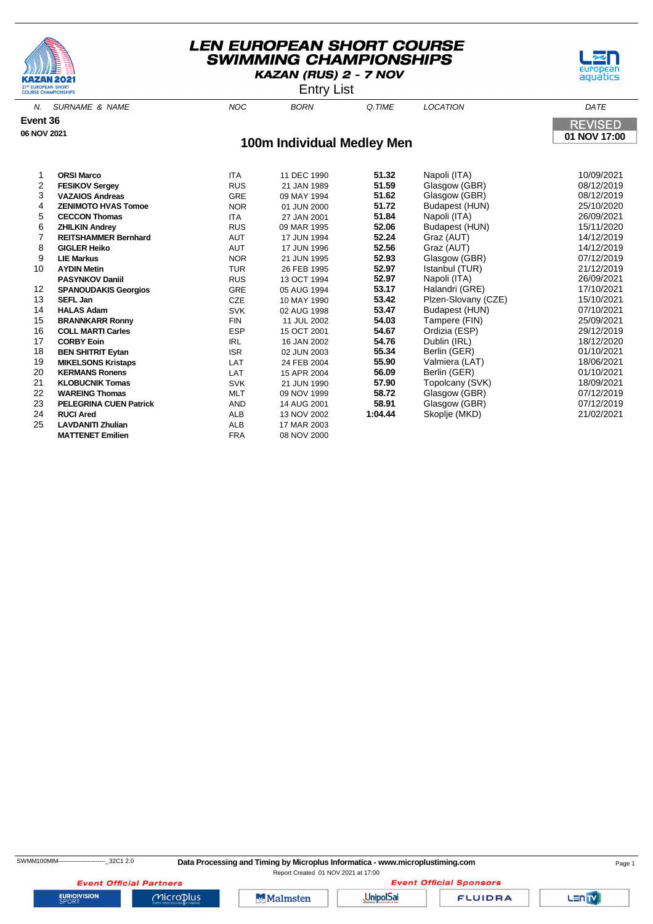





N. SURNAME & NAME  $NOC$  BORN Q.TIME LOCATION **Event 36 REVISED 06 NOV 2021 01 NOV 17:00 100m Individual Medley Men** 1 **ORSI Marco** ITA 11 DEC 1990 **51.32** Napoli (ITA) 10/09/2021 2 **FESIKOV Sergey** RUS 21 JAN 1989 **51.59** Glasgow (GBR) 08/12/2019

| <b>VAZAIOS Andreas</b>        | <b>GRE</b> | 09 MAY 1994 | 51.62   | Glasgow (GBR)           | 08/12/2019    |
|-------------------------------|------------|-------------|---------|-------------------------|---------------|
| <b>ZENIMOTO HVAS Tomoe</b>    | <b>NOR</b> | 01 JUN 2000 | 51.72   | Budapest (HUN)          | 25/10/2020    |
| <b>CECCON Thomas</b>          | <b>ITA</b> | 27 JAN 2001 | 51.84   | Napoli (ITA)            | 26/09/2021    |
| <b>ZHILKIN Andrey</b>         | <b>RUS</b> | 09 MAR 1995 | 52.06   | Budapest (HUN)          | 15/11/2020    |
| <b>REITSHAMMER Bernhard</b>   | AUT        | 17 JUN 1994 | 52.24   | Graz (AUT)              | 14/12/2019    |
| <b>GIGLER Heiko</b>           | <b>AUT</b> | 17 JUN 1996 | 52.56   | Graz (AUT)              | 14/12/2019    |
| <b>LIE Markus</b>             | <b>NOR</b> | 21 JUN 1995 | 52.93   | Glasgow (GBR)           | 07/12/2019    |
| <b>AYDIN Metin</b>            | <b>TUR</b> | 26 FEB 1995 |         | Istanbul (TUR)          | 21/12/2019    |
| <b>PASYNKOV Daniil</b>        | <b>RUS</b> | 13 OCT 1994 | 52.97   | Napoli (ITA)            | 26/09/2021    |
| <b>SPANOUDAKIS Georgios</b>   | <b>GRE</b> | 05 AUG 1994 | 53.17   | Halandri (GRE)          | 17/10/2021    |
| SEFL Jan                      | CZE        | 10 MAY 1990 | 53.42   | Plzen-Slovany (CZE)     | 15/10/2021    |
| <b>HALAS Adam</b>             | <b>SVK</b> | 02 AUG 1998 | 53.47   | Budapest (HUN)          | 07/10/2021    |
| <b>BRANNKARR Ronny</b>        | <b>FIN</b> | 11 JUL 2002 | 54.03   | Tampere (FIN)           | 25/09/2021    |
| <b>COLL MARTI Carles</b>      | <b>ESP</b> | 15 OCT 2001 | 54.67   | Ordizia (ESP)           | 29/12/2019    |
| <b>CORBY Eoin</b>             | <b>IRL</b> | 16 JAN 2002 | 54.76   | Dublin (IRL)            | 18/12/2020    |
| <b>BEN SHITRIT Eytan</b>      | <b>ISR</b> | 02 JUN 2003 | 55.34   | Berlin (GER)            | 01/10/2021    |
| <b>MIKELSONS Kristaps</b>     | LAT        | 24 FEB 2004 |         | Valmiera (LAT)          | 18/06/2021    |
| <b>KERMANS Ronens</b>         | <b>LAT</b> | 15 APR 2004 | 56.09   | Berlin (GER)            | 01/10/2021    |
| <b>KLOBUCNIK Tomas</b>        | <b>SVK</b> | 21 JUN 1990 | 57.90   | Topolcany (SVK)         | 18/09/2021    |
| <b>WAREING Thomas</b>         | MLT        | 09 NOV 1999 |         |                         | 07/12/2019    |
| <b>PELEGRINA CUEN Patrick</b> | AND        | 14 AUG 2001 | 58.91   | Glasgow (GBR)           | 07/12/2019    |
| <b>RUCI Ared</b>              | ALB        | 13 NOV 2002 | 1:04.44 | Skoplje (MKD)           | 21/02/2021    |
| <b>LAVDANITI Zhulian</b>      | ALB        | 17 MAR 2003 |         |                         |               |
| <b>MATTENET Emilien</b>       | <b>FRA</b> | 08 NOV 2000 |         |                         |               |
|                               |            |             |         | 52.97<br>55.90<br>58.72 | Glasgow (GBR) |

**EURIOVISION** 

**Event Official Partners** 

 $MicroD<sub>lus</sub>$ 

Malmsten

**Event Official Sponsors UnipolSai** 

**FLUIDRA**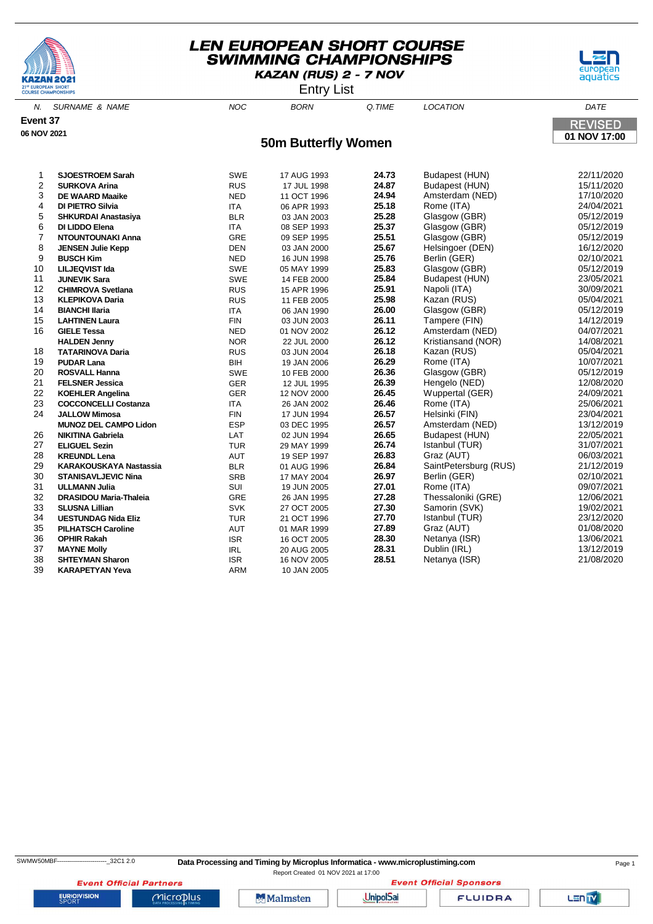





N. SURNAME & NAME  $N$  and  $N$  and  $N$  born  $\alpha$  time  $N$  location  $\alpha$  dates the  $N$ **Event 37 REVISED 06 NOV 2021 01 NOV 17:00 50m Butterfly Women SJOESTROEM Sarah** SWE 17 AUG 1993 **24.73** Budapest (HUN) 22/11/2020 **SURKOVA Arina** RUS 17 JUL 1998 **24.87** Budapest (HUN) 15/11/2020 **DE WAARD Maaike** NED 11 OCT 1996 **24.94** Amsterdam (NED) 17/10/2020 **DI PIETRO Silvia** ITA 06 APR 1993 **25.18** Rome (ITA) 24/04/2021 **SHKURDAI Anastasiya** BLR 03 JAN 2003 **25.28** Glasgow (GBR) 05/12/2019 **DI LIDDO Elena** ITA 08 SEP 1993 **25.37** Glasgow (GBR) 05/12/2019 **NTOUNTOUNAKI Anna** GRE 09 SEP 1995 **25.51** Glasgow (GBR) 05/12/2019 **JENSEN Julie Kepp** DEN 03 JAN 2000 **25.67** Helsingoer (DEN) 16/12/2020 **BUSCH Kim** NED 16 JUN 1998 **25.76** Berlin (GER) 02/10/2021 **LILJEQVIST Ida** SWE 05 MAY 1999 **25.83** Glasgow (GBR) 05/12/2019 **JUNEVIK Sara** SWE 14 FEB 2000 **25.84** Budapest (HUN) 23/05/2021 **CHIMROVA Svetlana** RUS 15 APR 1996 **25.91** Napoli (ITA) 30/09/2021 **KLEPIKOVA Daria** RUS 11 FEB 2005 **25.98** Kazan (RUS) 05/04/2021 **BIANCHI Ilaria** ITA 06 JAN 1990 **26.00** Glasgow (GBR) 05/12/2019 **LAHTINEN Laura** FIN 03 JUN 2003 **26.11** Tampere (FIN) 14/12/2019 **GIELE Tessa** NED 01 NOV 2002 **26.12** Amsterdam (NED) 04/07/2021 **HALL** 22 JUL 2000 **26.12** Kristiansand (NOR) **TATARINOVA Daria** RUS 03 JUN 2004 **26.18** Kazan (RUS) 05/04/2021 **PUDAR Lana** BIH 19 JAN 2006 **26.29** Rome (ITA) 10/07/2021 **ROSVALL Hanna** SWE 10 FEB 2000 **26.36** Glasgow (GBR) 05/12/2019 **FELSNER Jessica** GER 12 JUL 1995 **26.39** Hengelo (NED) 12/08/2020 **KOEHLER Angelina** GER 12 NOV 2000 **26.45** Wuppertal (GER) 24/09/2021 **COCCONCELLI Costanza** ITA 26 JAN 2002 **26.46** Rome (ITA) 25/06/2021 **JALLOW Mimosa** FIN 17 JUN 1994 **26.57** Helsinki (FIN) 23/04/2021 **MUNOZ DEL CAMPO Lidon** ESP 03 DEC 1995 **26.57** Amsterdam (NED) 13/12/2019 **NIKITINA Gabriela** LAT 02 JUN 1994 **26.65** Budapest (HUN) 22/05/2021 **ELIGUEL Sezin** TUR 29 MAY 1999 **26.74** Istanbul (TUR) 31/07/2021 **KREUNDL Lena** AUT 19 SEP 1997 **26.83** Graz (AUT) 06/03/2021 **KARAKOUSKAYA Nastassia** BLR 01 AUG 1996 **26.84** SaintPetersburg (RUS) 21/12/2019 **STANISAVLJEVIC Nina** SRB 17 MAY 2004 **26.97** Berlin (GER) 02/10/2021 **ULLMANN Julia** SUI 19 JUN 2005 **27.01** Rome (ITA) 09/07/2021 **DRASIDOU Maria-Thaleia** GRE 26 JAN 1995 **27.28** Thessaloniki (GRE) 12/06/2021 **SLUSNA Lillian** SVK 27 OCT 2005 **27.30** Samorin (SVK) 19/02/2021 **UESTUNDAG Nida Eliz** TUR 21 OCT 1996 **27.70** Istanbul (TUR) 23/12/2020 **PILHATSCH Caroline** AUT 01 MAR 1999 **27.89** Graz (AUT) 01/08/2020 **OPHIR Rakah** ISR 16 OCT 2005 **28.30** Netanya (ISR) 13/06/2021

 **MAYNE Molly** IRL 20 AUG 2005 **28.31** Dublin (IRL) 13/12/2019 **SHTEYMAN Sharon** ISR 16 NOV 2005 **28.51** Netanya (ISR) 21/08/2020

**EURIOVISION** 

**KARAPETYAN Yeva** 

Report Created 01 NOV 2021 at 17:00

**Event Official Partners** Microplus

**Malmsten** 

**UnipolSai** 

**FLUIDRA** 

**Event Official Sponsors** 

LEN<sub>TV</sub>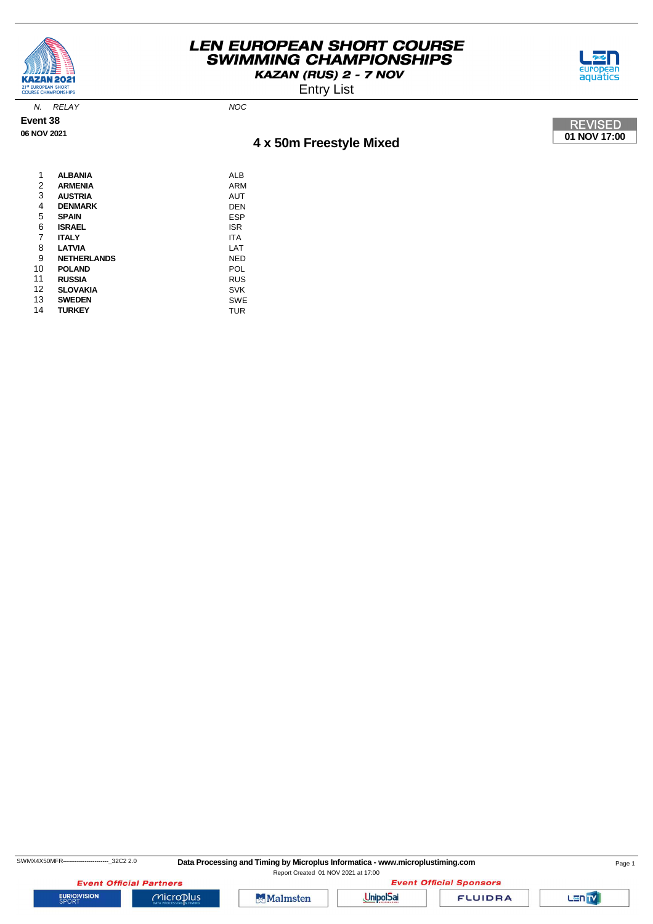

Entry List



N. RELAY NOC

**Event 38 06 NOV 2021**

# **4 x 50m Freestyle Mixed**



| 1              | <b>ALBANIA</b>     | ALB        |
|----------------|--------------------|------------|
| $\overline{2}$ | <b>ARMENIA</b>     | ARM        |
| 3              | <b>AUSTRIA</b>     | AUT        |
| 4              | <b>DENMARK</b>     | <b>DEN</b> |
| 5              | <b>SPAIN</b>       | ESP        |
| 6              | <b>ISRAEL</b>      | <b>ISR</b> |
| 7              | <b>ITALY</b>       | <b>ITA</b> |
| 8              | <b>LATVIA</b>      | LAT        |
| 9              | <b>NETHERLANDS</b> | <b>NED</b> |
| 10             | <b>POLAND</b>      | POL        |
| 11             | <b>RUSSIA</b>      | <b>RUS</b> |
| 12             | <b>SLOVAKIA</b>    | <b>SVK</b> |
| 13             | <b>SWEDEN</b>      | <b>SWE</b> |
| 14             | <b>TURKEY</b>      | <b>TUR</b> |
|                |                    |            |

**Event Official Sponsors** 

Lan<sub>TV</sub>



**Event Official Partners** 

 $Microplus$ 

UnipolSai

**FLUIDRA**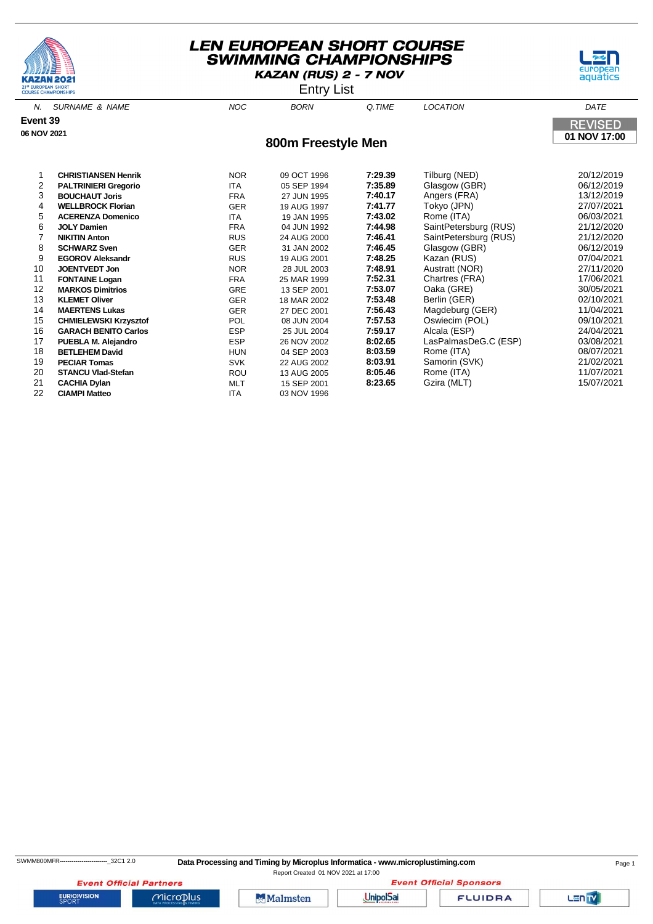



Entry List

| N.          | <b>SURNAME &amp; NAME</b>    | <b>NOC</b> | <b>BORN</b>        | Q.TIME  | <b>LOCATION</b>       | DATE           |
|-------------|------------------------------|------------|--------------------|---------|-----------------------|----------------|
| Event 39    |                              |            |                    |         |                       | <b>REVISED</b> |
| 06 NOV 2021 |                              |            | 800m Freestyle Men |         |                       | 01 NOV 17:00   |
|             |                              |            |                    |         |                       |                |
|             |                              |            |                    |         |                       |                |
|             | <b>CHRISTIANSEN Henrik</b>   | <b>NOR</b> | 09 OCT 1996        | 7:29.39 | Tilburg (NED)         | 20/12/2019     |
| 2           | <b>PALTRINIERI Gregorio</b>  | <b>ITA</b> | 05 SEP 1994        | 7:35.89 | Glasgow (GBR)         | 06/12/2019     |
| 3           | <b>BOUCHAUT Joris</b>        | <b>FRA</b> | 27 JUN 1995        | 7:40.17 | Angers (FRA)          | 13/12/2019     |
| 4           | <b>WELLBROCK Florian</b>     | GER        | 19 AUG 1997        | 7:41.77 | Tokyo (JPN)           | 27/07/2021     |
| 5           | <b>ACERENZA Domenico</b>     | <b>ITA</b> | 19 JAN 1995        | 7:43.02 | Rome (ITA)            | 06/03/2021     |
| 6           | <b>JOLY Damien</b>           | <b>FRA</b> | 04 JUN 1992        | 7:44.98 | SaintPetersburg (RUS) | 21/12/2020     |
| 7           | <b>NIKITIN Anton</b>         | <b>RUS</b> | 24 AUG 2000        | 7:46.41 | SaintPetersburg (RUS) | 21/12/2020     |
| 8           | <b>SCHWARZ Sven</b>          | GER        | 31 JAN 2002        | 7:46.45 | Glasgow (GBR)         | 06/12/2019     |
| 9           | <b>EGOROV Aleksandr</b>      | <b>RUS</b> | 19 AUG 2001        | 7:48.25 | Kazan (RUS)           | 07/04/2021     |
| 10          | <b>JOENTVEDT Jon</b>         | <b>NOR</b> | 28 JUL 2003        | 7:48.91 | Austratt (NOR)        | 27/11/2020     |
| 11          | <b>FONTAINE Logan</b>        | <b>FRA</b> | 25 MAR 1999        | 7:52.31 | Chartres (FRA)        | 17/06/2021     |
| 12          | <b>MARKOS Dimitrios</b>      | <b>GRE</b> | 13 SEP 2001        | 7:53.07 | Oaka (GRE)            | 30/05/2021     |
| 13          | <b>KLEMET Oliver</b>         | <b>GER</b> | 18 MAR 2002        | 7:53.48 | Berlin (GER)          | 02/10/2021     |
| 14          | <b>MAERTENS Lukas</b>        | <b>GER</b> | 27 DEC 2001        | 7:56.43 | Magdeburg (GER)       | 11/04/2021     |
| 15          | <b>CHMIELEWSKI Krzysztof</b> | <b>POL</b> | 08 JUN 2004        | 7:57.53 | Oswiecim (POL)        | 09/10/2021     |
| 16          | <b>GARACH BENITO Carlos</b>  | <b>ESP</b> | 25 JUL 2004        | 7:59.17 | Alcala (ESP)          | 24/04/2021     |
| 17          | PUEBLA M. Alejandro          | <b>ESP</b> | 26 NOV 2002        | 8:02.65 | LasPalmasDeG.C (ESP)  | 03/08/2021     |
| 18          | <b>BETLEHEM David</b>        | <b>HUN</b> | 04 SEP 2003        | 8:03.59 | Rome (ITA)            | 08/07/2021     |
| 19          | <b>PECIAR Tomas</b>          | <b>SVK</b> | 22 AUG 2002        | 8:03.91 | Samorin (SVK)         | 21/02/2021     |
| 20          | <b>STANCU Vlad-Stefan</b>    | <b>ROU</b> | 13 AUG 2005        | 8:05.46 | Rome (ITA)            | 11/07/2021     |
| 21          | <b>CACHIA Dylan</b>          | <b>MLT</b> | 15 SEP 2001        | 8:23.65 | Gzira (MLT)           | 15/07/2021     |

22 **CIAMPI Matteo** ITA 03 NOV 1996

**EURIOVISION** 

**Event Official Partners** 

 $Microplus$ 

**Malmsten** 



**FLUIDRA** 

Lan<sub>TV</sub>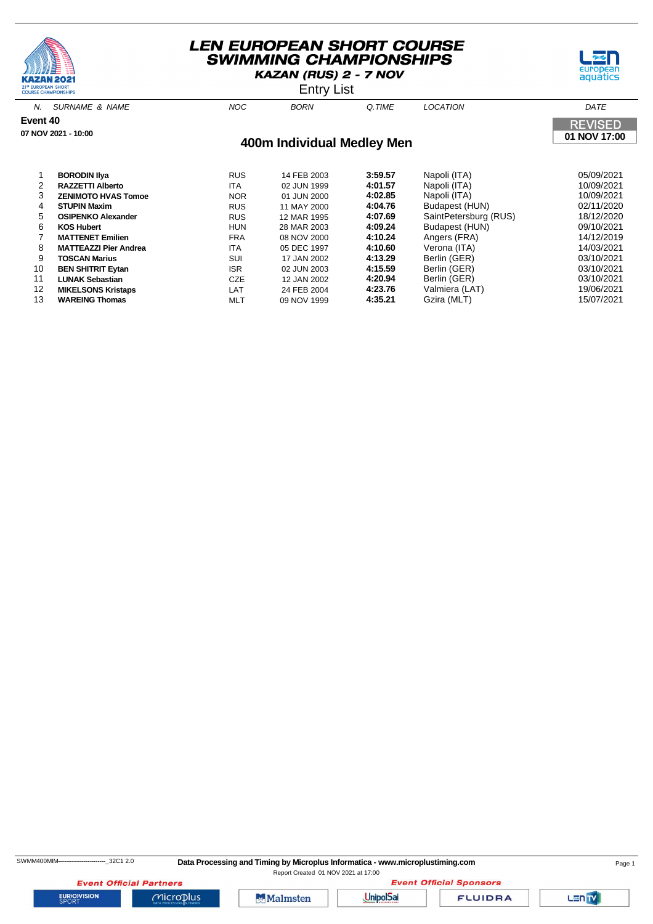





N. SURNAME & NAME NOC BORN Q.TIME LOCATION DATE **Event 40 REVISED 07 NOV 2021 - 10:00 01 NOV 17:00 400m Individual Medley Men** 1 **BORODIN Ilya** RUS 14 FEB 2003 **3:59.57** Napoli (ITA) 05/09/2021 2 **RAZZETTI Alberto** ITA 02 JUN 1999 **4:01.57** Napoli (ITA) 10/09/2021 3 **ZENIMOTO HVAS Tomoe NOR** 01 JUN 2000 **4:02.85** Napoli (ITA) 4 **STUPIN Maxim** RUS 11 MAY 2000 **4:04.76** Budapest (HUN) 02/11/2020 **OSIPENKO Alexander 12 MAR 1995 4:07.69** SaintPetersburg (RUS) 6 **KOS Hubert** HUN 28 MAR 2003 **4:09.24** Budapest (HUN) 09/10/2021 7 **MATTENET Emilien** FRA 08 NOV 2000 **4:10.24** Angers (FRA) 14/12/2019

8 **MATTEAZZI Pier Andrea** ITA 05 DEC 1997 **4:10.60** Verona (ITA) 14/03/2021 9 **TOSCAN Marius** SUI 17 JAN 2002 **4:13.29** Berlin (GER) 03/10/2021

11 **LUNAK Sebastian** CZE 12 JAN 2002 **4:20.94** Berlin (GER) 03/10/2021 12 **MIKELSONS Kristaps** LAT 24 FEB 2004 **4:23.76** Valmiera (LAT) 19/06/2021

10 **BEN SHITRIT Eytan**<br>
10 **LUNAK Sebastian**<br>
12 JAN 2002 **4:20.94** Berlin (GER) 12 JAN 2002

13 **WAREING Thomas** MLT

SWMM400MIM------------------------\_32C1 2.0 **Data Processing and Timing by Microplus Informatica - www.microplustiming.com** Page 1

Report Created 01 NOV 2021 at 17:00

**Event Official Partners EURIOVISION** 

**Malmsten** 

 $Microplus$ 



**FLUIDRA** 

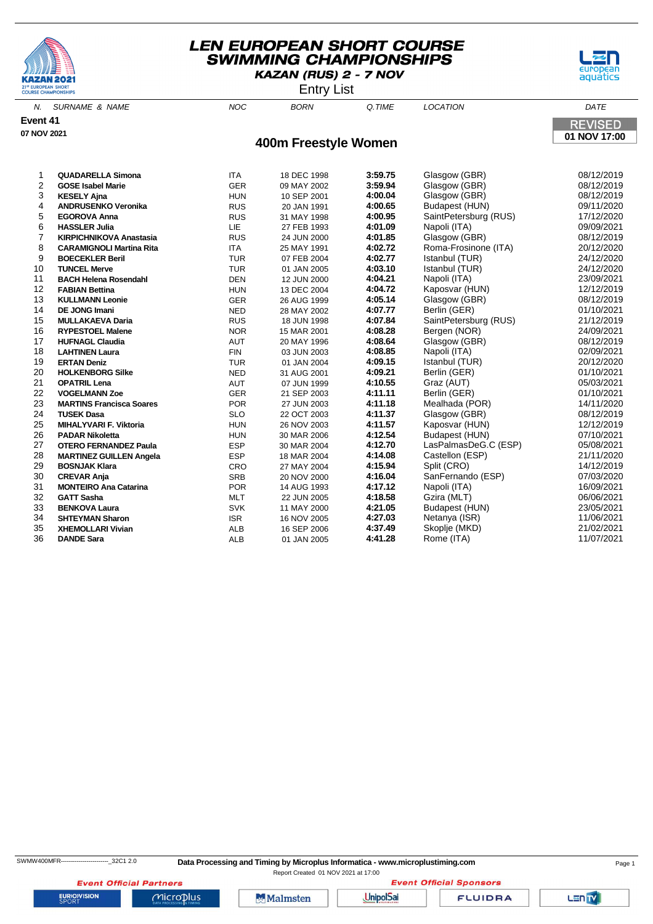





| <b>SURNAME &amp; NAME</b>       | <b>NOC</b>                                                                                                | <b>BORN</b>                                                                                                                                            | Q.TIME  | <b>LOCATION</b>                                                                                                                                                                                                                                                                                                                                        | DATE                                                                                                                                                                                                                                                                                                                                                                   |
|---------------------------------|-----------------------------------------------------------------------------------------------------------|--------------------------------------------------------------------------------------------------------------------------------------------------------|---------|--------------------------------------------------------------------------------------------------------------------------------------------------------------------------------------------------------------------------------------------------------------------------------------------------------------------------------------------------------|------------------------------------------------------------------------------------------------------------------------------------------------------------------------------------------------------------------------------------------------------------------------------------------------------------------------------------------------------------------------|
|                                 |                                                                                                           |                                                                                                                                                        |         |                                                                                                                                                                                                                                                                                                                                                        | <b>REVISED</b>                                                                                                                                                                                                                                                                                                                                                         |
|                                 |                                                                                                           |                                                                                                                                                        |         |                                                                                                                                                                                                                                                                                                                                                        | 01 NOV 17:00                                                                                                                                                                                                                                                                                                                                                           |
|                                 |                                                                                                           |                                                                                                                                                        |         |                                                                                                                                                                                                                                                                                                                                                        |                                                                                                                                                                                                                                                                                                                                                                        |
|                                 |                                                                                                           |                                                                                                                                                        |         |                                                                                                                                                                                                                                                                                                                                                        |                                                                                                                                                                                                                                                                                                                                                                        |
| <b>QUADARELLA Simona</b>        | <b>ITA</b>                                                                                                | 18 DEC 1998                                                                                                                                            | 3:59.75 | Glasgow (GBR)                                                                                                                                                                                                                                                                                                                                          | 08/12/2019                                                                                                                                                                                                                                                                                                                                                             |
| <b>GOSE Isabel Marie</b>        | <b>GER</b>                                                                                                | 09 MAY 2002                                                                                                                                            |         | Glasgow (GBR)                                                                                                                                                                                                                                                                                                                                          | 08/12/2019                                                                                                                                                                                                                                                                                                                                                             |
| <b>KESELY Ajna</b>              | <b>HUN</b>                                                                                                | 10 SEP 2001                                                                                                                                            |         | Glasgow (GBR)                                                                                                                                                                                                                                                                                                                                          | 08/12/2019                                                                                                                                                                                                                                                                                                                                                             |
| <b>ANDRUSENKO Veronika</b>      | <b>RUS</b>                                                                                                | 20 JAN 1991                                                                                                                                            | 4:00.65 | Budapest (HUN)                                                                                                                                                                                                                                                                                                                                         | 09/11/2020                                                                                                                                                                                                                                                                                                                                                             |
| <b>EGOROVA Anna</b>             | <b>RUS</b>                                                                                                | 31 MAY 1998                                                                                                                                            | 4:00.95 | SaintPetersburg (RUS)                                                                                                                                                                                                                                                                                                                                  | 17/12/2020                                                                                                                                                                                                                                                                                                                                                             |
| <b>HASSLER Julia</b>            | LIE                                                                                                       | 27 FEB 1993                                                                                                                                            |         |                                                                                                                                                                                                                                                                                                                                                        | 09/09/2021                                                                                                                                                                                                                                                                                                                                                             |
| <b>KIRPICHNIKOVA Anastasia</b>  | <b>RUS</b>                                                                                                | 24 JUN 2000                                                                                                                                            |         | Glasgow (GBR)                                                                                                                                                                                                                                                                                                                                          | 08/12/2019                                                                                                                                                                                                                                                                                                                                                             |
| <b>CARAMIGNOLI Martina Rita</b> |                                                                                                           | 25 MAY 1991                                                                                                                                            |         |                                                                                                                                                                                                                                                                                                                                                        | 20/12/2020                                                                                                                                                                                                                                                                                                                                                             |
| <b>BOECEKLER Beril</b>          | <b>TUR</b>                                                                                                | 07 FEB 2004                                                                                                                                            |         | Istanbul (TUR)                                                                                                                                                                                                                                                                                                                                         | 24/12/2020                                                                                                                                                                                                                                                                                                                                                             |
| <b>TUNCEL Merve</b>             | <b>TUR</b>                                                                                                | 01 JAN 2005                                                                                                                                            |         |                                                                                                                                                                                                                                                                                                                                                        | 24/12/2020                                                                                                                                                                                                                                                                                                                                                             |
| <b>BACH Helena Rosendahl</b>    |                                                                                                           | 12 JUN 2000                                                                                                                                            |         |                                                                                                                                                                                                                                                                                                                                                        | 23/09/2021                                                                                                                                                                                                                                                                                                                                                             |
| <b>FABIAN Bettina</b>           | <b>HUN</b>                                                                                                | 13 DEC 2004                                                                                                                                            |         | Kaposvar (HUN)                                                                                                                                                                                                                                                                                                                                         | 12/12/2019                                                                                                                                                                                                                                                                                                                                                             |
| <b>KULLMANN Leonie</b>          |                                                                                                           | 26 AUG 1999                                                                                                                                            |         |                                                                                                                                                                                                                                                                                                                                                        | 08/12/2019                                                                                                                                                                                                                                                                                                                                                             |
| DE JONG Imani                   |                                                                                                           | 28 MAY 2002                                                                                                                                            |         |                                                                                                                                                                                                                                                                                                                                                        | 01/10/2021                                                                                                                                                                                                                                                                                                                                                             |
| <b>MULLAKAEVA Daria</b>         |                                                                                                           | 18 JUN 1998                                                                                                                                            |         |                                                                                                                                                                                                                                                                                                                                                        | 21/12/2019                                                                                                                                                                                                                                                                                                                                                             |
| <b>RYPESTOEL Malene</b>         | <b>NOR</b>                                                                                                | 15 MAR 2001                                                                                                                                            |         |                                                                                                                                                                                                                                                                                                                                                        | 24/09/2021                                                                                                                                                                                                                                                                                                                                                             |
| <b>HUFNAGL Claudia</b>          | <b>AUT</b>                                                                                                | 20 MAY 1996                                                                                                                                            |         | Glasgow (GBR)                                                                                                                                                                                                                                                                                                                                          | 08/12/2019                                                                                                                                                                                                                                                                                                                                                             |
| <b>LAHTINEN Laura</b>           |                                                                                                           | 03 JUN 2003                                                                                                                                            |         |                                                                                                                                                                                                                                                                                                                                                        | 02/09/2021                                                                                                                                                                                                                                                                                                                                                             |
| <b>ERTAN Deniz</b>              |                                                                                                           | 01 JAN 2004                                                                                                                                            |         |                                                                                                                                                                                                                                                                                                                                                        | 20/12/2020                                                                                                                                                                                                                                                                                                                                                             |
| <b>HOLKENBORG Silke</b>         | <b>NED</b>                                                                                                | 31 AUG 2001                                                                                                                                            |         | Berlin (GER)                                                                                                                                                                                                                                                                                                                                           | 01/10/2021                                                                                                                                                                                                                                                                                                                                                             |
| <b>OPATRIL Lena</b>             | AUT                                                                                                       | 07 JUN 1999                                                                                                                                            |         |                                                                                                                                                                                                                                                                                                                                                        | 05/03/2021                                                                                                                                                                                                                                                                                                                                                             |
|                                 |                                                                                                           | 21 SEP 2003                                                                                                                                            |         |                                                                                                                                                                                                                                                                                                                                                        | 01/10/2021                                                                                                                                                                                                                                                                                                                                                             |
| <b>MARTINS Francisca Soares</b> | <b>POR</b>                                                                                                | 27 JUN 2003                                                                                                                                            |         |                                                                                                                                                                                                                                                                                                                                                        | 14/11/2020                                                                                                                                                                                                                                                                                                                                                             |
|                                 |                                                                                                           | 22 OCT 2003                                                                                                                                            |         |                                                                                                                                                                                                                                                                                                                                                        | 08/12/2019                                                                                                                                                                                                                                                                                                                                                             |
| <b>MIHALYVARI F. Viktoria</b>   | <b>HUN</b>                                                                                                | 26 NOV 2003                                                                                                                                            |         |                                                                                                                                                                                                                                                                                                                                                        | 12/12/2019                                                                                                                                                                                                                                                                                                                                                             |
| <b>PADAR Nikoletta</b>          | <b>HUN</b>                                                                                                | 30 MAR 2006                                                                                                                                            |         |                                                                                                                                                                                                                                                                                                                                                        | 07/10/2021                                                                                                                                                                                                                                                                                                                                                             |
| <b>OTERO FERNANDEZ Paula</b>    | <b>ESP</b>                                                                                                | 30 MAR 2004                                                                                                                                            |         |                                                                                                                                                                                                                                                                                                                                                        | 05/08/2021                                                                                                                                                                                                                                                                                                                                                             |
| <b>MARTINEZ GUILLEN Angela</b>  |                                                                                                           | 18 MAR 2004                                                                                                                                            |         |                                                                                                                                                                                                                                                                                                                                                        | 21/11/2020                                                                                                                                                                                                                                                                                                                                                             |
| <b>BOSNJAK Klara</b>            | CRO                                                                                                       | 27 MAY 2004                                                                                                                                            |         |                                                                                                                                                                                                                                                                                                                                                        | 14/12/2019                                                                                                                                                                                                                                                                                                                                                             |
| <b>CREVAR Anja</b>              |                                                                                                           | 20 NOV 2000                                                                                                                                            |         |                                                                                                                                                                                                                                                                                                                                                        | 07/03/2020                                                                                                                                                                                                                                                                                                                                                             |
| <b>MONTEIRO Ana Catarina</b>    | <b>POR</b>                                                                                                | 14 AUG 1993                                                                                                                                            |         | Napoli (ITA)                                                                                                                                                                                                                                                                                                                                           | 16/09/2021                                                                                                                                                                                                                                                                                                                                                             |
| <b>GATT Sasha</b>               | <b>MLT</b>                                                                                                | 22 JUN 2005                                                                                                                                            | 4:18.58 | Gzira (MLT)                                                                                                                                                                                                                                                                                                                                            | 06/06/2021                                                                                                                                                                                                                                                                                                                                                             |
| <b>BENKOVA Laura</b>            | <b>SVK</b>                                                                                                | 11 MAY 2000                                                                                                                                            | 4:21.05 | Budapest (HUN)                                                                                                                                                                                                                                                                                                                                         | 23/05/2021                                                                                                                                                                                                                                                                                                                                                             |
| <b>SHTEYMAN Sharon</b>          | <b>ISR</b>                                                                                                | 16 NOV 2005                                                                                                                                            | 4:27.03 | Netanya (ISR)                                                                                                                                                                                                                                                                                                                                          | 11/06/2021                                                                                                                                                                                                                                                                                                                                                             |
| <b>XHEMOLLARI Vivian</b>        | <b>ALB</b>                                                                                                | 16 SEP 2006                                                                                                                                            | 4:37.49 | Skoplje (MKD)                                                                                                                                                                                                                                                                                                                                          | 21/02/2021                                                                                                                                                                                                                                                                                                                                                             |
|                                 | <b>COURSE CHAMPIONSHIPS</b><br>N.<br>Event 41<br>07 NOV 2021<br><b>VOGELMANN Zoe</b><br><b>TUSEK Dasa</b> | <b>ITA</b><br><b>DEN</b><br><b>GER</b><br><b>NED</b><br><b>RUS</b><br><b>FIN</b><br><b>TUR</b><br><b>GER</b><br><b>SLO</b><br><b>ESP</b><br><b>SRB</b> |         | ENITY LIST<br>400m Freestyle Women<br>3:59.94<br>4:00.04<br>4:01.09<br>4:01.85<br>4:02.72<br>4:02.77<br>4:03.10<br>4:04.21<br>4:04.72<br>4:05.14<br>4:07.77<br>4:07.84<br>4:08.28<br>4:08.64<br>4:08.85<br>4:09.15<br>4:09.21<br>4:10.55<br>4:11.11<br>4:11.18<br>4:11.37<br>4:11.57<br>4:12.54<br>4:12.70<br>4:14.08<br>4:15.94<br>4:16.04<br>4:17.12 | Napoli (ITA)<br>Roma-Frosinone (ITA)<br>Istanbul (TUR)<br>Napoli (ITA)<br>Glasgow (GBR)<br>Berlin (GER)<br>SaintPetersburg (RUS)<br>Bergen (NOR)<br>Napoli (ITA)<br>Istanbul (TUR)<br>Graz (AUT)<br>Berlin (GER)<br>Mealhada (POR)<br>Glasgow (GBR)<br>Kaposvar (HUN)<br>Budapest (HUN)<br>LasPalmasDeG.C (ESP)<br>Castellon (ESP)<br>Split (CRO)<br>SanFernando (ESP) |

 **XHEMOLLARI Vivian** ALB 16 SEP 2006 **4:37.49** Skoplje (MKD) 21/02/2021 **DANDE Sara** ALB 01 JAN 2005 **4:41.28** Rome (ITA) 11/07/2021

**EURIOVISION** 

**Event Official Partners** 

 $Microplus$ 

SWMW400MFR------------------------\_32C1 2.0 **Data Processing and Timing by Microplus Informatica - www.microplustiming.com** Page 1

Report Created 01 NOV 2021 at 17:00**Event Official Sponsors** 

Malmsten **UnipolSai** 

**FLUIDRA**